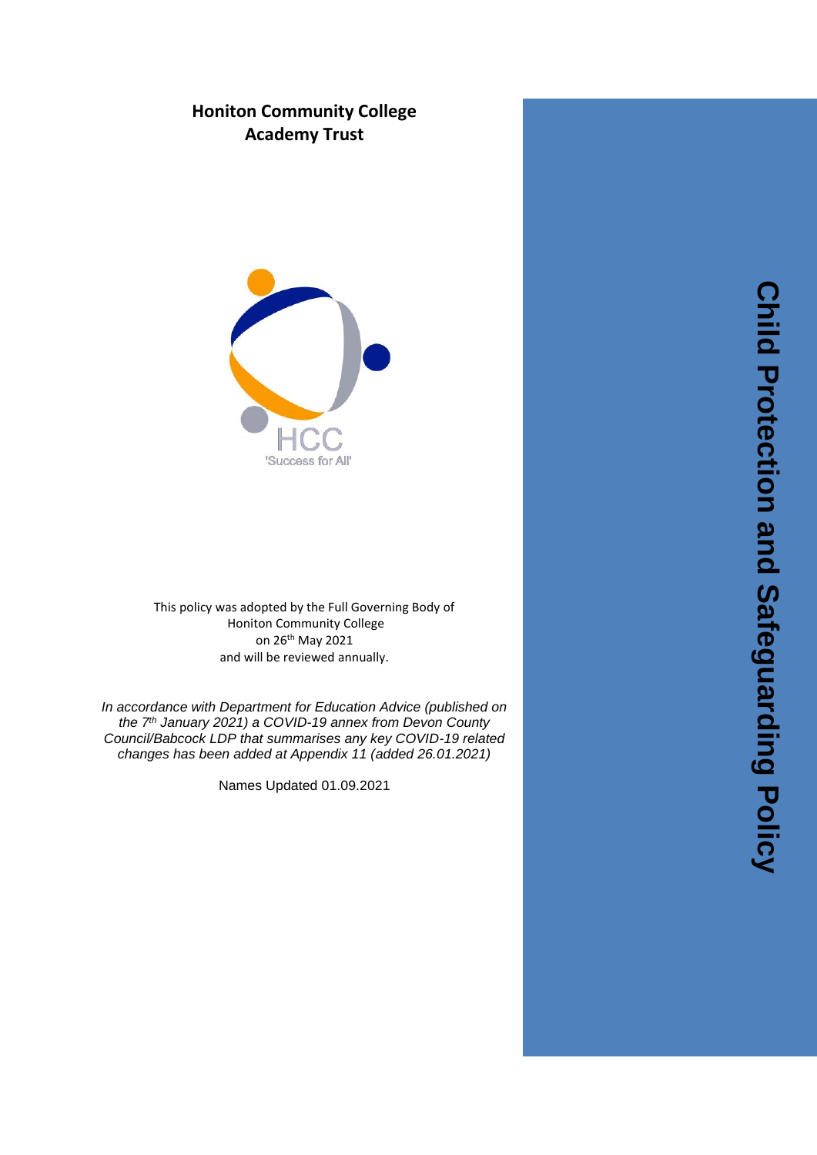# **Honiton Community College Academy Trust**



This policy was adopted by the Full Governing Body of Honiton Community College on 26th May 2021 and will be reviewed annually .

*In accordance with Department for Education Advice (published on the 7 th January 2021) a COVID -19 annex from Devon County Council/Babcock LDP that summarises any key COVID -19 related changes has been added at Appendix 11 (added 26.01.2021)*

Names Updated 01.09.2021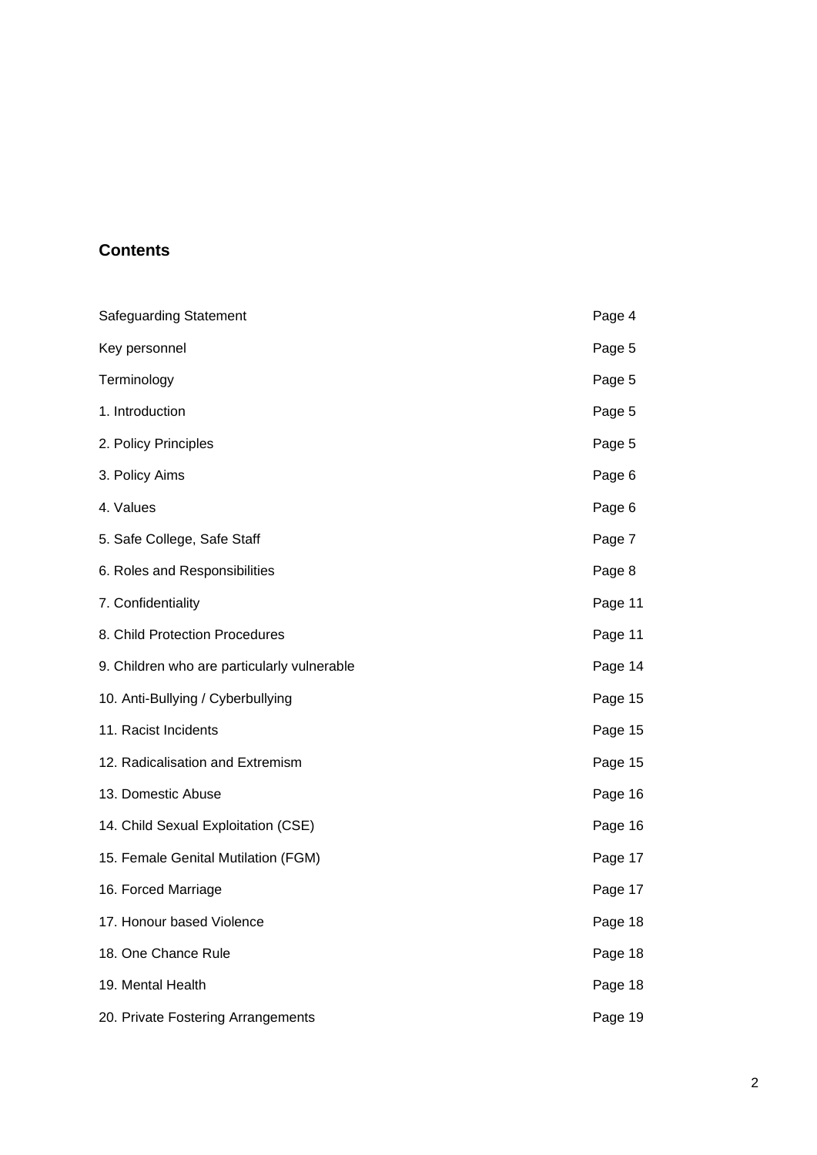# **Contents**

| <b>Safeguarding Statement</b>               | Page 4  |
|---------------------------------------------|---------|
| Key personnel                               | Page 5  |
| Terminology                                 | Page 5  |
| 1. Introduction                             | Page 5  |
| 2. Policy Principles                        | Page 5  |
| 3. Policy Aims                              | Page 6  |
| 4. Values                                   | Page 6  |
| 5. Safe College, Safe Staff                 | Page 7  |
| 6. Roles and Responsibilities               | Page 8  |
| 7. Confidentiality                          | Page 11 |
| 8. Child Protection Procedures              | Page 11 |
| 9. Children who are particularly vulnerable | Page 14 |
| 10. Anti-Bullying / Cyberbullying           | Page 15 |
| 11. Racist Incidents                        | Page 15 |
| 12. Radicalisation and Extremism            | Page 15 |
| 13. Domestic Abuse                          | Page 16 |
| 14. Child Sexual Exploitation (CSE)         | Page 16 |
| 15. Female Genital Mutilation (FGM)         | Page 17 |
| 16. Forced Marriage                         | Page 17 |
| 17. Honour based Violence                   | Page 18 |
| 18. One Chance Rule                         | Page 18 |
| 19. Mental Health                           | Page 18 |
| 20. Private Fostering Arrangements          | Page 19 |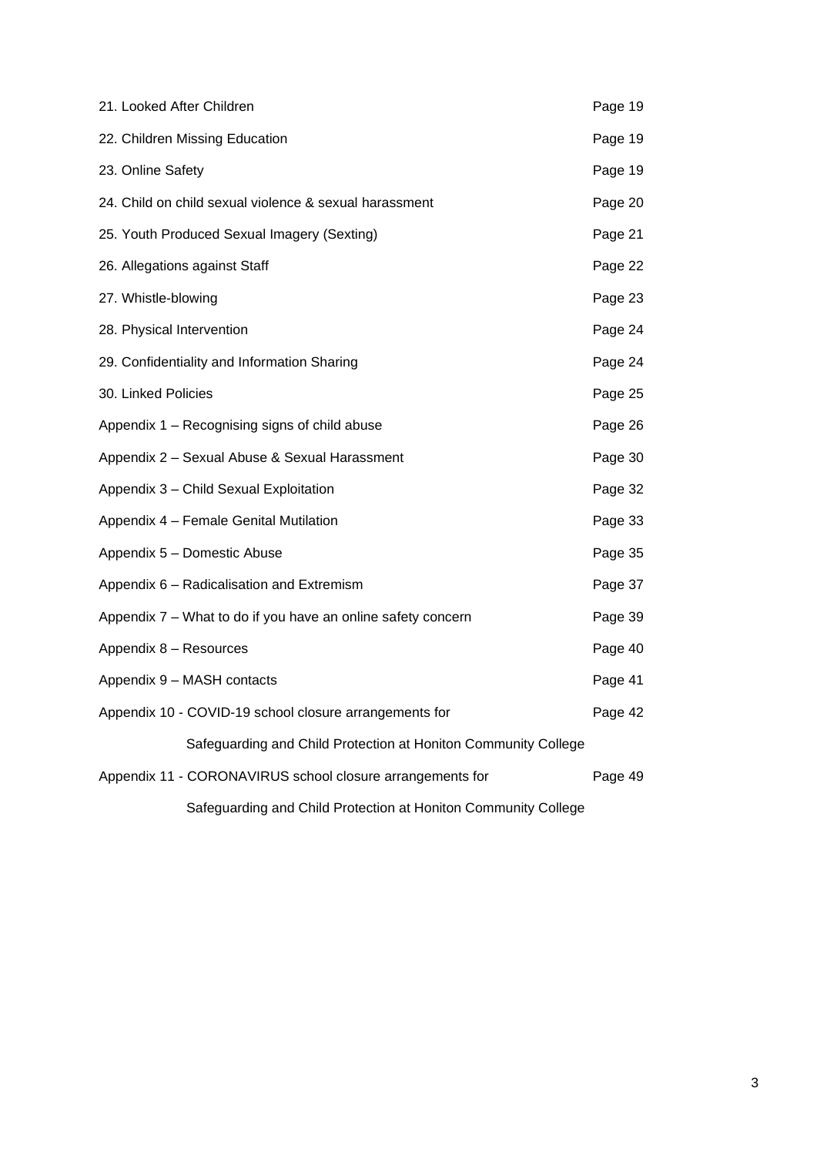| 21. Looked After Children                                      | Page 19 |
|----------------------------------------------------------------|---------|
| 22. Children Missing Education                                 | Page 19 |
| 23. Online Safety                                              | Page 19 |
| 24. Child on child sexual violence & sexual harassment         | Page 20 |
| 25. Youth Produced Sexual Imagery (Sexting)                    | Page 21 |
| 26. Allegations against Staff                                  | Page 22 |
| 27. Whistle-blowing                                            | Page 23 |
| 28. Physical Intervention                                      | Page 24 |
| 29. Confidentiality and Information Sharing                    | Page 24 |
| 30. Linked Policies                                            | Page 25 |
| Appendix 1 - Recognising signs of child abuse                  | Page 26 |
| Appendix 2 - Sexual Abuse & Sexual Harassment                  | Page 30 |
| Appendix 3 - Child Sexual Exploitation                         | Page 32 |
| Appendix 4 - Female Genital Mutilation                         | Page 33 |
| Appendix 5 - Domestic Abuse                                    | Page 35 |
| Appendix 6 - Radicalisation and Extremism                      | Page 37 |
| Appendix 7 – What to do if you have an online safety concern   | Page 39 |
| Appendix 8 - Resources                                         | Page 40 |
| Appendix 9 - MASH contacts                                     | Page 41 |
| Appendix 10 - COVID-19 school closure arrangements for         | Page 42 |
| Safeguarding and Child Protection at Honiton Community College |         |
| Appendix 11 - CORONAVIRUS school closure arrangements for      | Page 49 |
| Safeguarding and Child Protection at Honiton Community College |         |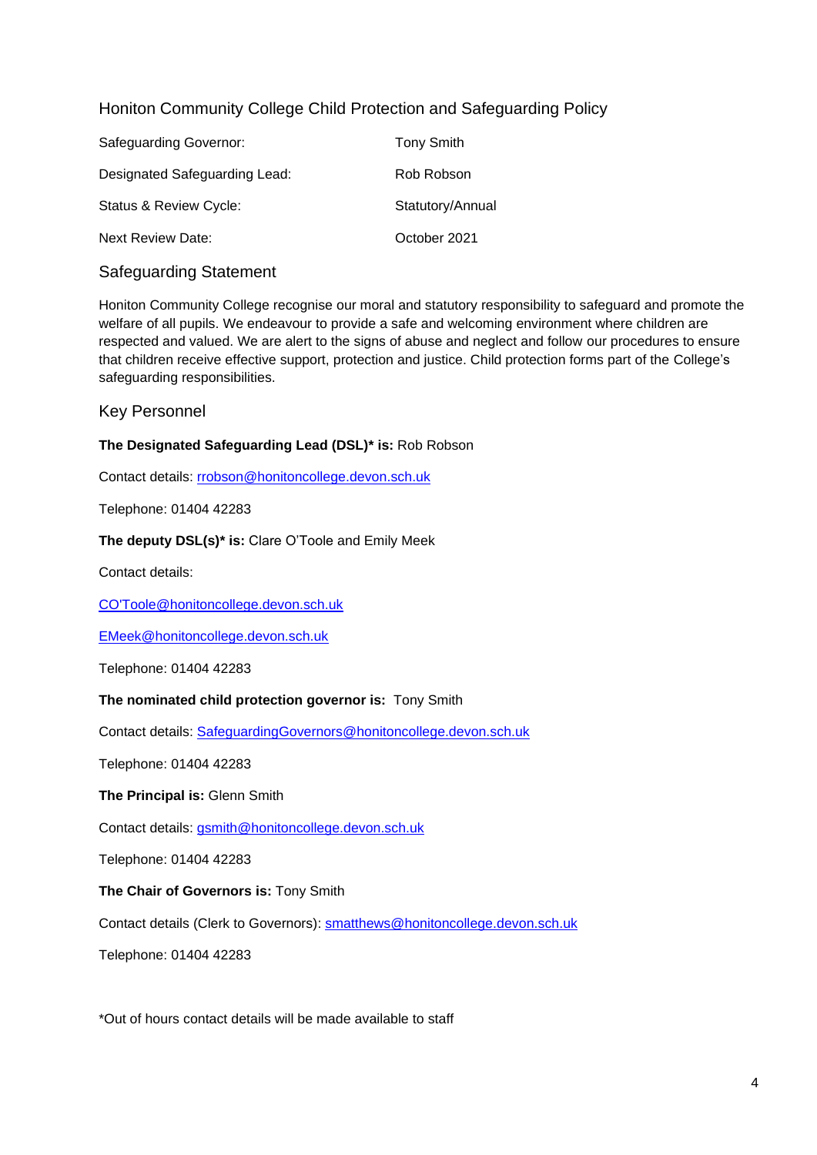## Honiton Community College Child Protection and Safeguarding Policy

| Safeguarding Governor:        | <b>Tony Smith</b> |
|-------------------------------|-------------------|
| Designated Safeguarding Lead: | Rob Robson        |
| Status & Review Cycle:        | Statutory/Annual  |
| <b>Next Review Date:</b>      | October 2021      |

#### Safeguarding Statement

Honiton Community College recognise our moral and statutory responsibility to safeguard and promote the welfare of all pupils. We endeavour to provide a safe and welcoming environment where children are respected and valued. We are alert to the signs of abuse and neglect and follow our procedures to ensure that children receive effective support, protection and justice. Child protection forms part of the College's safeguarding responsibilities.

#### Key Personnel

#### **The Designated Safeguarding Lead (DSL)\* is:** Rob Robson

Contact details: [rrobson@honitoncollege.devon.sch.uk](mailto:rrobson@honitoncollege.devon.sch.uk)

Telephone: 01404 42283

#### **The deputy DSL(s)\* is:** Clare O'Toole and Emily Meek

Contact details:

CO'Toole@honitoncollege.devon.sch.uk

EMeek@honitoncollege.devon.sch.uk

Telephone: 01404 42283

#### **The nominated child protection governor is:** Tony Smith

Contact details: SafeguardingGovernors@honitoncollege.devon.sch.uk

Telephone: 01404 42283

**The Principal is:** Glenn Smith

Contact details: gsmith@honitoncollege.devon.sch.uk

Telephone: 01404 42283

#### **The Chair of Governors is:** Tony Smith

Contact details (Clerk to Governors): [smatthews@honitoncollege.devon.sch.uk](mailto:smatthews@honitoncollege.devon.sch.uk)

Telephone: 01404 42283

\*Out of hours contact details will be made available to staff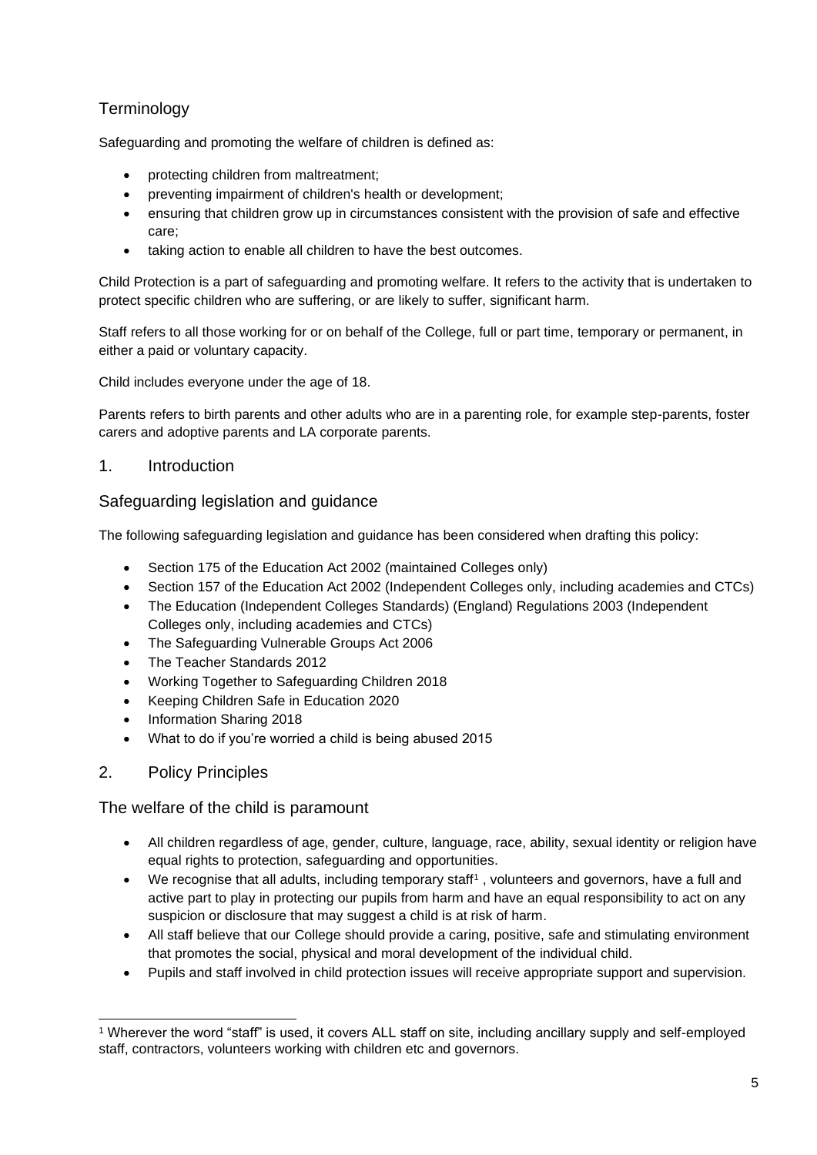# **Terminology**

Safeguarding and promoting the welfare of children is defined as:

- protecting children from maltreatment;
- preventing impairment of children's health or development;
- ensuring that children grow up in circumstances consistent with the provision of safe and effective care;
- taking action to enable all children to have the best outcomes.

Child Protection is a part of safeguarding and promoting welfare. It refers to the activity that is undertaken to protect specific children who are suffering, or are likely to suffer, significant harm.

Staff refers to all those working for or on behalf of the College, full or part time, temporary or permanent, in either a paid or voluntary capacity.

Child includes everyone under the age of 18.

Parents refers to birth parents and other adults who are in a parenting role, for example step-parents, foster carers and adoptive parents and LA corporate parents.

## 1. Introduction

#### Safeguarding legislation and guidance

The following safeguarding legislation and guidance has been considered when drafting this policy:

- Section 175 of the Education Act 2002 (maintained Colleges only)
- Section 157 of the Education Act 2002 (Independent Colleges only, including academies and CTCs)
- The Education (Independent Colleges Standards) (England) Regulations 2003 (Independent Colleges only, including academies and CTCs)
- The Safeguarding Vulnerable Groups Act 2006
- The Teacher Standards 2012
- Working Together to Safeguarding Children 2018
- Keeping Children Safe in Education 2020
- Information Sharing 2018
- What to do if you're worried a child is being abused 2015

#### 2. Policy Principles

#### The welfare of the child is paramount

- All children regardless of age, gender, culture, language, race, ability, sexual identity or religion have equal rights to protection, safeguarding and opportunities.
- We recognise that all adults, including temporary staff<sup>1</sup>, volunteers and governors, have a full and active part to play in protecting our pupils from harm and have an equal responsibility to act on any suspicion or disclosure that may suggest a child is at risk of harm.
- All staff believe that our College should provide a caring, positive, safe and stimulating environment that promotes the social, physical and moral development of the individual child.
- Pupils and staff involved in child protection issues will receive appropriate support and supervision.

<sup>1</sup> Wherever the word "staff" is used, it covers ALL staff on site, including ancillary supply and self-employed staff, contractors, volunteers working with children etc and governors.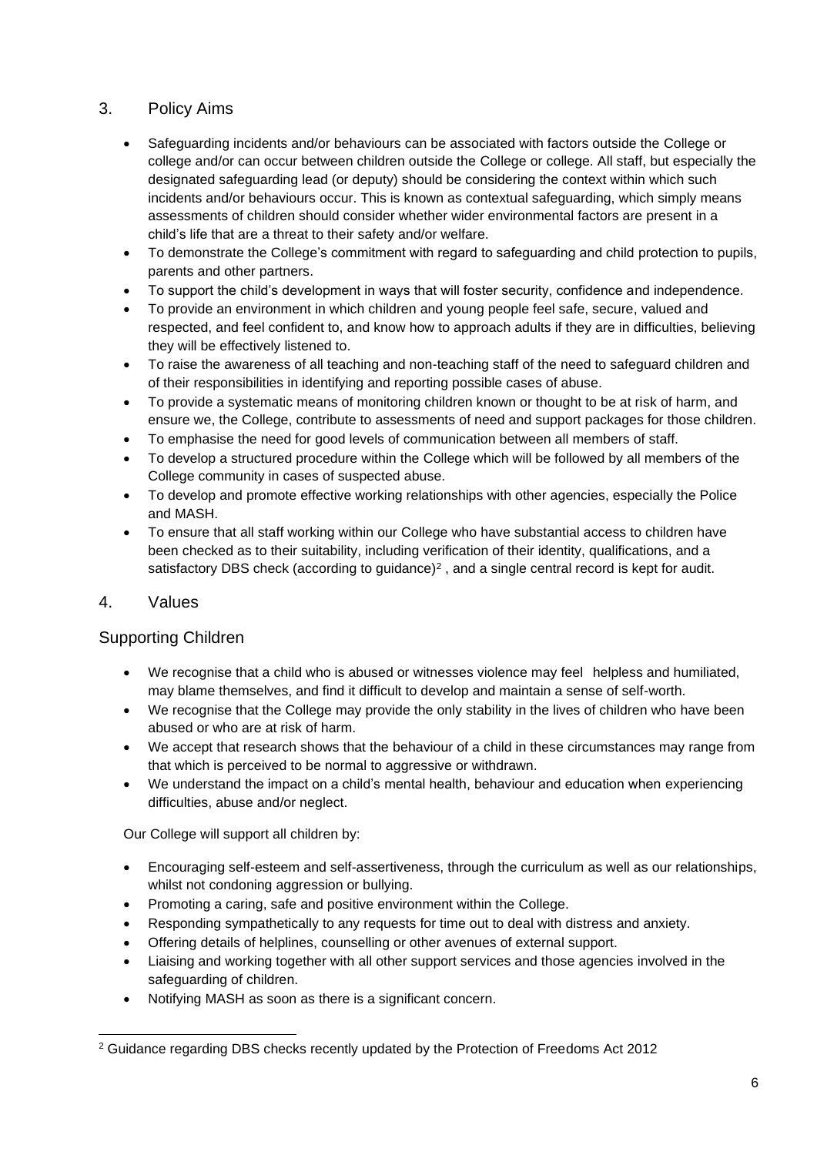## 3. Policy Aims

- Safeguarding incidents and/or behaviours can be associated with factors outside the College or college and/or can occur between children outside the College or college. All staff, but especially the designated safeguarding lead (or deputy) should be considering the context within which such incidents and/or behaviours occur. This is known as contextual safeguarding, which simply means assessments of children should consider whether wider environmental factors are present in a child's life that are a threat to their safety and/or welfare.
- To demonstrate the College's commitment with regard to safeguarding and child protection to pupils, parents and other partners.
- To support the child's development in ways that will foster security, confidence and independence.
- To provide an environment in which children and young people feel safe, secure, valued and respected, and feel confident to, and know how to approach adults if they are in difficulties, believing they will be effectively listened to.
- To raise the awareness of all teaching and non-teaching staff of the need to safeguard children and of their responsibilities in identifying and reporting possible cases of abuse.
- To provide a systematic means of monitoring children known or thought to be at risk of harm, and ensure we, the College, contribute to assessments of need and support packages for those children.
- To emphasise the need for good levels of communication between all members of staff.
- To develop a structured procedure within the College which will be followed by all members of the College community in cases of suspected abuse.
- To develop and promote effective working relationships with other agencies, especially the Police and MASH.
- To ensure that all staff working within our College who have substantial access to children have been checked as to their suitability, including verification of their identity, qualifications, and a satisfactory DBS check (according to guidance)<sup>2</sup>, and a single central record is kept for audit.

#### 4. Values

#### Supporting Children

- We recognise that a child who is abused or witnesses violence may feel helpless and humiliated, may blame themselves, and find it difficult to develop and maintain a sense of self-worth.
- We recognise that the College may provide the only stability in the lives of children who have been abused or who are at risk of harm.
- We accept that research shows that the behaviour of a child in these circumstances may range from that which is perceived to be normal to aggressive or withdrawn.
- We understand the impact on a child's mental health, behaviour and education when experiencing difficulties, abuse and/or neglect.

Our College will support all children by:

- Encouraging self-esteem and self-assertiveness, through the curriculum as well as our relationships, whilst not condoning aggression or bullying.
- Promoting a caring, safe and positive environment within the College.
- Responding sympathetically to any requests for time out to deal with distress and anxiety.
- Offering details of helplines, counselling or other avenues of external support.
- Liaising and working together with all other support services and those agencies involved in the safeguarding of children.
- Notifying MASH as soon as there is a significant concern.

<sup>2</sup> Guidance regarding DBS checks recently updated by the Protection of Freedoms Act 2012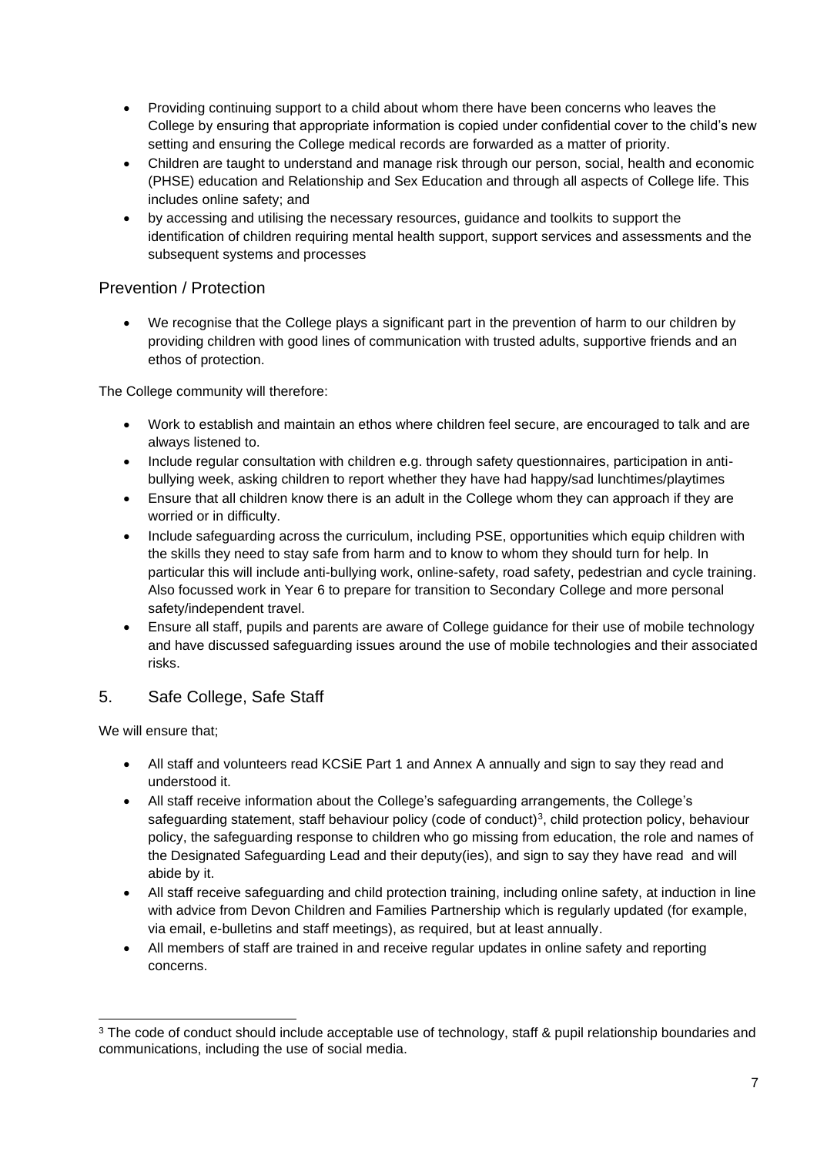- Providing continuing support to a child about whom there have been concerns who leaves the College by ensuring that appropriate information is copied under confidential cover to the child's new setting and ensuring the College medical records are forwarded as a matter of priority.
- Children are taught to understand and manage risk through our person, social, health and economic (PHSE) education and Relationship and Sex Education and through all aspects of College life. This includes online safety; and
- by accessing and utilising the necessary resources, guidance and toolkits to support the identification of children requiring mental health support, support services and assessments and the subsequent systems and processes

## Prevention / Protection

• We recognise that the College plays a significant part in the prevention of harm to our children by providing children with good lines of communication with trusted adults, supportive friends and an ethos of protection.

The College community will therefore:

- Work to establish and maintain an ethos where children feel secure, are encouraged to talk and are always listened to.
- Include regular consultation with children e.g. through safety questionnaires, participation in antibullying week, asking children to report whether they have had happy/sad lunchtimes/playtimes
- Ensure that all children know there is an adult in the College whom they can approach if they are worried or in difficulty.
- Include safeguarding across the curriculum, including PSE, opportunities which equip children with the skills they need to stay safe from harm and to know to whom they should turn for help. In particular this will include anti-bullying work, online-safety, road safety, pedestrian and cycle training. Also focussed work in Year 6 to prepare for transition to Secondary College and more personal safety/independent travel.
- Ensure all staff, pupils and parents are aware of College guidance for their use of mobile technology and have discussed safeguarding issues around the use of mobile technologies and their associated risks.

# 5. Safe College, Safe Staff

We will ensure that:

- All staff and volunteers read KCSiE Part 1 and Annex A annually and sign to say they read and understood it.
- All staff receive information about the College's safeguarding arrangements, the College's safeguarding statement, staff behaviour policy (code of conduct)<sup>3</sup>, child protection policy, behaviour policy, the safeguarding response to children who go missing from education, the role and names of the Designated Safeguarding Lead and their deputy(ies), and sign to say they have read and will abide by it.
- All staff receive safeguarding and child protection training, including online safety, at induction in line with advice from Devon Children and Families Partnership which is regularly updated (for example, via email, e-bulletins and staff meetings), as required, but at least annually.
- All members of staff are trained in and receive regular updates in online safety and reporting concerns.

<sup>&</sup>lt;sup>3</sup> The code of conduct should include acceptable use of technology, staff & pupil relationship boundaries and communications, including the use of social media.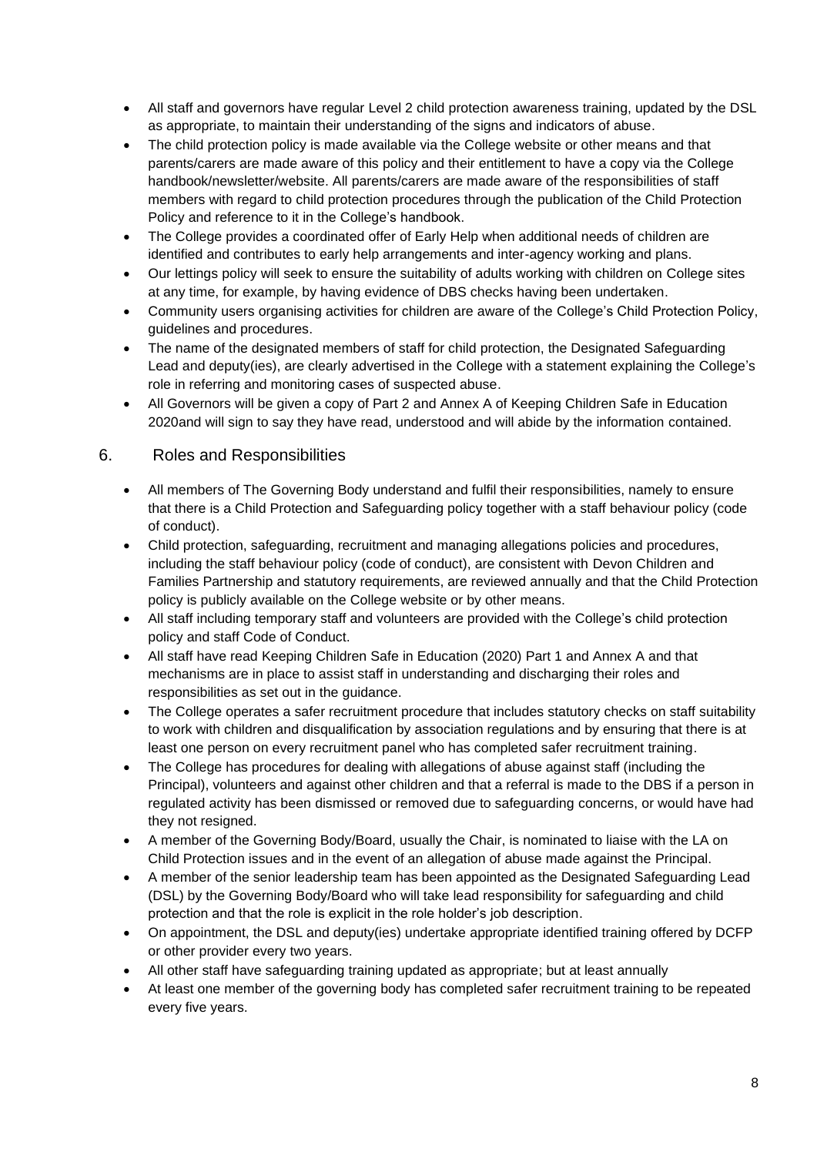- All staff and governors have regular Level 2 child protection awareness training, updated by the DSL as appropriate, to maintain their understanding of the signs and indicators of abuse.
- The child protection policy is made available via the College website or other means and that parents/carers are made aware of this policy and their entitlement to have a copy via the College handbook/newsletter/website. All parents/carers are made aware of the responsibilities of staff members with regard to child protection procedures through the publication of the Child Protection Policy and reference to it in the College's handbook.
- The College provides a coordinated offer of Early Help when additional needs of children are identified and contributes to early help arrangements and inter-agency working and plans.
- Our lettings policy will seek to ensure the suitability of adults working with children on College sites at any time, for example, by having evidence of DBS checks having been undertaken.
- Community users organising activities for children are aware of the College's Child Protection Policy, guidelines and procedures.
- The name of the designated members of staff for child protection, the Designated Safeguarding Lead and deputy(ies), are clearly advertised in the College with a statement explaining the College's role in referring and monitoring cases of suspected abuse.
- All Governors will be given a copy of Part 2 and Annex A of Keeping Children Safe in Education 2020and will sign to say they have read, understood and will abide by the information contained.

#### 6. Roles and Responsibilities

- All members of The Governing Body understand and fulfil their responsibilities, namely to ensure that there is a Child Protection and Safeguarding policy together with a staff behaviour policy (code of conduct).
- Child protection, safeguarding, recruitment and managing allegations policies and procedures, including the staff behaviour policy (code of conduct), are consistent with Devon Children and Families Partnership and statutory requirements, are reviewed annually and that the Child Protection policy is publicly available on the College website or by other means.
- All staff including temporary staff and volunteers are provided with the College's child protection policy and staff Code of Conduct.
- All staff have read Keeping Children Safe in Education (2020) Part 1 and Annex A and that mechanisms are in place to assist staff in understanding and discharging their roles and responsibilities as set out in the guidance.
- The College operates a safer recruitment procedure that includes statutory checks on staff suitability to work with children and disqualification by association regulations and by ensuring that there is at least one person on every recruitment panel who has completed safer recruitment training.
- The College has procedures for dealing with allegations of abuse against staff (including the Principal), volunteers and against other children and that a referral is made to the DBS if a person in regulated activity has been dismissed or removed due to safeguarding concerns, or would have had they not resigned.
- A member of the Governing Body/Board, usually the Chair, is nominated to liaise with the LA on Child Protection issues and in the event of an allegation of abuse made against the Principal.
- A member of the senior leadership team has been appointed as the Designated Safeguarding Lead (DSL) by the Governing Body/Board who will take lead responsibility for safeguarding and child protection and that the role is explicit in the role holder's job description.
- On appointment, the DSL and deputy(ies) undertake appropriate identified training offered by DCFP or other provider every two years.
- All other staff have safeguarding training updated as appropriate; but at least annually
- At least one member of the governing body has completed safer recruitment training to be repeated every five years.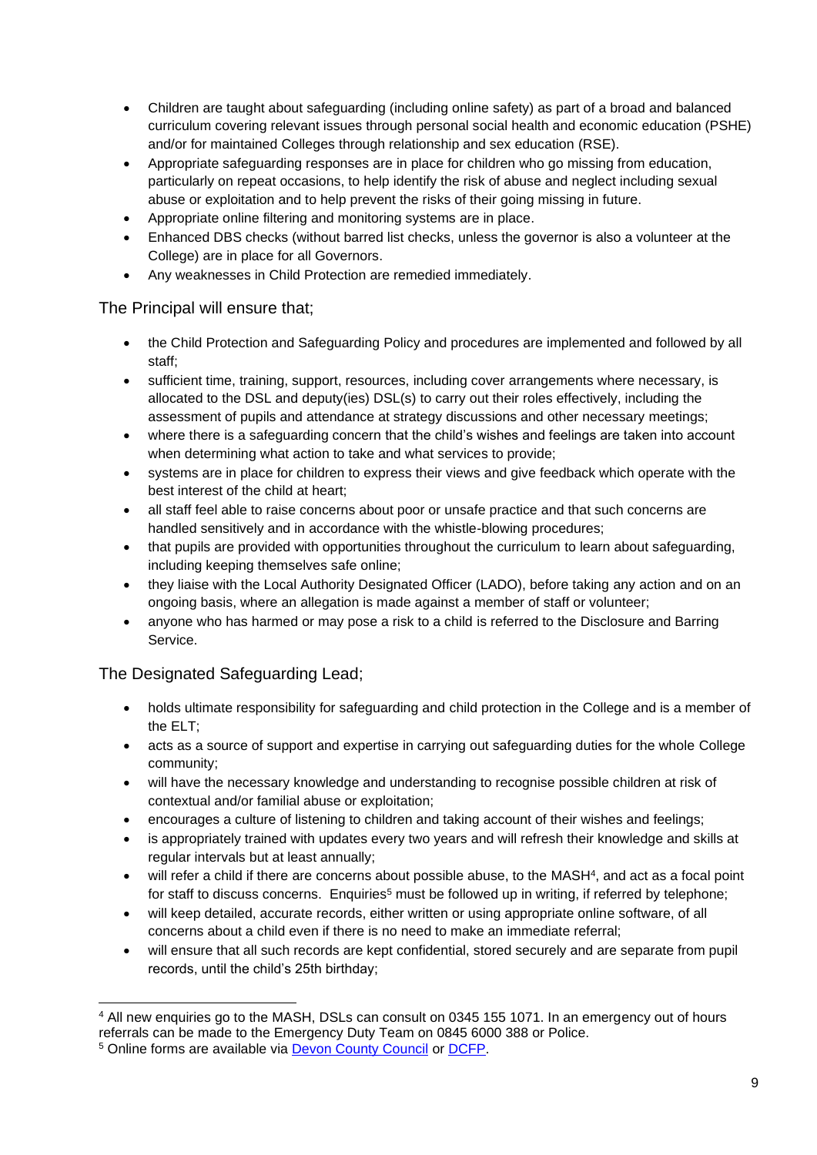- Children are taught about safeguarding (including online safety) as part of a broad and balanced curriculum covering relevant issues through personal social health and economic education (PSHE) and/or for maintained Colleges through relationship and sex education (RSE).
- Appropriate safeguarding responses are in place for children who go missing from education, particularly on repeat occasions, to help identify the risk of abuse and neglect including sexual abuse or exploitation and to help prevent the risks of their going missing in future.
- Appropriate online filtering and monitoring systems are in place.
- Enhanced DBS checks (without barred list checks, unless the governor is also a volunteer at the College) are in place for all Governors.
- Any weaknesses in Child Protection are remedied immediately.

## The Principal will ensure that;

- the Child Protection and Safeguarding Policy and procedures are implemented and followed by all staff;
- sufficient time, training, support, resources, including cover arrangements where necessary, is allocated to the DSL and deputy(ies) DSL(s) to carry out their roles effectively, including the assessment of pupils and attendance at strategy discussions and other necessary meetings;
- where there is a safeguarding concern that the child's wishes and feelings are taken into account when determining what action to take and what services to provide;
- systems are in place for children to express their views and give feedback which operate with the best interest of the child at heart;
- all staff feel able to raise concerns about poor or unsafe practice and that such concerns are handled sensitively and in accordance with the whistle-blowing procedures;
- that pupils are provided with opportunities throughout the curriculum to learn about safeguarding, including keeping themselves safe online;
- they liaise with the Local Authority Designated Officer (LADO), before taking any action and on an ongoing basis, where an allegation is made against a member of staff or volunteer;
- anyone who has harmed or may pose a risk to a child is referred to the Disclosure and Barring Service.

# The Designated Safeguarding Lead;

- holds ultimate responsibility for safeguarding and child protection in the College and is a member of the ELT;
- acts as a source of support and expertise in carrying out safeguarding duties for the whole College community;
- will have the necessary knowledge and understanding to recognise possible children at risk of contextual and/or familial abuse or exploitation;
- encourages a culture of listening to children and taking account of their wishes and feelings;
- is appropriately trained with updates every two years and will refresh their knowledge and skills at regular intervals but at least annually;
- will refer a child if there are concerns about possible abuse, to the MASH<sup>4</sup>, and act as a focal point for staff to discuss concerns. Enquiries<sup>5</sup> must be followed up in writing, if referred by telephone;
- will keep detailed, accurate records, either written or using appropriate online software, of all concerns about a child even if there is no need to make an immediate referral;
- will ensure that all such records are kept confidential, stored securely and are separate from pupil records, until the child's 25th birthday;

<sup>4</sup> All new enquiries go to the MASH, DSLs can consult on 0345 155 1071. In an emergency out of hours referrals can be made to the Emergency Duty Team on 0845 6000 388 or Police.

<sup>5</sup> Online forms are available via [Devon County Council](https://new.devon.gov.uk/educationandfamilies/child-protection/making-a-mash-enquiry) or [DCFP.](https://www.devonchildrenandfamiliespartnership.org.uk/)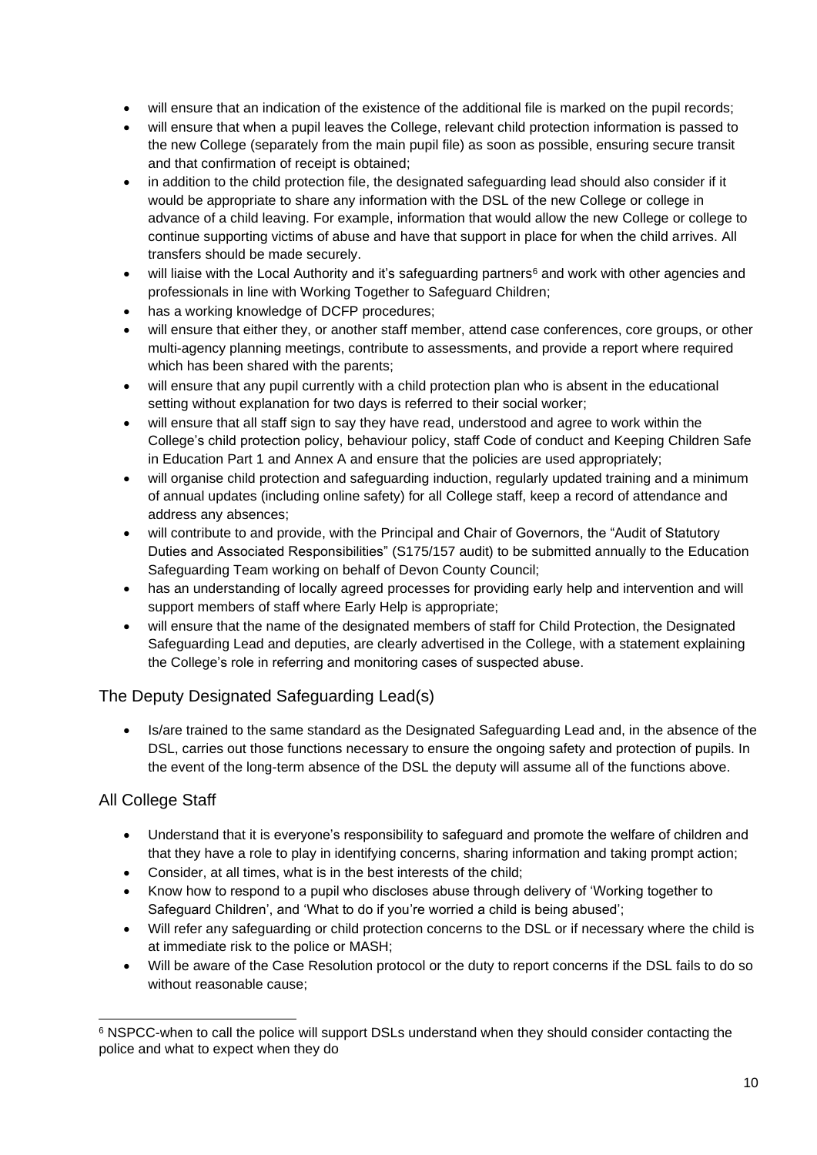- will ensure that an indication of the existence of the additional file is marked on the pupil records;
- will ensure that when a pupil leaves the College, relevant child protection information is passed to the new College (separately from the main pupil file) as soon as possible, ensuring secure transit and that confirmation of receipt is obtained;
- in addition to the child protection file, the designated safeguarding lead should also consider if it would be appropriate to share any information with the DSL of the new College or college in advance of a child leaving. For example, information that would allow the new College or college to continue supporting victims of abuse and have that support in place for when the child arrives. All transfers should be made securely.
- will liaise with the Local Authority and it's safeguarding partners<sup>6</sup> and work with other agencies and professionals in line with Working Together to Safeguard Children;
- has a working knowledge of DCFP procedures;
- will ensure that either they, or another staff member, attend case conferences, core groups, or other multi-agency planning meetings, contribute to assessments, and provide a report where required which has been shared with the parents;
- will ensure that any pupil currently with a child protection plan who is absent in the educational setting without explanation for two days is referred to their social worker;
- will ensure that all staff sign to say they have read, understood and agree to work within the College's child protection policy, behaviour policy, staff Code of conduct and Keeping Children Safe in Education Part 1 and Annex A and ensure that the policies are used appropriately;
- will organise child protection and safeguarding induction, regularly updated training and a minimum of annual updates (including online safety) for all College staff, keep a record of attendance and address any absences;
- will contribute to and provide, with the Principal and Chair of Governors, the "Audit of Statutory Duties and Associated Responsibilities" (S175/157 audit) to be submitted annually to the Education Safeguarding Team working on behalf of Devon County Council;
- has an understanding of locally agreed processes for providing early help and intervention and will support members of staff where Early Help is appropriate;
- will ensure that the name of the designated members of staff for Child Protection, the Designated Safeguarding Lead and deputies, are clearly advertised in the College, with a statement explaining the College's role in referring and monitoring cases of suspected abuse.

# The Deputy Designated Safeguarding Lead(s)

• Is/are trained to the same standard as the Designated Safeguarding Lead and, in the absence of the DSL, carries out those functions necessary to ensure the ongoing safety and protection of pupils. In the event of the long-term absence of the DSL the deputy will assume all of the functions above.

# All College Staff

- Understand that it is everyone's responsibility to safeguard and promote the welfare of children and that they have a role to play in identifying concerns, sharing information and taking prompt action;
- Consider, at all times, what is in the best interests of the child;
- Know how to respond to a pupil who discloses abuse through delivery of 'Working together to Safeguard Children', and 'What to do if you're worried a child is being abused';
- Will refer any safeguarding or child protection concerns to the DSL or if necessary where the child is at immediate risk to the police or MASH;
- Will be aware of the Case Resolution protocol or the duty to report concerns if the DSL fails to do so without reasonable cause;

<sup>6</sup> NSPCC-when to call the police will support DSLs understand when they should consider contacting the police and what to expect when they do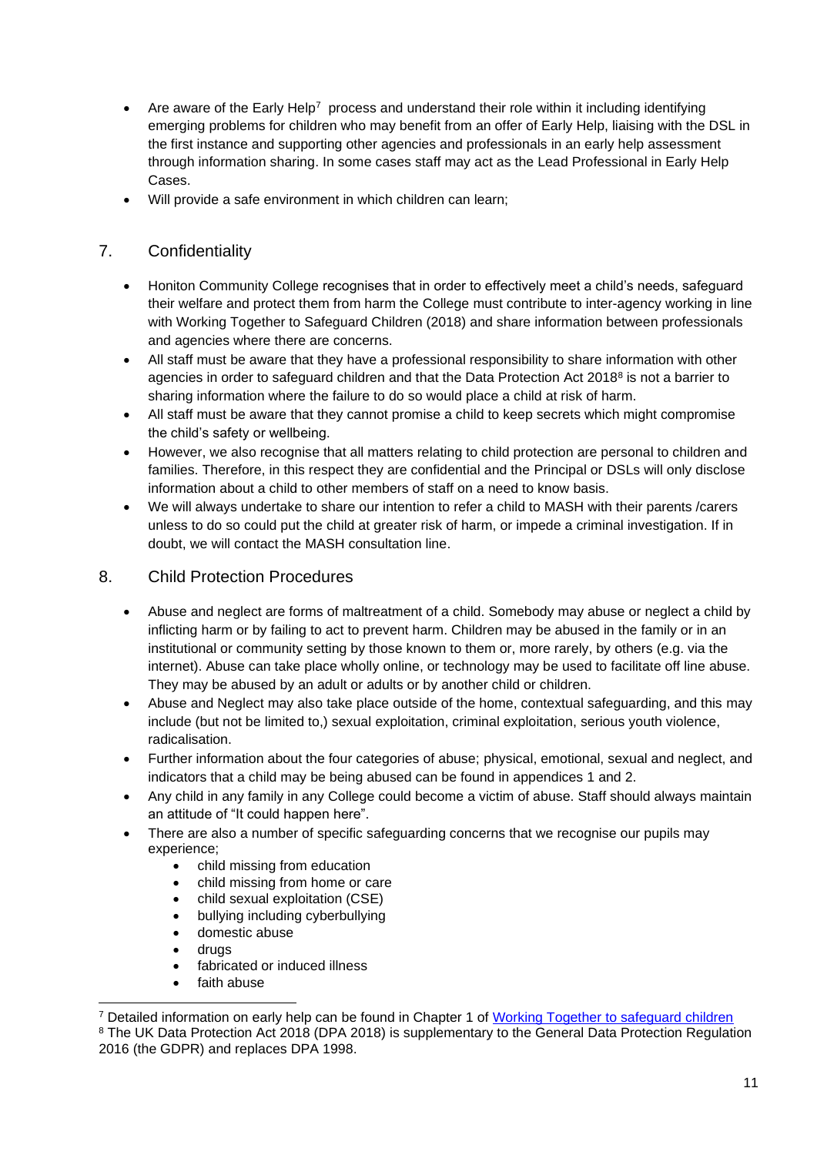- Are aware of the Early Help<sup>7</sup> process and understand their role within it including identifying emerging problems for children who may benefit from an offer of Early Help, liaising with the DSL in the first instance and supporting other agencies and professionals in an early help assessment through information sharing. In some cases staff may act as the Lead Professional in Early Help Cases.
- Will provide a safe environment in which children can learn;

## 7. Confidentiality

- Honiton Community College recognises that in order to effectively meet a child's needs, safeguard their welfare and protect them from harm the College must contribute to inter-agency working in line with Working Together to Safeguard Children (2018) and share information between professionals and agencies where there are concerns.
- All staff must be aware that they have a professional responsibility to share information with other agencies in order to safeguard children and that the Data Protection Act 2018<sup>8</sup> is not a barrier to sharing information where the failure to do so would place a child at risk of harm.
- All staff must be aware that they cannot promise a child to keep secrets which might compromise the child's safety or wellbeing.
- However, we also recognise that all matters relating to child protection are personal to children and families. Therefore, in this respect they are confidential and the Principal or DSLs will only disclose information about a child to other members of staff on a need to know basis.
- We will always undertake to share our intention to refer a child to MASH with their parents /carers unless to do so could put the child at greater risk of harm, or impede a criminal investigation. If in doubt, we will contact the MASH consultation line.

#### 8. Child Protection Procedures

- Abuse and neglect are forms of maltreatment of a child. Somebody may abuse or neglect a child by inflicting harm or by failing to act to prevent harm. Children may be abused in the family or in an institutional or community setting by those known to them or, more rarely, by others (e.g. via the internet). Abuse can take place wholly online, or technology may be used to facilitate off line abuse. They may be abused by an adult or adults or by another child or children.
- Abuse and Neglect may also take place outside of the home, contextual safeguarding, and this may include (but not be limited to,) sexual exploitation, criminal exploitation, serious youth violence, radicalisation.
- Further information about the four categories of abuse; physical, emotional, sexual and neglect, and indicators that a child may be being abused can be found in appendices 1 and 2.
- Any child in any family in any College could become a victim of abuse. Staff should always maintain an attitude of "It could happen here".
- There are also a number of specific safeguarding concerns that we recognise our pupils may experience;
	- child missing from education
	- child missing from home or care
	- child sexual exploitation (CSE)
	- bullying including cyberbullying
	- domestic abuse
	- drugs
	- fabricated or induced illness
	- faith abuse

<sup>7</sup> Detailed information on early help can be found in Chapter 1 of [Working Together to safeguard children](https://www.gov.uk/government/uploads/system/uploads/attachment_data/file/592101/Working_Together_to_Safeguard_Children_20170213.pdf) <sup>8</sup> The UK Data Protection Act 2018 (DPA 2018) is supplementary to the General Data Protection Regulation 2016 (the GDPR) and replaces DPA 1998.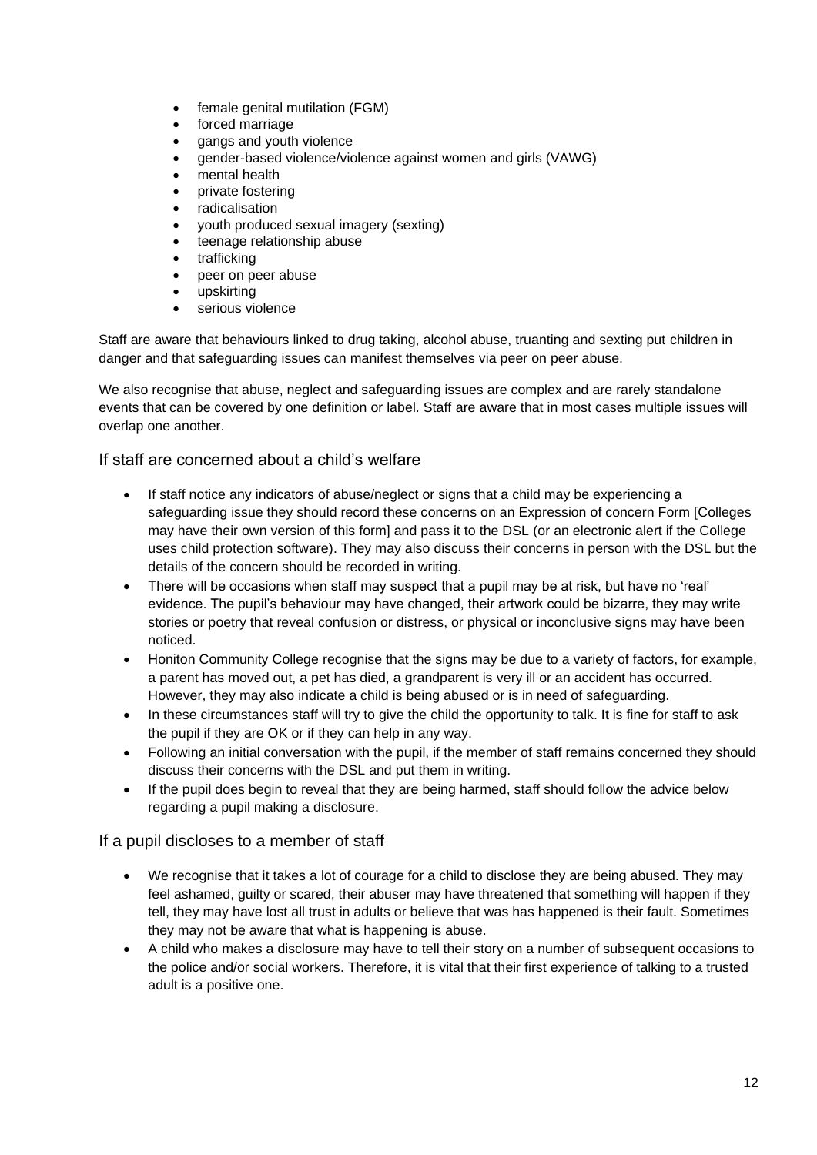- female genital mutilation (FGM)
- forced marriage
- gangs and youth violence
- gender-based violence/violence against women and girls (VAWG)
- mental health
- private fostering
- radicalisation
- youth produced sexual imagery (sexting)
- teenage relationship abuse
- trafficking
- peer on peer abuse
- upskirting
- serious violence

Staff are aware that behaviours linked to drug taking, alcohol abuse, truanting and sexting put children in danger and that safeguarding issues can manifest themselves via peer on peer abuse.

We also recognise that abuse, neglect and safeguarding issues are complex and are rarely standalone events that can be covered by one definition or label. Staff are aware that in most cases multiple issues will overlap one another.

#### If staff are concerned about a child's welfare

- If staff notice any indicators of abuse/neglect or signs that a child may be experiencing a safeguarding issue they should record these concerns on an Expression of concern Form [Colleges may have their own version of this form] and pass it to the DSL (or an electronic alert if the College uses child protection software). They may also discuss their concerns in person with the DSL but the details of the concern should be recorded in writing.
- There will be occasions when staff may suspect that a pupil may be at risk, but have no 'real' evidence. The pupil's behaviour may have changed, their artwork could be bizarre, they may write stories or poetry that reveal confusion or distress, or physical or inconclusive signs may have been noticed.
- Honiton Community College recognise that the signs may be due to a variety of factors, for example, a parent has moved out, a pet has died, a grandparent is very ill or an accident has occurred. However, they may also indicate a child is being abused or is in need of safeguarding.
- In these circumstances staff will try to give the child the opportunity to talk. It is fine for staff to ask the pupil if they are OK or if they can help in any way.
- Following an initial conversation with the pupil, if the member of staff remains concerned they should discuss their concerns with the DSL and put them in writing.
- If the pupil does begin to reveal that they are being harmed, staff should follow the advice below regarding a pupil making a disclosure.

#### If a pupil discloses to a member of staff

- We recognise that it takes a lot of courage for a child to disclose they are being abused. They may feel ashamed, guilty or scared, their abuser may have threatened that something will happen if they tell, they may have lost all trust in adults or believe that was has happened is their fault. Sometimes they may not be aware that what is happening is abuse.
- A child who makes a disclosure may have to tell their story on a number of subsequent occasions to the police and/or social workers. Therefore, it is vital that their first experience of talking to a trusted adult is a positive one.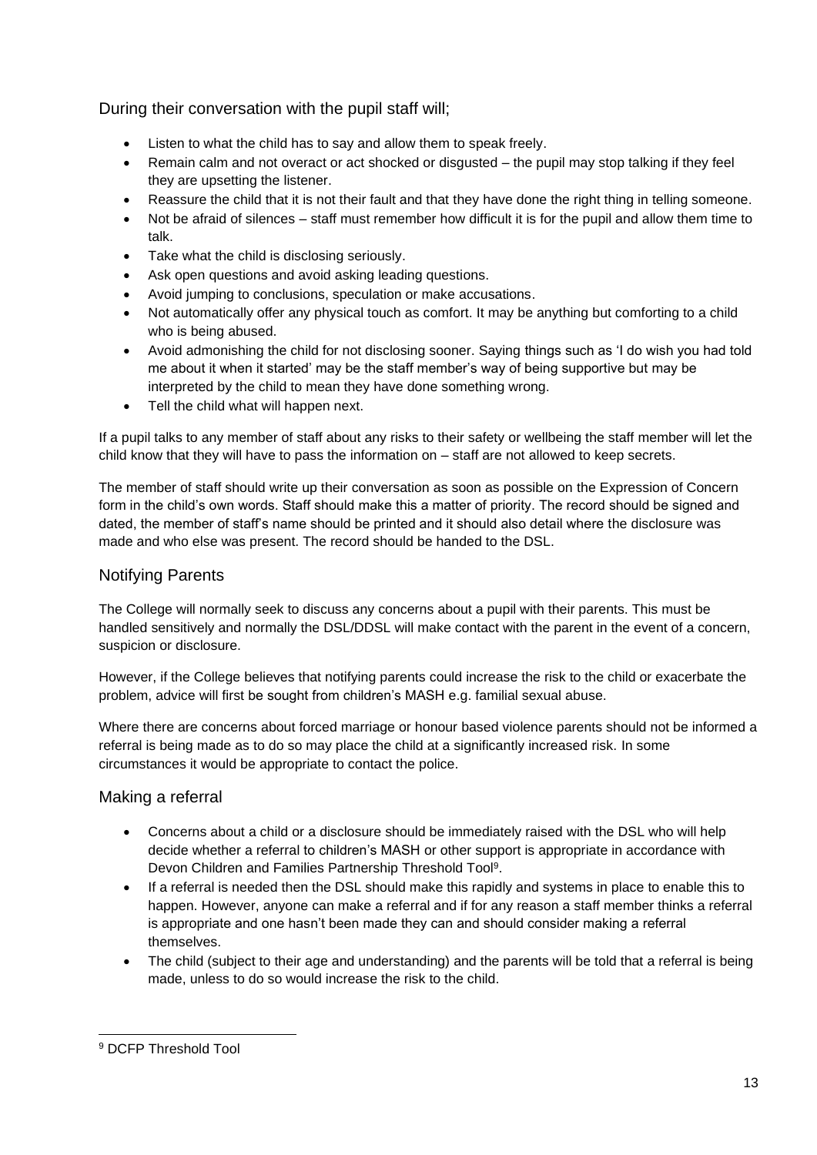During their conversation with the pupil staff will;

- Listen to what the child has to say and allow them to speak freely.
- Remain calm and not overact or act shocked or disgusted the pupil may stop talking if they feel they are upsetting the listener.
- Reassure the child that it is not their fault and that they have done the right thing in telling someone.
- Not be afraid of silences staff must remember how difficult it is for the pupil and allow them time to talk.
- Take what the child is disclosing seriously.
- Ask open questions and avoid asking leading questions.
- Avoid jumping to conclusions, speculation or make accusations.
- Not automatically offer any physical touch as comfort. It may be anything but comforting to a child who is being abused.
- Avoid admonishing the child for not disclosing sooner. Saying things such as 'I do wish you had told me about it when it started' may be the staff member's way of being supportive but may be interpreted by the child to mean they have done something wrong.
- Tell the child what will happen next.

If a pupil talks to any member of staff about any risks to their safety or wellbeing the staff member will let the child know that they will have to pass the information on – staff are not allowed to keep secrets.

The member of staff should write up their conversation as soon as possible on the Expression of Concern form in the child's own words. Staff should make this a matter of priority. The record should be signed and dated, the member of staff's name should be printed and it should also detail where the disclosure was made and who else was present. The record should be handed to the DSL.

#### Notifying Parents

The College will normally seek to discuss any concerns about a pupil with their parents. This must be handled sensitively and normally the DSL/DDSL will make contact with the parent in the event of a concern, suspicion or disclosure.

However, if the College believes that notifying parents could increase the risk to the child or exacerbate the problem, advice will first be sought from children's MASH e.g. familial sexual abuse.

Where there are concerns about forced marriage or honour based violence parents should not be informed a referral is being made as to do so may place the child at a significantly increased risk. In some circumstances it would be appropriate to contact the police.

#### Making a referral

- Concerns about a child or a disclosure should be immediately raised with the DSL who will help decide whether a referral to children's MASH or other support is appropriate in accordance with Devon Children and Families Partnership Threshold Tool<sup>9</sup>.
- If a referral is needed then the DSL should make this rapidly and systems in place to enable this to happen. However, anyone can make a referral and if for any reason a staff member thinks a referral is appropriate and one hasn't been made they can and should consider making a referral themselves.
- The child (subject to their age and understanding) and the parents will be told that a referral is being made, unless to do so would increase the risk to the child.

<sup>9</sup> DCFP Threshold Tool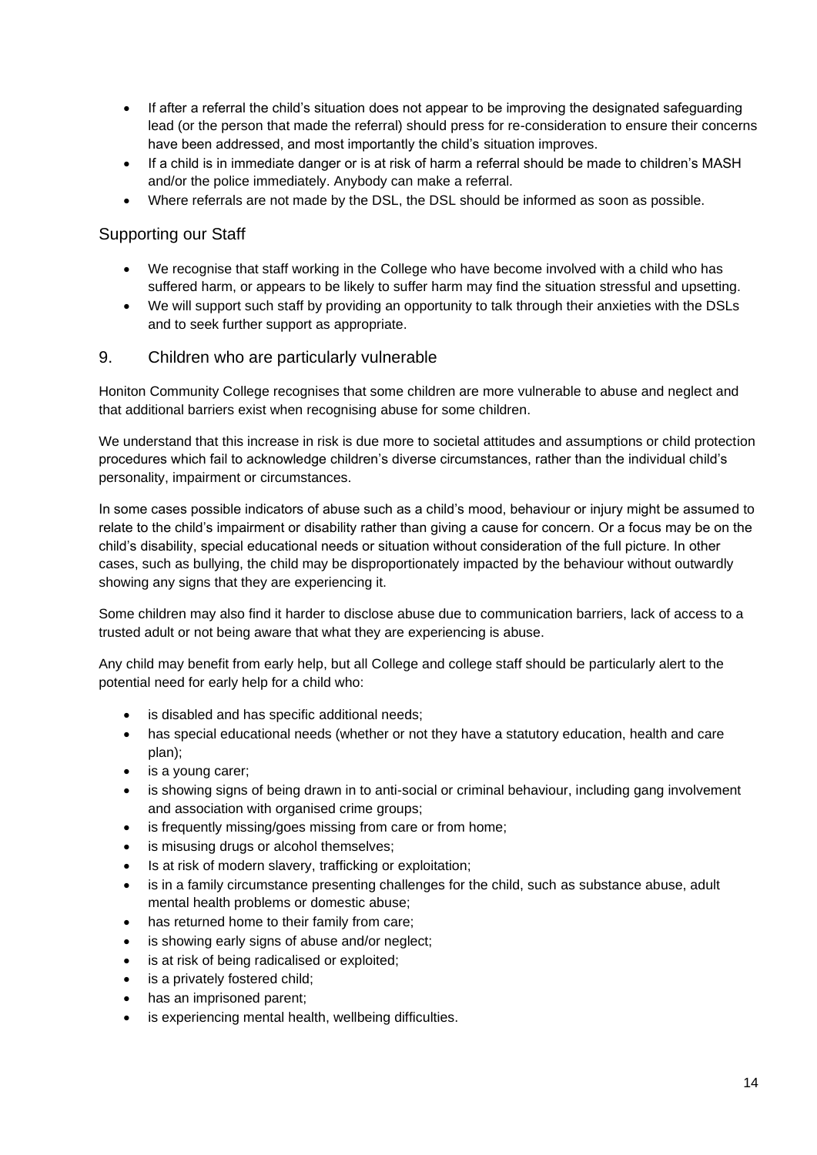- If after a referral the child's situation does not appear to be improving the designated safeguarding lead (or the person that made the referral) should press for re-consideration to ensure their concerns have been addressed, and most importantly the child's situation improves.
- If a child is in immediate danger or is at risk of harm a referral should be made to children's MASH and/or the police immediately. Anybody can make a referral.
- Where referrals are not made by the DSL, the DSL should be informed as soon as possible.

#### Supporting our Staff

- We recognise that staff working in the College who have become involved with a child who has suffered harm, or appears to be likely to suffer harm may find the situation stressful and upsetting.
- We will support such staff by providing an opportunity to talk through their anxieties with the DSLs and to seek further support as appropriate.

#### 9. Children who are particularly vulnerable

Honiton Community College recognises that some children are more vulnerable to abuse and neglect and that additional barriers exist when recognising abuse for some children.

We understand that this increase in risk is due more to societal attitudes and assumptions or child protection procedures which fail to acknowledge children's diverse circumstances, rather than the individual child's personality, impairment or circumstances.

In some cases possible indicators of abuse such as a child's mood, behaviour or injury might be assumed to relate to the child's impairment or disability rather than giving a cause for concern. Or a focus may be on the child's disability, special educational needs or situation without consideration of the full picture. In other cases, such as bullying, the child may be disproportionately impacted by the behaviour without outwardly showing any signs that they are experiencing it.

Some children may also find it harder to disclose abuse due to communication barriers, lack of access to a trusted adult or not being aware that what they are experiencing is abuse.

Any child may benefit from early help, but all College and college staff should be particularly alert to the potential need for early help for a child who:

- is disabled and has specific additional needs;
- has special educational needs (whether or not they have a statutory education, health and care plan);
- is a young carer;
- is showing signs of being drawn in to anti-social or criminal behaviour, including gang involvement and association with organised crime groups;
- is frequently missing/goes missing from care or from home:
- is misusing drugs or alcohol themselves;
- Is at risk of modern slavery, trafficking or exploitation;
- is in a family circumstance presenting challenges for the child, such as substance abuse, adult mental health problems or domestic abuse;
- has returned home to their family from care;
- is showing early signs of abuse and/or neglect;
- is at risk of being radicalised or exploited;
- is a privately fostered child;
- has an imprisoned parent;
- is experiencing mental health, wellbeing difficulties.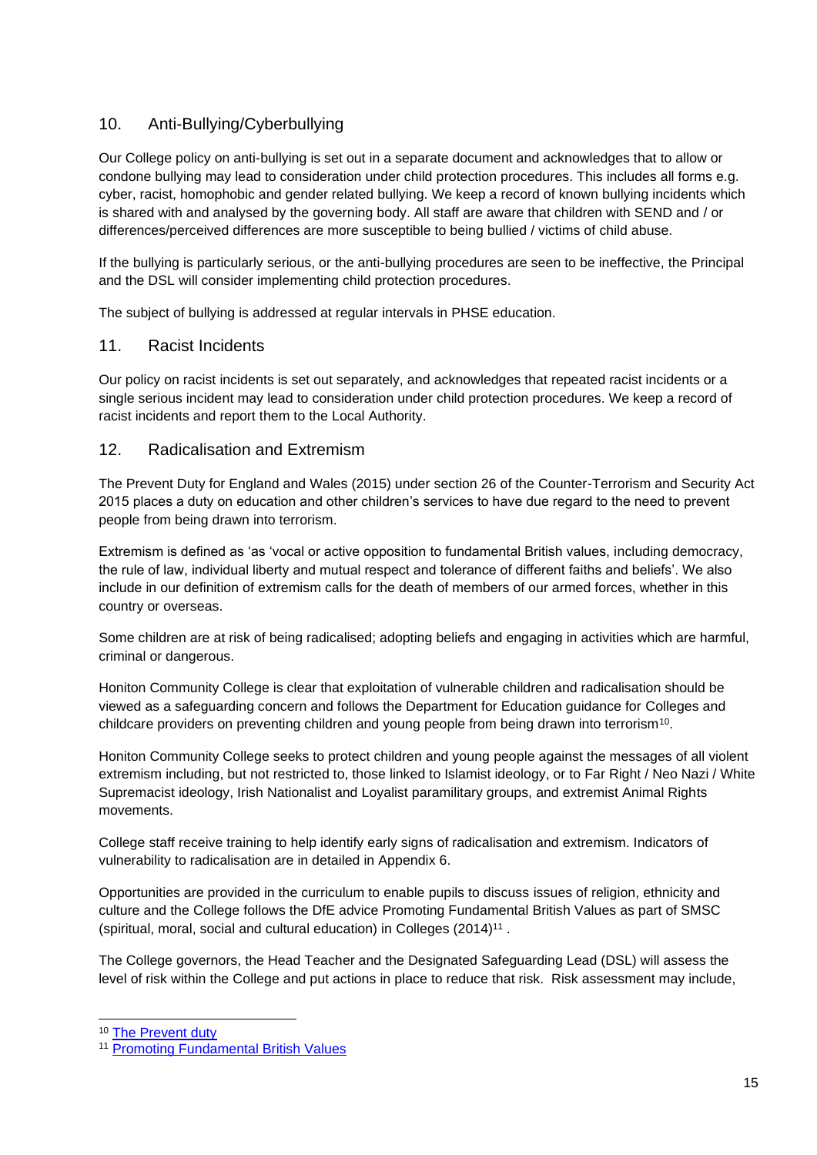# 10. Anti-Bullying/Cyberbullying

Our College policy on anti-bullying is set out in a separate document and acknowledges that to allow or condone bullying may lead to consideration under child protection procedures. This includes all forms e.g. cyber, racist, homophobic and gender related bullying. We keep a record of known bullying incidents which is shared with and analysed by the governing body. All staff are aware that children with SEND and / or differences/perceived differences are more susceptible to being bullied / victims of child abuse.

If the bullying is particularly serious, or the anti-bullying procedures are seen to be ineffective, the Principal and the DSL will consider implementing child protection procedures.

The subject of bullying is addressed at regular intervals in PHSE education.

#### 11. Racist Incidents

Our policy on racist incidents is set out separately, and acknowledges that repeated racist incidents or a single serious incident may lead to consideration under child protection procedures. We keep a record of racist incidents and report them to the Local Authority.

#### 12. Radicalisation and Extremism

The Prevent Duty for England and Wales (2015) under section 26 of the Counter-Terrorism and Security Act 2015 places a duty on education and other children's services to have due regard to the need to prevent people from being drawn into terrorism.

Extremism is defined as 'as 'vocal or active opposition to fundamental British values, including democracy, the rule of law, individual liberty and mutual respect and tolerance of different faiths and beliefs'. We also include in our definition of extremism calls for the death of members of our armed forces, whether in this country or overseas.

Some children are at risk of being radicalised; adopting beliefs and engaging in activities which are harmful, criminal or dangerous.

Honiton Community College is clear that exploitation of vulnerable children and radicalisation should be viewed as a safeguarding concern and follows the Department for Education guidance for Colleges and childcare providers on preventing children and young people from being drawn into terrorism<sup>10</sup>.

Honiton Community College seeks to protect children and young people against the messages of all violent extremism including, but not restricted to, those linked to Islamist ideology, or to Far Right / Neo Nazi / White Supremacist ideology, Irish Nationalist and Loyalist paramilitary groups, and extremist Animal Rights movements.

College staff receive training to help identify early signs of radicalisation and extremism. Indicators of vulnerability to radicalisation are in detailed in Appendix 6.

Opportunities are provided in the curriculum to enable pupils to discuss issues of religion, ethnicity and culture and the College follows the DfE advice Promoting Fundamental British Values as part of SMSC (spiritual, moral, social and cultural education) in Colleges (2014)<sup>11</sup>.

The College governors, the Head Teacher and the Designated Safeguarding Lead (DSL) will assess the level of risk within the College and put actions in place to reduce that risk. Risk assessment may include,

<sup>10</sup> [The Prevent duty](https://www.gov.uk/government/uploads/system/uploads/attachment_data/file/439598/prevent-duty-departmental-advice-v6.pdf)

<sup>11</sup> [Promoting Fundamental British Values](https://www.gov.uk/government/uploads/system/uploads/attachment_data/file/380595/SMSC_Guidance_Maintained_Schools.pdf)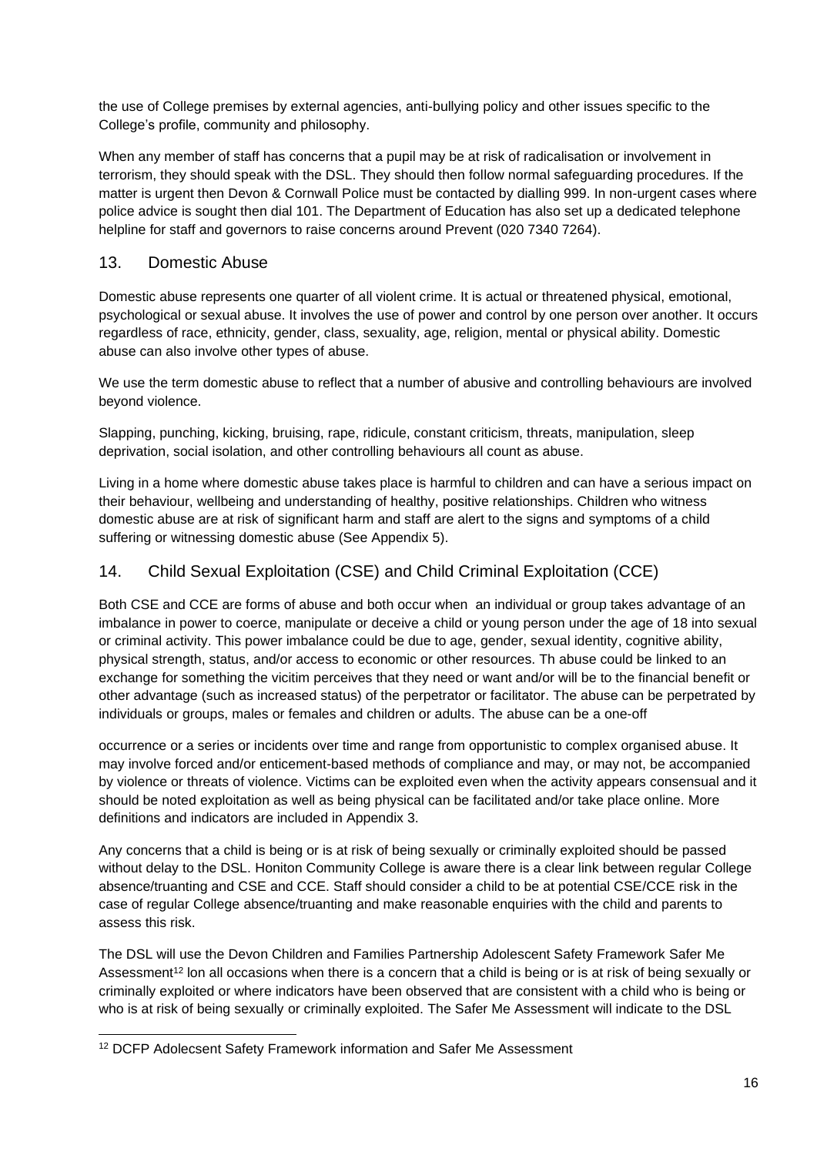the use of College premises by external agencies, anti-bullying policy and other issues specific to the College's profile, community and philosophy.

When any member of staff has concerns that a pupil may be at risk of radicalisation or involvement in terrorism, they should speak with the DSL. They should then follow normal safeguarding procedures. If the matter is urgent then Devon & Cornwall Police must be contacted by dialling 999. In non-urgent cases where police advice is sought then dial 101. The Department of Education has also set up a dedicated telephone helpline for staff and governors to raise concerns around Prevent (020 7340 7264).

## 13. Domestic Abuse

Domestic abuse represents one quarter of all violent crime. It is actual or threatened physical, emotional, psychological or sexual abuse. It involves the use of power and control by one person over another. It occurs regardless of race, ethnicity, gender, class, sexuality, age, religion, mental or physical ability. Domestic abuse can also involve other types of abuse.

We use the term domestic abuse to reflect that a number of abusive and controlling behaviours are involved beyond violence.

Slapping, punching, kicking, bruising, rape, ridicule, constant criticism, threats, manipulation, sleep deprivation, social isolation, and other controlling behaviours all count as abuse.

Living in a home where domestic abuse takes place is harmful to children and can have a serious impact on their behaviour, wellbeing and understanding of healthy, positive relationships. Children who witness domestic abuse are at risk of significant harm and staff are alert to the signs and symptoms of a child suffering or witnessing domestic abuse (See Appendix 5).

# 14. Child Sexual Exploitation (CSE) and Child Criminal Exploitation (CCE)

Both CSE and CCE are forms of abuse and both occur when an individual or group takes advantage of an imbalance in power to coerce, manipulate or deceive a child or young person under the age of 18 into sexual or criminal activity. This power imbalance could be due to age, gender, sexual identity, cognitive ability, physical strength, status, and/or access to economic or other resources. Th abuse could be linked to an exchange for something the vicitim perceives that they need or want and/or will be to the financial benefit or other advantage (such as increased status) of the perpetrator or facilitator. The abuse can be perpetrated by individuals or groups, males or females and children or adults. The abuse can be a one-off

occurrence or a series or incidents over time and range from opportunistic to complex organised abuse. It may involve forced and/or enticement-based methods of compliance and may, or may not, be accompanied by violence or threats of violence. Victims can be exploited even when the activity appears consensual and it should be noted exploitation as well as being physical can be facilitated and/or take place online. More definitions and indicators are included in Appendix 3.

Any concerns that a child is being or is at risk of being sexually or criminally exploited should be passed without delay to the DSL. Honiton Community College is aware there is a clear link between regular College absence/truanting and CSE and CCE. Staff should consider a child to be at potential CSE/CCE risk in the case of regular College absence/truanting and make reasonable enquiries with the child and parents to assess this risk.

The DSL will use the Devon Children and Families Partnership Adolescent Safety Framework Safer Me Assessment<sup>12</sup> lon all occasions when there is a concern that a child is being or is at risk of being sexually or criminally exploited or where indicators have been observed that are consistent with a child who is being or who is at risk of being sexually or criminally exploited. The Safer Me Assessment will indicate to the DSL

<sup>12</sup> DCFP Adolecsent Safety Framework information and Safer Me Assessment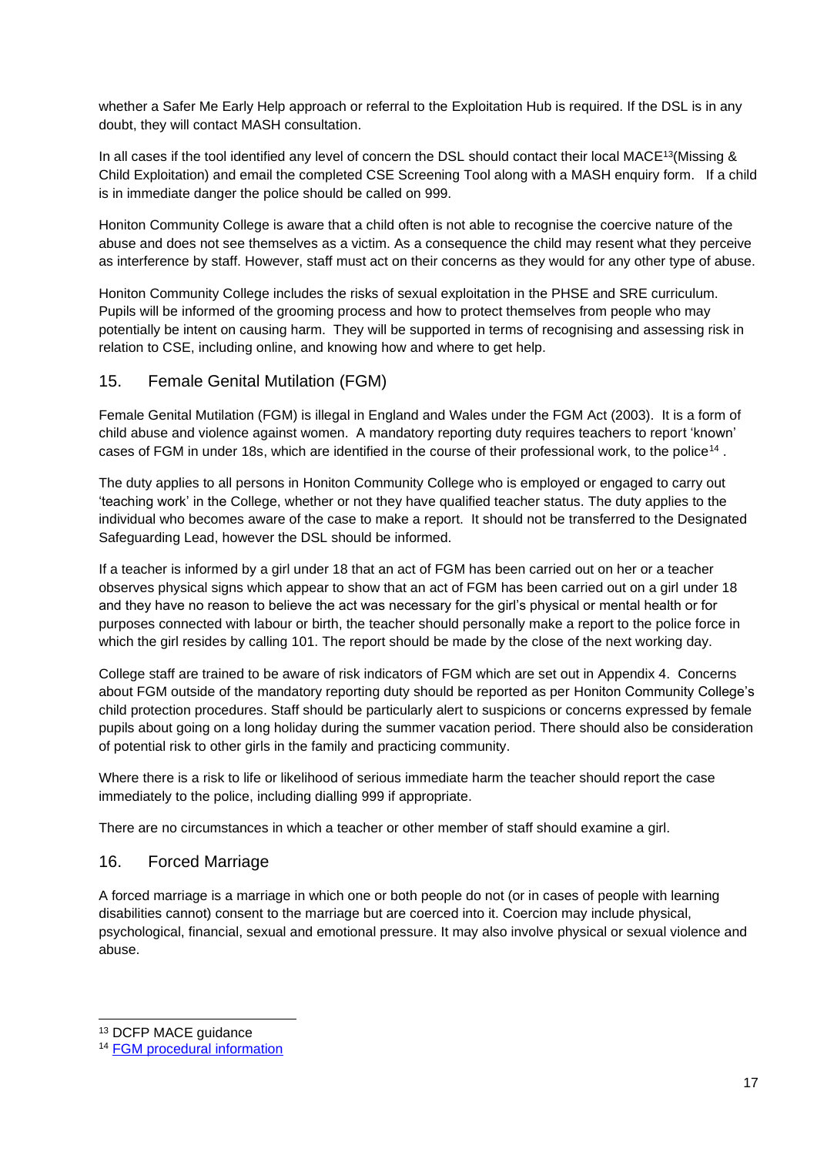whether a Safer Me Early Help approach or referral to the Exploitation Hub is required. If the DSL is in any doubt, they will contact MASH consultation.

In all cases if the tool identified any level of concern the DSL should contact their local MACE<sup>13</sup>(Missing & Child Exploitation) and email the completed CSE Screening Tool along with a MASH enquiry form. If a child is in immediate danger the police should be called on 999.

Honiton Community College is aware that a child often is not able to recognise the coercive nature of the abuse and does not see themselves as a victim. As a consequence the child may resent what they perceive as interference by staff. However, staff must act on their concerns as they would for any other type of abuse.

Honiton Community College includes the risks of sexual exploitation in the PHSE and SRE curriculum. Pupils will be informed of the grooming process and how to protect themselves from people who may potentially be intent on causing harm. They will be supported in terms of recognising and assessing risk in relation to CSE, including online, and knowing how and where to get help.

#### 15. Female Genital Mutilation (FGM)

Female Genital Mutilation (FGM) is illegal in England and Wales under the FGM Act (2003). It is a form of child abuse and violence against women. A mandatory reporting duty requires teachers to report 'known' cases of FGM in under 18s, which are identified in the course of their professional work, to the police<sup>14</sup>.

The duty applies to all persons in Honiton Community College who is employed or engaged to carry out 'teaching work' in the College, whether or not they have qualified teacher status. The duty applies to the individual who becomes aware of the case to make a report. It should not be transferred to the Designated Safeguarding Lead, however the DSL should be informed.

If a teacher is informed by a girl under 18 that an act of FGM has been carried out on her or a teacher observes physical signs which appear to show that an act of FGM has been carried out on a girl under 18 and they have no reason to believe the act was necessary for the girl's physical or mental health or for purposes connected with labour or birth, the teacher should personally make a report to the police force in which the girl resides by calling 101. The report should be made by the close of the next working day.

College staff are trained to be aware of risk indicators of FGM which are set out in Appendix 4. Concerns about FGM outside of the mandatory reporting duty should be reported as per Honiton Community College's child protection procedures. Staff should be particularly alert to suspicions or concerns expressed by female pupils about going on a long holiday during the summer vacation period. There should also be consideration of potential risk to other girls in the family and practicing community.

Where there is a risk to life or likelihood of serious immediate harm the teacher should report the case immediately to the police, including dialling 999 if appropriate.

There are no circumstances in which a teacher or other member of staff should examine a girl.

#### 16. Forced Marriage

A forced marriage is a marriage in which one or both people do not (or in cases of people with learning disabilities cannot) consent to the marriage but are coerced into it. Coercion may include physical, psychological, financial, sexual and emotional pressure. It may also involve physical or sexual violence and abuse.

<sup>13</sup> DCFP MACE guidance

<sup>14</sup> [FGM procedural information](https://www.gov.uk/government/uploads/system/uploads/attachment_data/file/573782/FGM_Mandatory_Reporting_-_procedural_information_nov16_FINAL.pdf)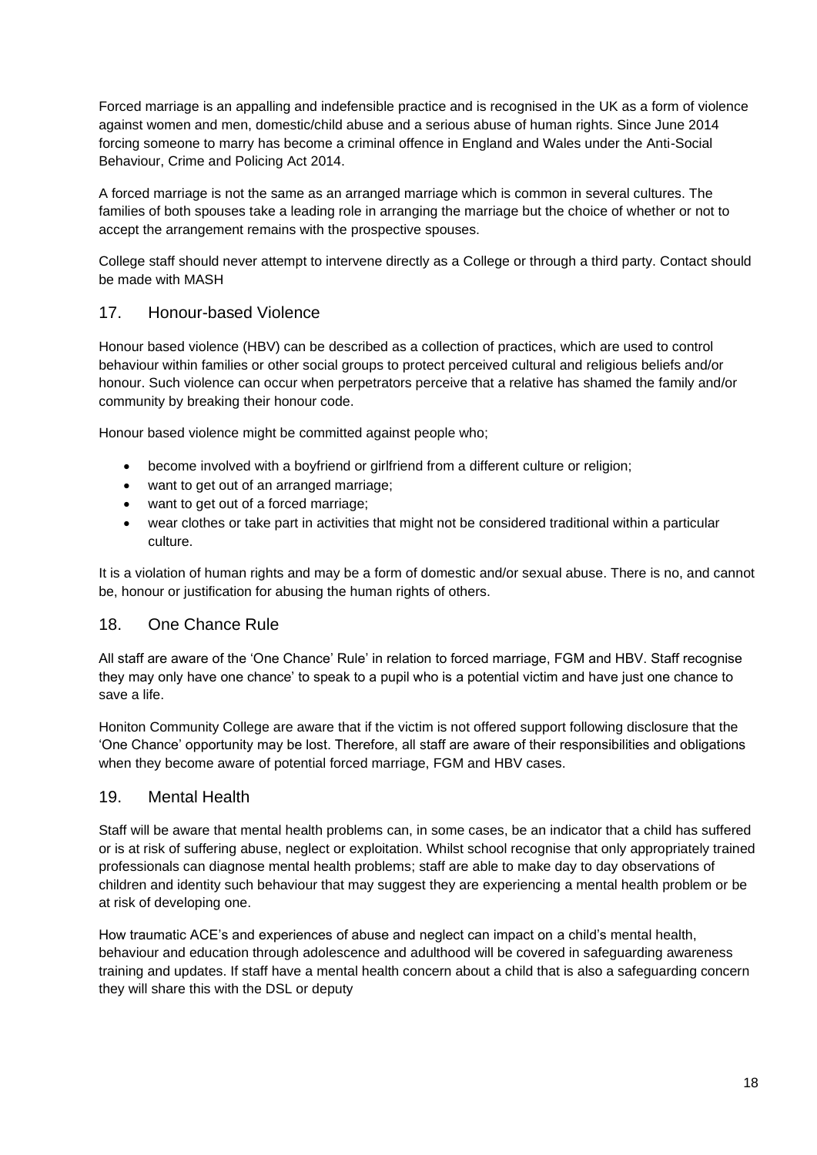Forced marriage is an appalling and indefensible practice and is recognised in the UK as a form of violence against women and men, domestic/child abuse and a serious abuse of human rights. Since June 2014 forcing someone to marry has become a criminal offence in England and Wales under the Anti-Social Behaviour, Crime and Policing Act 2014.

A forced marriage is not the same as an arranged marriage which is common in several cultures. The families of both spouses take a leading role in arranging the marriage but the choice of whether or not to accept the arrangement remains with the prospective spouses.

College staff should never attempt to intervene directly as a College or through a third party. Contact should be made with MASH

#### 17. Honour-based Violence

Honour based violence (HBV) can be described as a collection of practices, which are used to control behaviour within families or other social groups to protect perceived cultural and religious beliefs and/or honour. Such violence can occur when perpetrators perceive that a relative has shamed the family and/or community by breaking their honour code.

Honour based violence might be committed against people who;

- become involved with a boyfriend or girlfriend from a different culture or religion;
- want to get out of an arranged marriage;
- want to get out of a forced marriage;
- wear clothes or take part in activities that might not be considered traditional within a particular culture.

It is a violation of human rights and may be a form of domestic and/or sexual abuse. There is no, and cannot be, honour or justification for abusing the human rights of others.

#### 18. One Chance Rule

All staff are aware of the 'One Chance' Rule' in relation to forced marriage, FGM and HBV. Staff recognise they may only have one chance' to speak to a pupil who is a potential victim and have just one chance to save a life.

Honiton Community College are aware that if the victim is not offered support following disclosure that the 'One Chance' opportunity may be lost. Therefore, all staff are aware of their responsibilities and obligations when they become aware of potential forced marriage, FGM and HBV cases.

#### 19. Mental Health

Staff will be aware that mental health problems can, in some cases, be an indicator that a child has suffered or is at risk of suffering abuse, neglect or exploitation. Whilst school recognise that only appropriately trained professionals can diagnose mental health problems; staff are able to make day to day observations of children and identity such behaviour that may suggest they are experiencing a mental health problem or be at risk of developing one.

How traumatic ACE's and experiences of abuse and neglect can impact on a child's mental health, behaviour and education through adolescence and adulthood will be covered in safeguarding awareness training and updates. If staff have a mental health concern about a child that is also a safeguarding concern they will share this with the DSL or deputy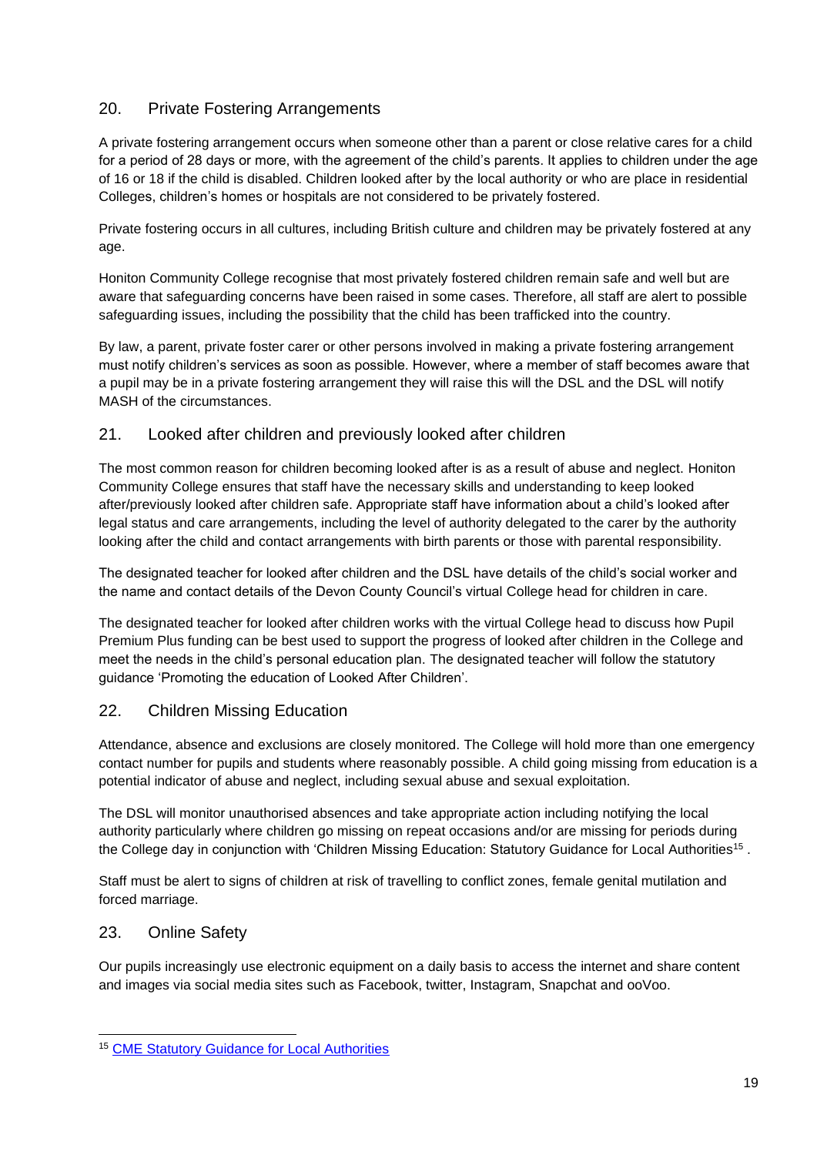# 20. Private Fostering Arrangements

A private fostering arrangement occurs when someone other than a parent or close relative cares for a child for a period of 28 days or more, with the agreement of the child's parents. It applies to children under the age of 16 or 18 if the child is disabled. Children looked after by the local authority or who are place in residential Colleges, children's homes or hospitals are not considered to be privately fostered.

Private fostering occurs in all cultures, including British culture and children may be privately fostered at any age.

Honiton Community College recognise that most privately fostered children remain safe and well but are aware that safeguarding concerns have been raised in some cases. Therefore, all staff are alert to possible safeguarding issues, including the possibility that the child has been trafficked into the country.

By law, a parent, private foster carer or other persons involved in making a private fostering arrangement must notify children's services as soon as possible. However, where a member of staff becomes aware that a pupil may be in a private fostering arrangement they will raise this will the DSL and the DSL will notify MASH of the circumstances.

#### 21. Looked after children and previously looked after children

The most common reason for children becoming looked after is as a result of abuse and neglect. Honiton Community College ensures that staff have the necessary skills and understanding to keep looked after/previously looked after children safe. Appropriate staff have information about a child's looked after legal status and care arrangements, including the level of authority delegated to the carer by the authority looking after the child and contact arrangements with birth parents or those with parental responsibility.

The designated teacher for looked after children and the DSL have details of the child's social worker and the name and contact details of the Devon County Council's virtual College head for children in care.

The designated teacher for looked after children works with the virtual College head to discuss how Pupil Premium Plus funding can be best used to support the progress of looked after children in the College and meet the needs in the child's personal education plan. The designated teacher will follow the statutory guidance 'Promoting the education of Looked After Children'.

# 22. Children Missing Education

Attendance, absence and exclusions are closely monitored. The College will hold more than one emergency contact number for pupils and students where reasonably possible. A child going missing from education is a potential indicator of abuse and neglect, including sexual abuse and sexual exploitation.

The DSL will monitor unauthorised absences and take appropriate action including notifying the local authority particularly where children go missing on repeat occasions and/or are missing for periods during the College day in conjunction with 'Children Missing Education: Statutory Guidance for Local Authorities<sup>15</sup>.

Staff must be alert to signs of children at risk of travelling to conflict zones, female genital mutilation and forced marriage.

#### 23. Online Safety

Our pupils increasingly use electronic equipment on a daily basis to access the internet and share content and images via social media sites such as Facebook, twitter, Instagram, Snapchat and ooVoo.

<sup>15</sup> [CME Statutory Guidance for Local Authorities](https://www.gov.uk/government/uploads/system/uploads/attachment_data/file/550416/Children_Missing_Education_-_statutory_guidance.pdf)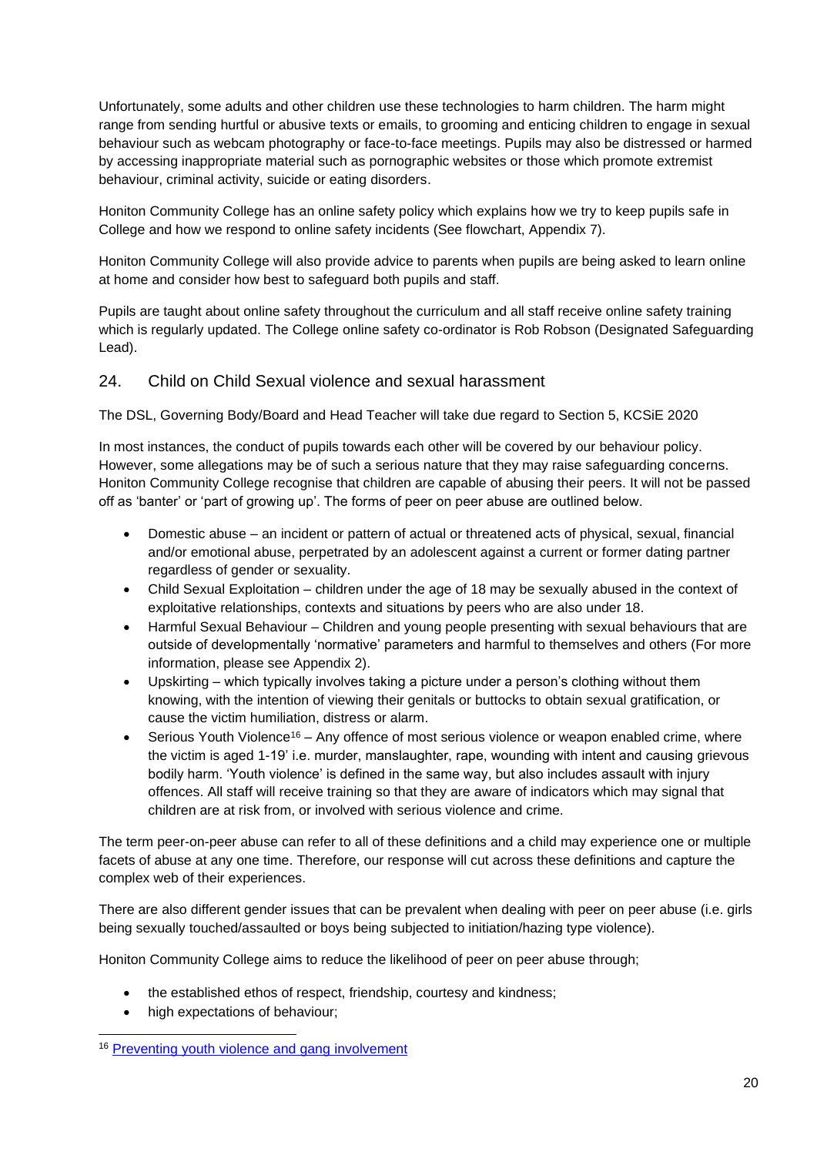Unfortunately, some adults and other children use these technologies to harm children. The harm might range from sending hurtful or abusive texts or emails, to grooming and enticing children to engage in sexual behaviour such as webcam photography or face-to-face meetings. Pupils may also be distressed or harmed by accessing inappropriate material such as pornographic websites or those which promote extremist behaviour, criminal activity, suicide or eating disorders.

Honiton Community College has an online safety policy which explains how we try to keep pupils safe in College and how we respond to online safety incidents (See flowchart, Appendix 7).

Honiton Community College will also provide advice to parents when pupils are being asked to learn online at home and consider how best to safeguard both pupils and staff.

Pupils are taught about online safety throughout the curriculum and all staff receive online safety training which is regularly updated. The College online safety co-ordinator is Rob Robson (Designated Safeguarding Lead).

#### 24. Child on Child Sexual violence and sexual harassment

The DSL, Governing Body/Board and Head Teacher will take due regard to Section 5, KCSiE 2020

In most instances, the conduct of pupils towards each other will be covered by our behaviour policy. However, some allegations may be of such a serious nature that they may raise safeguarding concerns. Honiton Community College recognise that children are capable of abusing their peers. It will not be passed off as 'banter' or 'part of growing up'. The forms of peer on peer abuse are outlined below.

- Domestic abuse an incident or pattern of actual or threatened acts of physical, sexual, financial and/or emotional abuse, perpetrated by an adolescent against a current or former dating partner regardless of gender or sexuality.
- Child Sexual Exploitation children under the age of 18 may be sexually abused in the context of exploitative relationships, contexts and situations by peers who are also under 18.
- Harmful Sexual Behaviour Children and young people presenting with sexual behaviours that are outside of developmentally 'normative' parameters and harmful to themselves and others (For more information, please see Appendix 2).
- Upskirting which typically involves taking a picture under a person's clothing without them knowing, with the intention of viewing their genitals or buttocks to obtain sexual gratification, or cause the victim humiliation, distress or alarm.
- Serious Youth Violence<sup>16</sup> Any offence of most serious violence or weapon enabled crime, where the victim is aged 1-19' i.e. murder, manslaughter, rape, wounding with intent and causing grievous bodily harm. 'Youth violence' is defined in the same way, but also includes assault with injury offences. All staff will receive training so that they are aware of indicators which may signal that children are at risk from, or involved with serious violence and crime.

The term peer-on-peer abuse can refer to all of these definitions and a child may experience one or multiple facets of abuse at any one time. Therefore, our response will cut across these definitions and capture the complex web of their experiences.

There are also different gender issues that can be prevalent when dealing with peer on peer abuse (i.e. girls being sexually touched/assaulted or boys being subjected to initiation/hazing type violence).

Honiton Community College aims to reduce the likelihood of peer on peer abuse through;

- the established ethos of respect, friendship, courtesy and kindness;
- high expectations of behaviour;

<sup>16</sup> [Preventing youth violence and gang involvement](https://assets.publishing.service.gov.uk/government/uploads/system/uploads/attachment_data/file/418131/Preventing_youth_violence_and_gang_involvement_v3_March2015.pdf)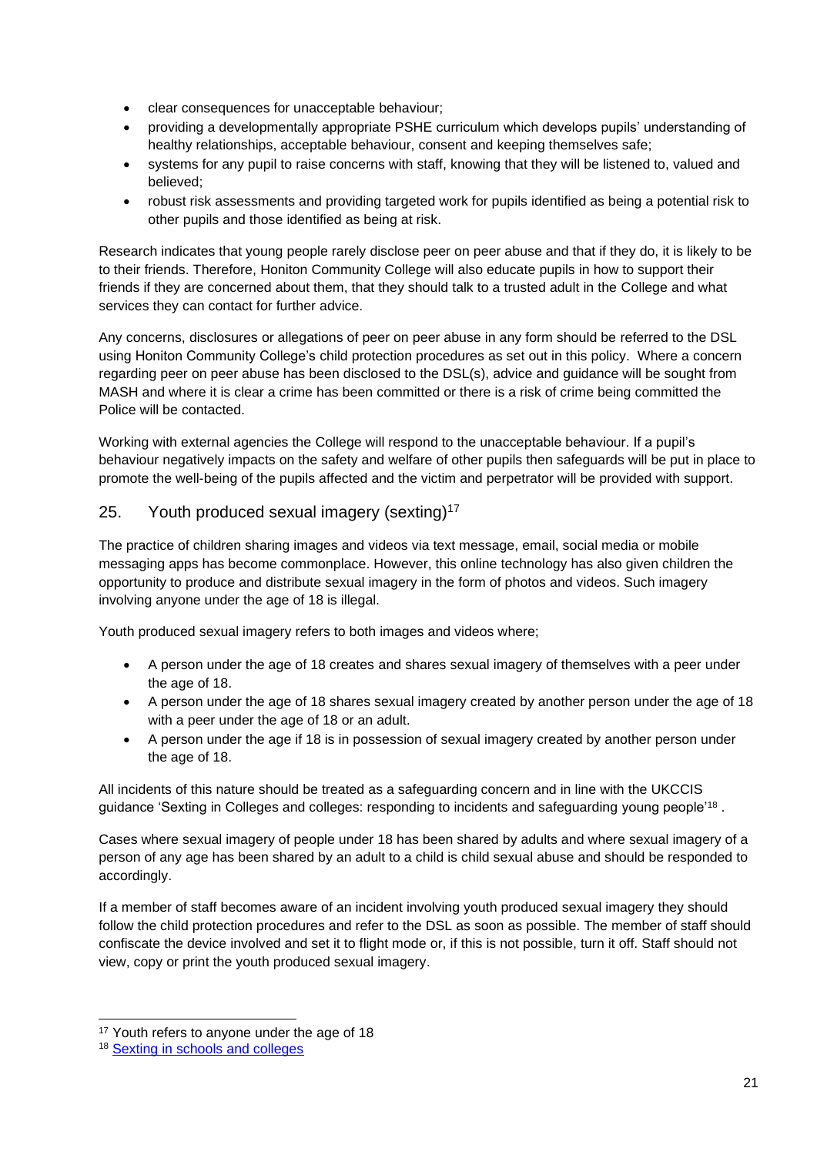- clear consequences for unacceptable behaviour;
- providing a developmentally appropriate PSHE curriculum which develops pupils' understanding of healthy relationships, acceptable behaviour, consent and keeping themselves safe;
- systems for any pupil to raise concerns with staff, knowing that they will be listened to, valued and believed;
- robust risk assessments and providing targeted work for pupils identified as being a potential risk to other pupils and those identified as being at risk.

Research indicates that young people rarely disclose peer on peer abuse and that if they do, it is likely to be to their friends. Therefore, Honiton Community College will also educate pupils in how to support their friends if they are concerned about them, that they should talk to a trusted adult in the College and what services they can contact for further advice.

Any concerns, disclosures or allegations of peer on peer abuse in any form should be referred to the DSL using Honiton Community College's child protection procedures as set out in this policy. Where a concern regarding peer on peer abuse has been disclosed to the DSL(s), advice and guidance will be sought from MASH and where it is clear a crime has been committed or there is a risk of crime being committed the Police will be contacted.

Working with external agencies the College will respond to the unacceptable behaviour. If a pupil's behaviour negatively impacts on the safety and welfare of other pupils then safeguards will be put in place to promote the well-being of the pupils affected and the victim and perpetrator will be provided with support.

# 25. Youth produced sexual imagery (sexting) $17$

The practice of children sharing images and videos via text message, email, social media or mobile messaging apps has become commonplace. However, this online technology has also given children the opportunity to produce and distribute sexual imagery in the form of photos and videos. Such imagery involving anyone under the age of 18 is illegal.

Youth produced sexual imagery refers to both images and videos where;

- A person under the age of 18 creates and shares sexual imagery of themselves with a peer under the age of 18.
- A person under the age of 18 shares sexual imagery created by another person under the age of 18 with a peer under the age of 18 or an adult.
- A person under the age if 18 is in possession of sexual imagery created by another person under the age of 18.

All incidents of this nature should be treated as a safeguarding concern and in line with the UKCCIS guidance 'Sexting in Colleges and colleges: responding to incidents and safeguarding young people'<sup>18</sup>.

Cases where sexual imagery of people under 18 has been shared by adults and where sexual imagery of a person of any age has been shared by an adult to a child is child sexual abuse and should be responded to accordingly.

If a member of staff becomes aware of an incident involving youth produced sexual imagery they should follow the child protection procedures and refer to the DSL as soon as possible. The member of staff should confiscate the device involved and set it to flight mode or, if this is not possible, turn it off. Staff should not view, copy or print the youth produced sexual imagery.

<sup>&</sup>lt;sup>17</sup> Youth refers to anyone under the age of 18

<sup>18</sup> [Sexting in schools and colleges](https://www.gov.uk/government/groups/uk-council-for-child-internet-safety-ukccis)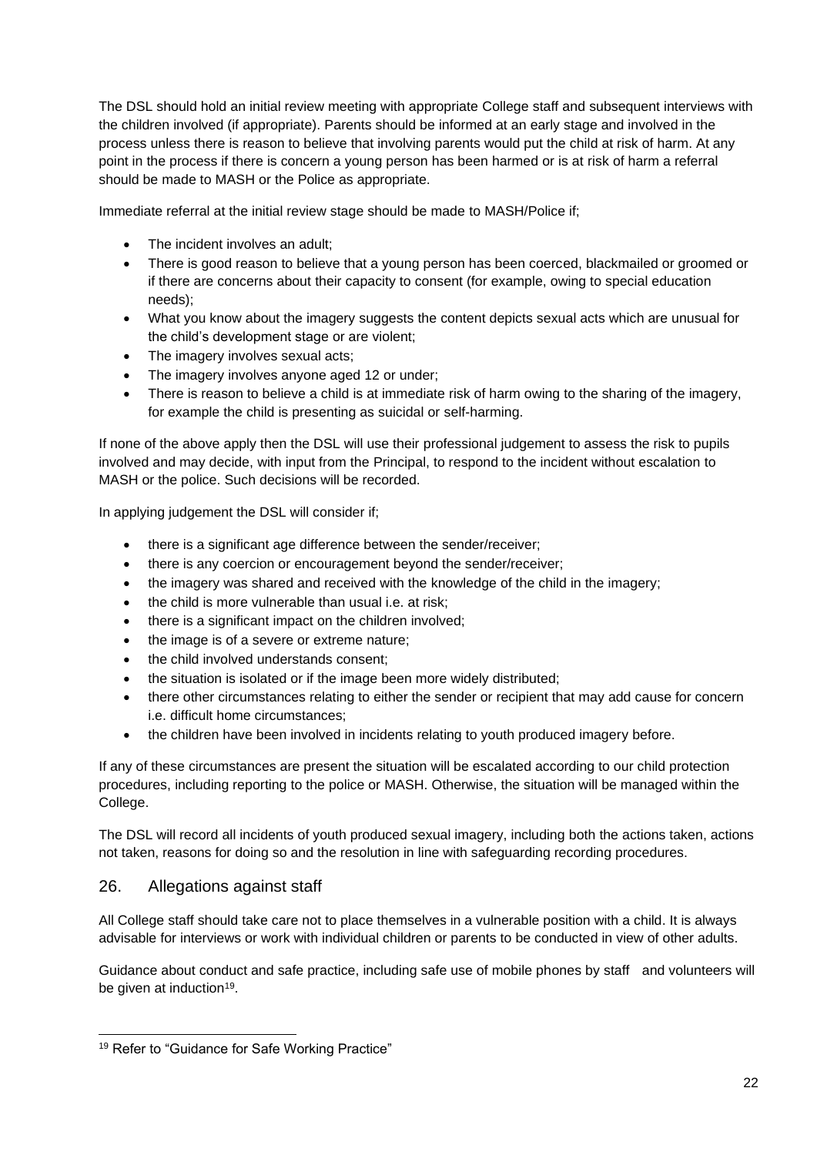The DSL should hold an initial review meeting with appropriate College staff and subsequent interviews with the children involved (if appropriate). Parents should be informed at an early stage and involved in the process unless there is reason to believe that involving parents would put the child at risk of harm. At any point in the process if there is concern a young person has been harmed or is at risk of harm a referral should be made to MASH or the Police as appropriate.

Immediate referral at the initial review stage should be made to MASH/Police if;

- The incident involves an adult;
- There is good reason to believe that a young person has been coerced, blackmailed or groomed or if there are concerns about their capacity to consent (for example, owing to special education needs);
- What you know about the imagery suggests the content depicts sexual acts which are unusual for the child's development stage or are violent;
- The imagery involves sexual acts;
- The imagery involves anyone aged 12 or under;
- There is reason to believe a child is at immediate risk of harm owing to the sharing of the imagery, for example the child is presenting as suicidal or self-harming.

If none of the above apply then the DSL will use their professional judgement to assess the risk to pupils involved and may decide, with input from the Principal, to respond to the incident without escalation to MASH or the police. Such decisions will be recorded.

In applying judgement the DSL will consider if;

- there is a significant age difference between the sender/receiver;
- there is any coercion or encouragement beyond the sender/receiver;
- the imagery was shared and received with the knowledge of the child in the imagery;
- the child is more vulnerable than usual i.e. at risk;
- there is a significant impact on the children involved;
- the image is of a severe or extreme nature:
- the child involved understands consent;
- the situation is isolated or if the image been more widely distributed;
- there other circumstances relating to either the sender or recipient that may add cause for concern i.e. difficult home circumstances;
- the children have been involved in incidents relating to youth produced imagery before.

If any of these circumstances are present the situation will be escalated according to our child protection procedures, including reporting to the police or MASH. Otherwise, the situation will be managed within the College.

The DSL will record all incidents of youth produced sexual imagery, including both the actions taken, actions not taken, reasons for doing so and the resolution in line with safeguarding recording procedures.

#### 26. Allegations against staff

All College staff should take care not to place themselves in a vulnerable position with a child. It is always advisable for interviews or work with individual children or parents to be conducted in view of other adults.

Guidance about conduct and safe practice, including safe use of mobile phones by staff and volunteers will be given at induction<sup>19</sup>.

<sup>&</sup>lt;sup>19</sup> Refer to "Guidance for Safe Working Practice"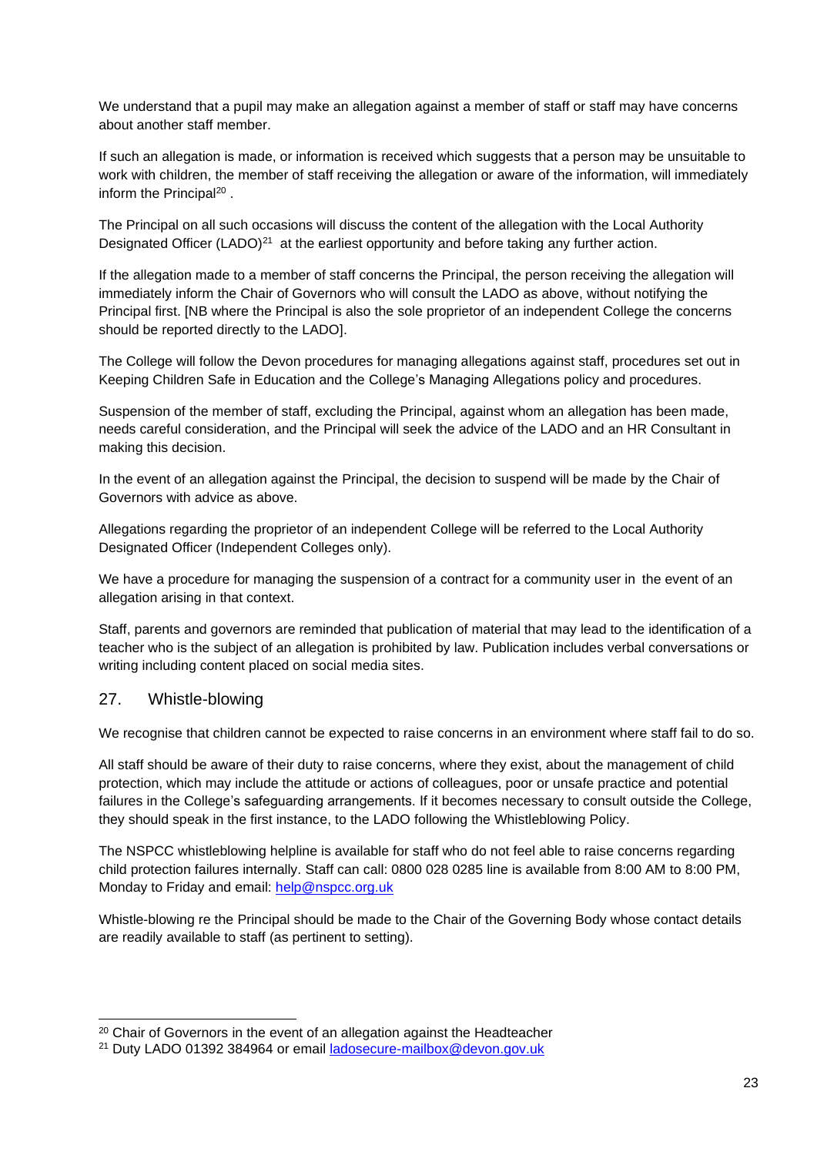We understand that a pupil may make an allegation against a member of staff or staff may have concerns about another staff member.

If such an allegation is made, or information is received which suggests that a person may be unsuitable to work with children, the member of staff receiving the allegation or aware of the information, will immediately inform the Principal<sup>20</sup>.

The Principal on all such occasions will discuss the content of the allegation with the Local Authority Designated Officer (LADO)<sup>21</sup> at the earliest opportunity and before taking any further action.

If the allegation made to a member of staff concerns the Principal, the person receiving the allegation will immediately inform the Chair of Governors who will consult the LADO as above, without notifying the Principal first. [NB where the Principal is also the sole proprietor of an independent College the concerns should be reported directly to the LADO].

The College will follow the Devon procedures for managing allegations against staff, procedures set out in Keeping Children Safe in Education and the College's Managing Allegations policy and procedures.

Suspension of the member of staff, excluding the Principal, against whom an allegation has been made, needs careful consideration, and the Principal will seek the advice of the LADO and an HR Consultant in making this decision.

In the event of an allegation against the Principal, the decision to suspend will be made by the Chair of Governors with advice as above.

Allegations regarding the proprietor of an independent College will be referred to the Local Authority Designated Officer (Independent Colleges only).

We have a procedure for managing the suspension of a contract for a community user in the event of an allegation arising in that context.

Staff, parents and governors are reminded that publication of material that may lead to the identification of a teacher who is the subject of an allegation is prohibited by law. Publication includes verbal conversations or writing including content placed on social media sites.

#### 27. Whistle-blowing

We recognise that children cannot be expected to raise concerns in an environment where staff fail to do so.

All staff should be aware of their duty to raise concerns, where they exist, about the management of child protection, which may include the attitude or actions of colleagues, poor or unsafe practice and potential failures in the College's safeguarding arrangements. If it becomes necessary to consult outside the College, they should speak in the first instance, to the LADO following the Whistleblowing Policy.

The NSPCC whistleblowing helpline is available for staff who do not feel able to raise concerns regarding child protection failures internally. Staff can call: 0800 028 0285 line is available from 8:00 AM to 8:00 PM, Monday to Friday and email: [help@nspcc.org.uk](mailto:help@nspcc.org.uk)

Whistle-blowing re the Principal should be made to the Chair of the Governing Body whose contact details are readily available to staff (as pertinent to setting).

<sup>&</sup>lt;sup>20</sup> Chair of Governors in the event of an allegation against the Headteacher

<sup>21</sup> Duty LADO 01392 384964 or email [ladosecure-mailbox@devon.gov.uk](mailto:ladosecure-mailbox@devon.gov.uk)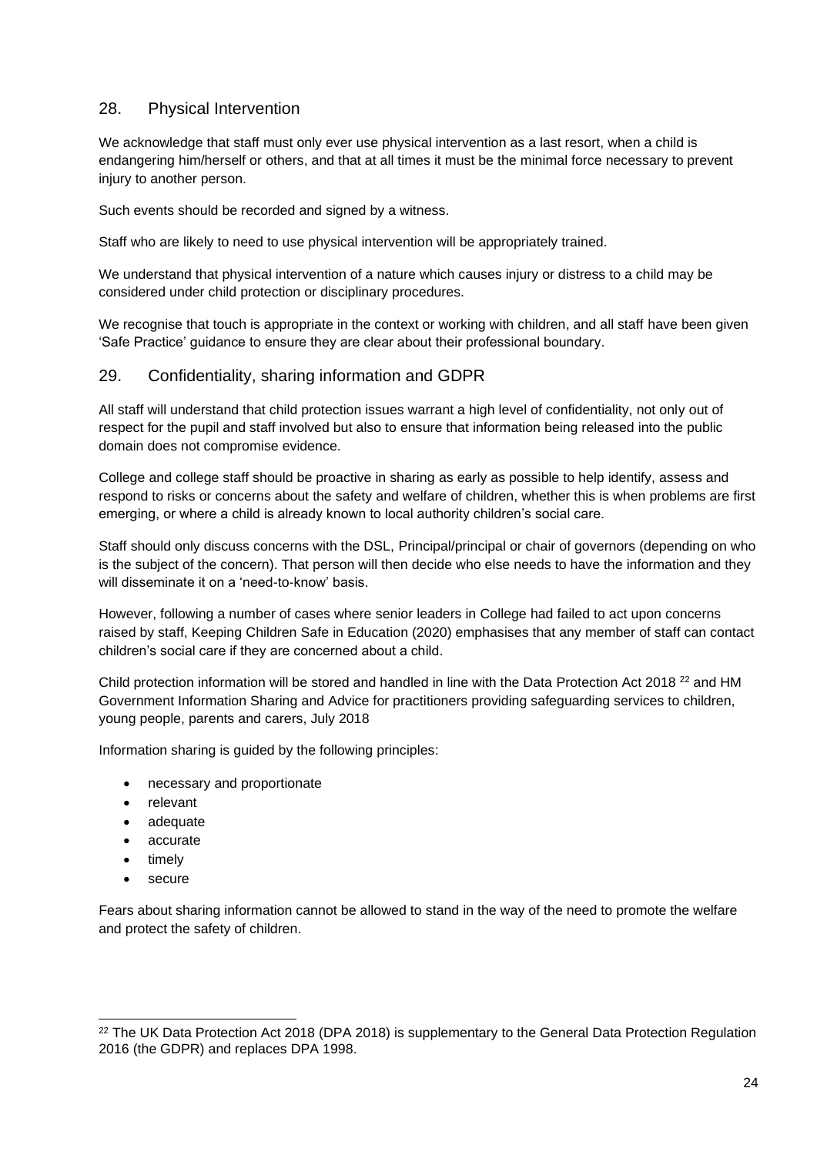#### 28. Physical Intervention

We acknowledge that staff must only ever use physical intervention as a last resort, when a child is endangering him/herself or others, and that at all times it must be the minimal force necessary to prevent injury to another person.

Such events should be recorded and signed by a witness.

Staff who are likely to need to use physical intervention will be appropriately trained.

We understand that physical intervention of a nature which causes injury or distress to a child may be considered under child protection or disciplinary procedures.

We recognise that touch is appropriate in the context or working with children, and all staff have been given 'Safe Practice' guidance to ensure they are clear about their professional boundary.

#### 29. Confidentiality, sharing information and GDPR

All staff will understand that child protection issues warrant a high level of confidentiality, not only out of respect for the pupil and staff involved but also to ensure that information being released into the public domain does not compromise evidence.

College and college staff should be proactive in sharing as early as possible to help identify, assess and respond to risks or concerns about the safety and welfare of children, whether this is when problems are first emerging, or where a child is already known to local authority children's social care.

Staff should only discuss concerns with the DSL, Principal/principal or chair of governors (depending on who is the subject of the concern). That person will then decide who else needs to have the information and they will disseminate it on a 'need-to-know' basis.

However, following a number of cases where senior leaders in College had failed to act upon concerns raised by staff, Keeping Children Safe in Education (2020) emphasises that any member of staff can contact children's social care if they are concerned about a child.

Child protection information will be stored and handled in line with the Data Protection Act 2018 <sup>22</sup> and HM Government Information Sharing and Advice for practitioners providing safeguarding services to children, young people, parents and carers, July 2018

Information sharing is guided by the following principles:

- necessary and proportionate
- relevant
- adequate
- accurate
- timely
- secure

Fears about sharing information cannot be allowed to stand in the way of the need to promote the welfare and protect the safety of children.

<sup>&</sup>lt;sup>22</sup> The UK Data Protection Act 2018 (DPA 2018) is supplementary to the General Data Protection Regulation 2016 (the GDPR) and replaces DPA 1998.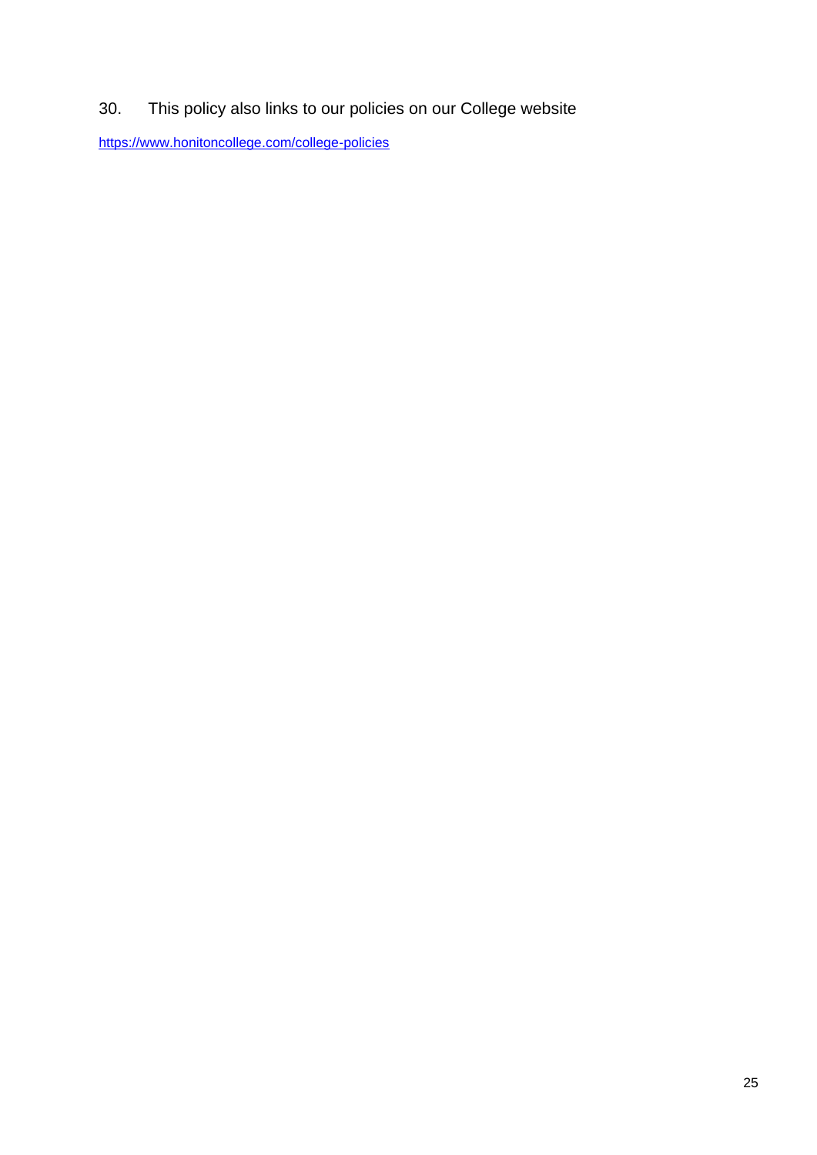30. This policy also links to our policies on our College website

<https://www.honitoncollege.com/college-policies>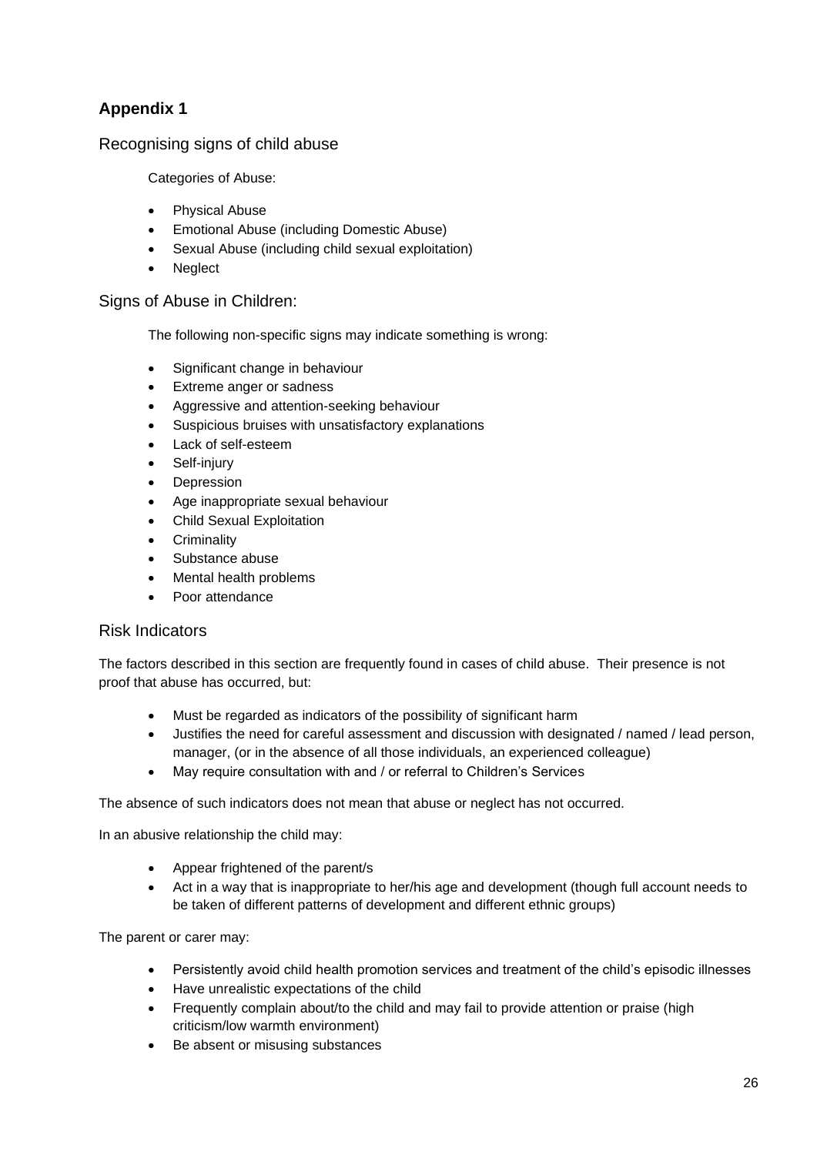Recognising signs of child abuse

Categories of Abuse:

- Physical Abuse
- Emotional Abuse (including Domestic Abuse)
- Sexual Abuse (including child sexual exploitation)
- **Neglect**

#### Signs of Abuse in Children:

The following non-specific signs may indicate something is wrong:

- Significant change in behaviour
- Extreme anger or sadness
- Aggressive and attention-seeking behaviour
- Suspicious bruises with unsatisfactory explanations
- Lack of self-esteem
- Self-injury
- **Depression**
- Age inappropriate sexual behaviour
- Child Sexual Exploitation
- **Criminality**
- Substance abuse
- Mental health problems
- Poor attendance

#### Risk Indicators

The factors described in this section are frequently found in cases of child abuse. Their presence is not proof that abuse has occurred, but:

- Must be regarded as indicators of the possibility of significant harm
- Justifies the need for careful assessment and discussion with designated / named / lead person, manager, (or in the absence of all those individuals, an experienced colleague)
- May require consultation with and / or referral to Children's Services

The absence of such indicators does not mean that abuse or neglect has not occurred.

In an abusive relationship the child may:

- Appear frightened of the parent/s
- Act in a way that is inappropriate to her/his age and development (though full account needs to be taken of different patterns of development and different ethnic groups)

The parent or carer may:

- Persistently avoid child health promotion services and treatment of the child's episodic illnesses
- Have unrealistic expectations of the child
- Frequently complain about/to the child and may fail to provide attention or praise (high criticism/low warmth environment)
- Be absent or misusing substances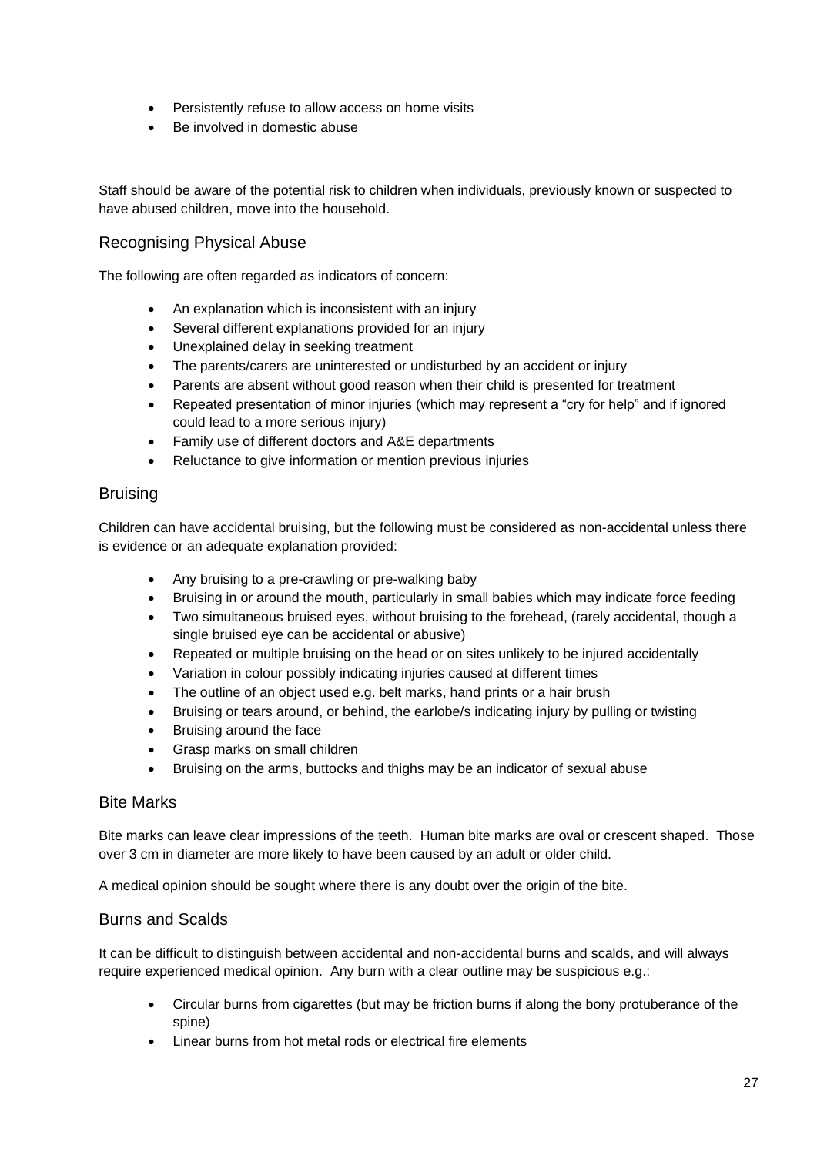- Persistently refuse to allow access on home visits
- Be involved in domestic abuse

Staff should be aware of the potential risk to children when individuals, previously known or suspected to have abused children, move into the household.

#### Recognising Physical Abuse

The following are often regarded as indicators of concern:

- An explanation which is inconsistent with an injury
- Several different explanations provided for an injury
- Unexplained delay in seeking treatment
- The parents/carers are uninterested or undisturbed by an accident or injury
- Parents are absent without good reason when their child is presented for treatment
- Repeated presentation of minor injuries (which may represent a "cry for help" and if ignored could lead to a more serious injury)
- Family use of different doctors and A&E departments
- Reluctance to give information or mention previous injuries

#### **Bruising**

Children can have accidental bruising, but the following must be considered as non-accidental unless there is evidence or an adequate explanation provided:

- Any bruising to a pre-crawling or pre-walking baby
- Bruising in or around the mouth, particularly in small babies which may indicate force feeding
- Two simultaneous bruised eyes, without bruising to the forehead, (rarely accidental, though a single bruised eye can be accidental or abusive)
- Repeated or multiple bruising on the head or on sites unlikely to be injured accidentally
- Variation in colour possibly indicating injuries caused at different times
- The outline of an object used e.g. belt marks, hand prints or a hair brush
- Bruising or tears around, or behind, the earlobe/s indicating injury by pulling or twisting
- Bruising around the face
- Grasp marks on small children
- Bruising on the arms, buttocks and thighs may be an indicator of sexual abuse

#### Bite Marks

Bite marks can leave clear impressions of the teeth. Human bite marks are oval or crescent shaped. Those over 3 cm in diameter are more likely to have been caused by an adult or older child.

A medical opinion should be sought where there is any doubt over the origin of the bite.

#### Burns and Scalds

It can be difficult to distinguish between accidental and non-accidental burns and scalds, and will always require experienced medical opinion. Any burn with a clear outline may be suspicious e.g.:

- Circular burns from cigarettes (but may be friction burns if along the bony protuberance of the spine)
- Linear burns from hot metal rods or electrical fire elements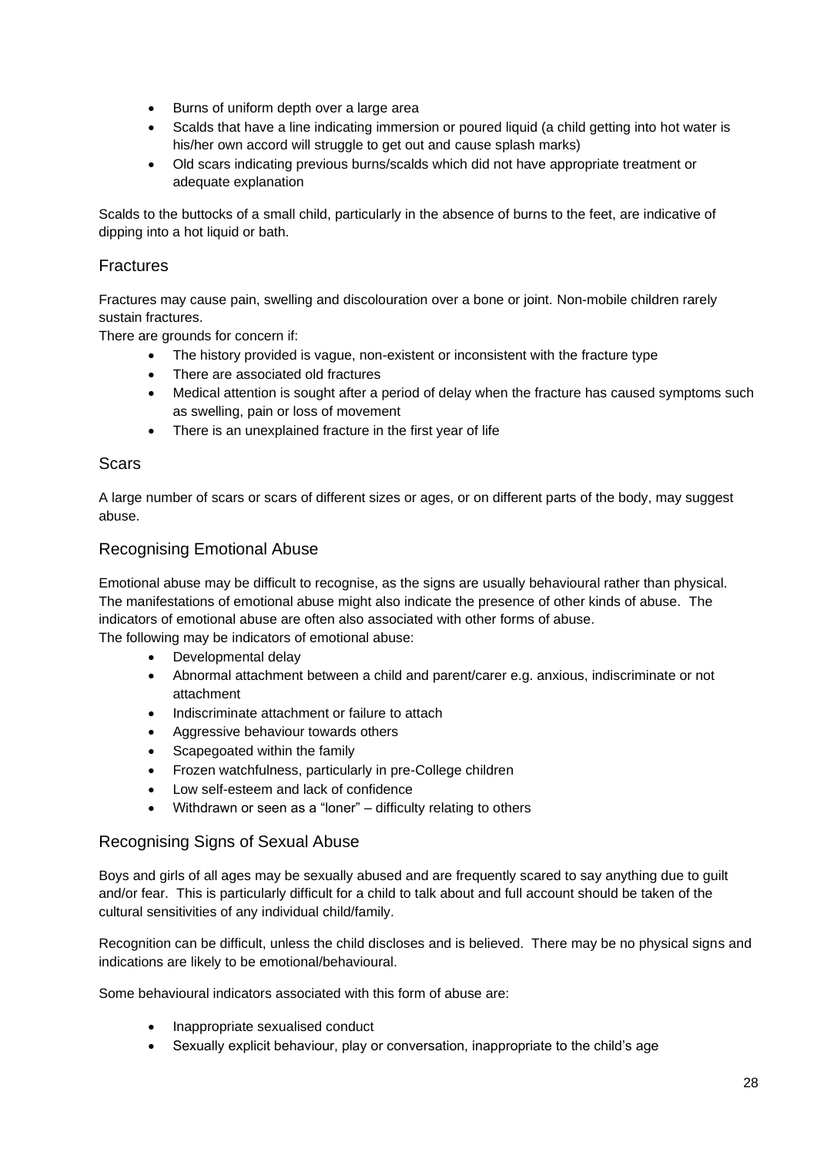- Burns of uniform depth over a large area
- Scalds that have a line indicating immersion or poured liquid (a child getting into hot water is his/her own accord will struggle to get out and cause splash marks)
- Old scars indicating previous burns/scalds which did not have appropriate treatment or adequate explanation

Scalds to the buttocks of a small child, particularly in the absence of burns to the feet, are indicative of dipping into a hot liquid or bath.

## Fractures

Fractures may cause pain, swelling and discolouration over a bone or joint. Non-mobile children rarely sustain fractures.

There are grounds for concern if:

- The history provided is vague, non-existent or inconsistent with the fracture type
- There are associated old fractures
- Medical attention is sought after a period of delay when the fracture has caused symptoms such as swelling, pain or loss of movement
- There is an unexplained fracture in the first year of life

#### Scars

A large number of scars or scars of different sizes or ages, or on different parts of the body, may suggest abuse.

#### Recognising Emotional Abuse

Emotional abuse may be difficult to recognise, as the signs are usually behavioural rather than physical. The manifestations of emotional abuse might also indicate the presence of other kinds of abuse. The indicators of emotional abuse are often also associated with other forms of abuse. The following may be indicators of emotional abuse:

- Developmental delay
- Abnormal attachment between a child and parent/carer e.g. anxious, indiscriminate or not attachment
- Indiscriminate attachment or failure to attach
- Aggressive behaviour towards others
- Scapegoated within the family
- Frozen watchfulness, particularly in pre-College children
- Low self-esteem and lack of confidence
- Withdrawn or seen as a "loner" difficulty relating to others

#### Recognising Signs of Sexual Abuse

Boys and girls of all ages may be sexually abused and are frequently scared to say anything due to guilt and/or fear. This is particularly difficult for a child to talk about and full account should be taken of the cultural sensitivities of any individual child/family.

Recognition can be difficult, unless the child discloses and is believed. There may be no physical signs and indications are likely to be emotional/behavioural.

Some behavioural indicators associated with this form of abuse are:

- Inappropriate sexualised conduct
- Sexually explicit behaviour, play or conversation, inappropriate to the child's age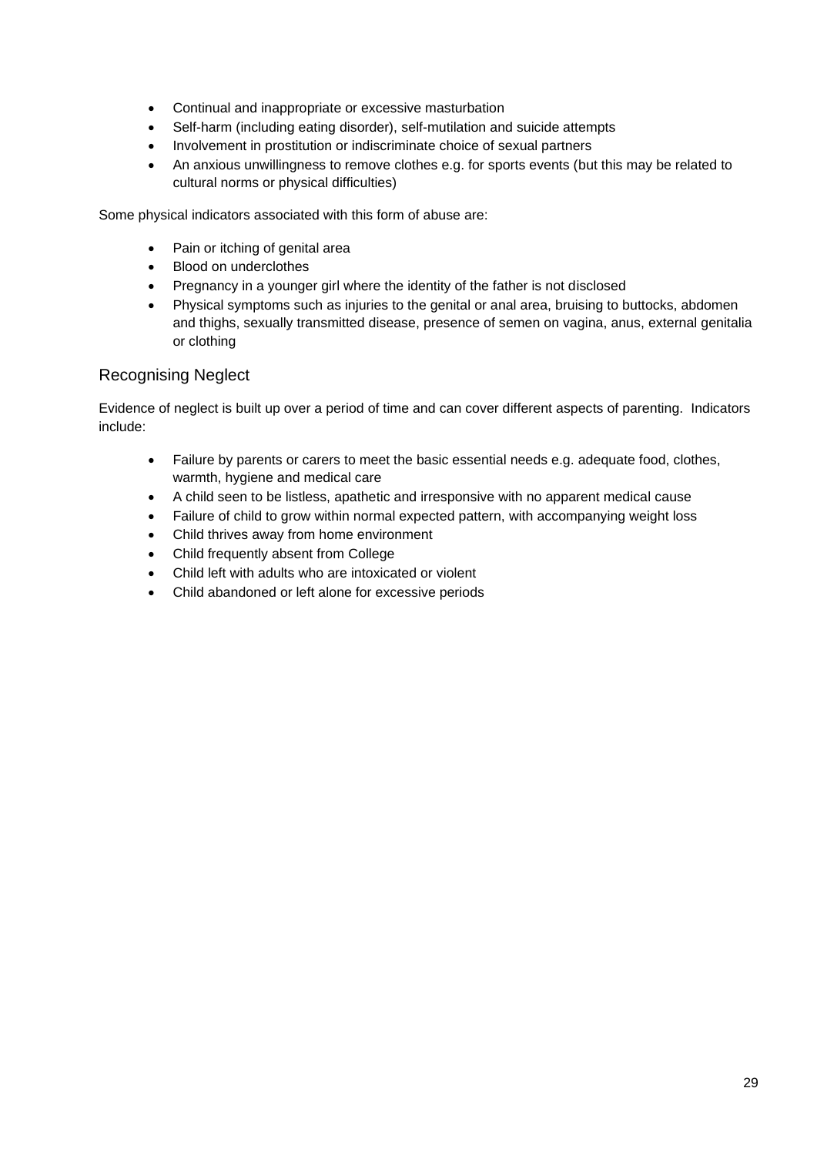- Continual and inappropriate or excessive masturbation
- Self-harm (including eating disorder), self-mutilation and suicide attempts
- Involvement in prostitution or indiscriminate choice of sexual partners
- An anxious unwillingness to remove clothes e.g. for sports events (but this may be related to cultural norms or physical difficulties)

Some physical indicators associated with this form of abuse are:

- Pain or itching of genital area
- Blood on underclothes
- Pregnancy in a younger girl where the identity of the father is not disclosed
- Physical symptoms such as injuries to the genital or anal area, bruising to buttocks, abdomen and thighs, sexually transmitted disease, presence of semen on vagina, anus, external genitalia or clothing

#### Recognising Neglect

Evidence of neglect is built up over a period of time and can cover different aspects of parenting. Indicators include:

- Failure by parents or carers to meet the basic essential needs e.g. adequate food, clothes, warmth, hygiene and medical care
- A child seen to be listless, apathetic and irresponsive with no apparent medical cause
- Failure of child to grow within normal expected pattern, with accompanying weight loss
- Child thrives away from home environment
- Child frequently absent from College
- Child left with adults who are intoxicated or violent
- Child abandoned or left alone for excessive periods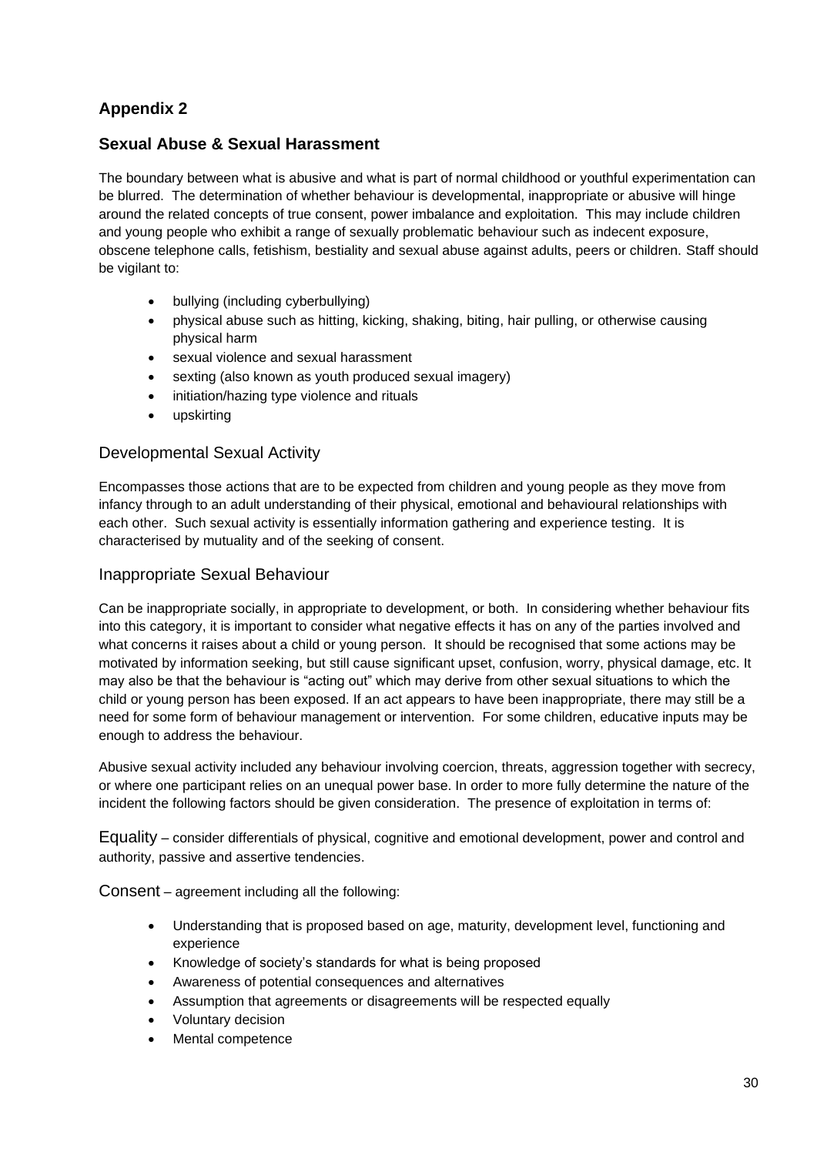# **Sexual Abuse & Sexual Harassment**

The boundary between what is abusive and what is part of normal childhood or youthful experimentation can be blurred. The determination of whether behaviour is developmental, inappropriate or abusive will hinge around the related concepts of true consent, power imbalance and exploitation. This may include children and young people who exhibit a range of sexually problematic behaviour such as indecent exposure, obscene telephone calls, fetishism, bestiality and sexual abuse against adults, peers or children. Staff should be vigilant to:

- bullying (including cyberbullying)
- physical abuse such as hitting, kicking, shaking, biting, hair pulling, or otherwise causing physical harm
- sexual violence and sexual harassment
- sexting (also known as youth produced sexual imagery)
- initiation/hazing type violence and rituals
- upskirting

#### Developmental Sexual Activity

Encompasses those actions that are to be expected from children and young people as they move from infancy through to an adult understanding of their physical, emotional and behavioural relationships with each other. Such sexual activity is essentially information gathering and experience testing. It is characterised by mutuality and of the seeking of consent.

#### Inappropriate Sexual Behaviour

Can be inappropriate socially, in appropriate to development, or both. In considering whether behaviour fits into this category, it is important to consider what negative effects it has on any of the parties involved and what concerns it raises about a child or young person. It should be recognised that some actions may be motivated by information seeking, but still cause significant upset, confusion, worry, physical damage, etc. It may also be that the behaviour is "acting out" which may derive from other sexual situations to which the child or young person has been exposed. If an act appears to have been inappropriate, there may still be a need for some form of behaviour management or intervention. For some children, educative inputs may be enough to address the behaviour.

Abusive sexual activity included any behaviour involving coercion, threats, aggression together with secrecy, or where one participant relies on an unequal power base. In order to more fully determine the nature of the incident the following factors should be given consideration. The presence of exploitation in terms of:

Equality – consider differentials of physical, cognitive and emotional development, power and control and authority, passive and assertive tendencies.

Consent – agreement including all the following:

- Understanding that is proposed based on age, maturity, development level, functioning and experience
- Knowledge of society's standards for what is being proposed
- Awareness of potential consequences and alternatives
- Assumption that agreements or disagreements will be respected equally
- Voluntary decision
- Mental competence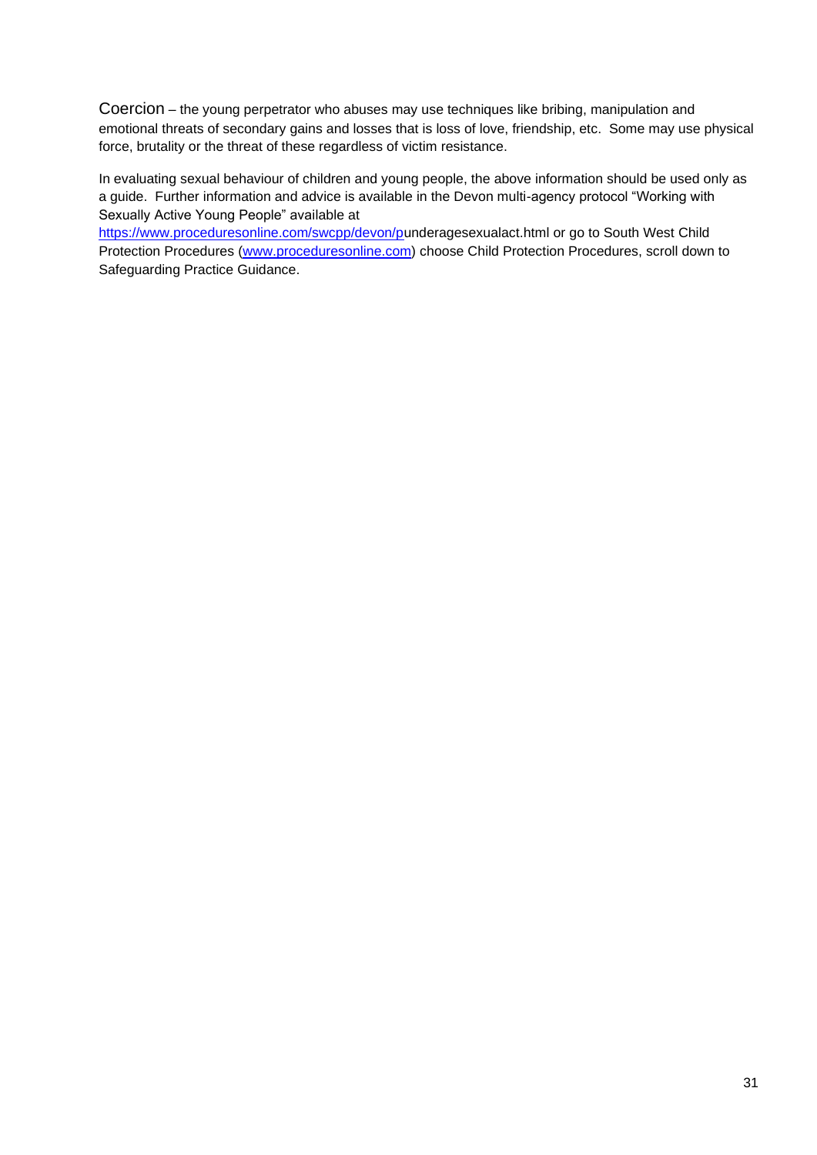Coercion – the young perpetrator who abuses may use techniques like bribing, manipulation and emotional threats of secondary gains and losses that is loss of love, friendship, etc. Some may use physical force, brutality or the threat of these regardless of victim resistance.

In evaluating sexual behaviour of children and young people, the above information should be used only as a guide. Further information and advice is available in the Devon multi-agency protocol "Working with Sexually Active Young People" available at

[https://www.proceduresonline.com/swcpp/devon/pu](https://www.proceduresonline.com/swcpp/devon/p)nderagesexualact.html or go to South West Child Protection Procedures [\(www.proceduresonline.com\)](http://www.proceduresonline.com/) choose Child Protection Procedures, scroll down to Safeguarding Practice Guidance.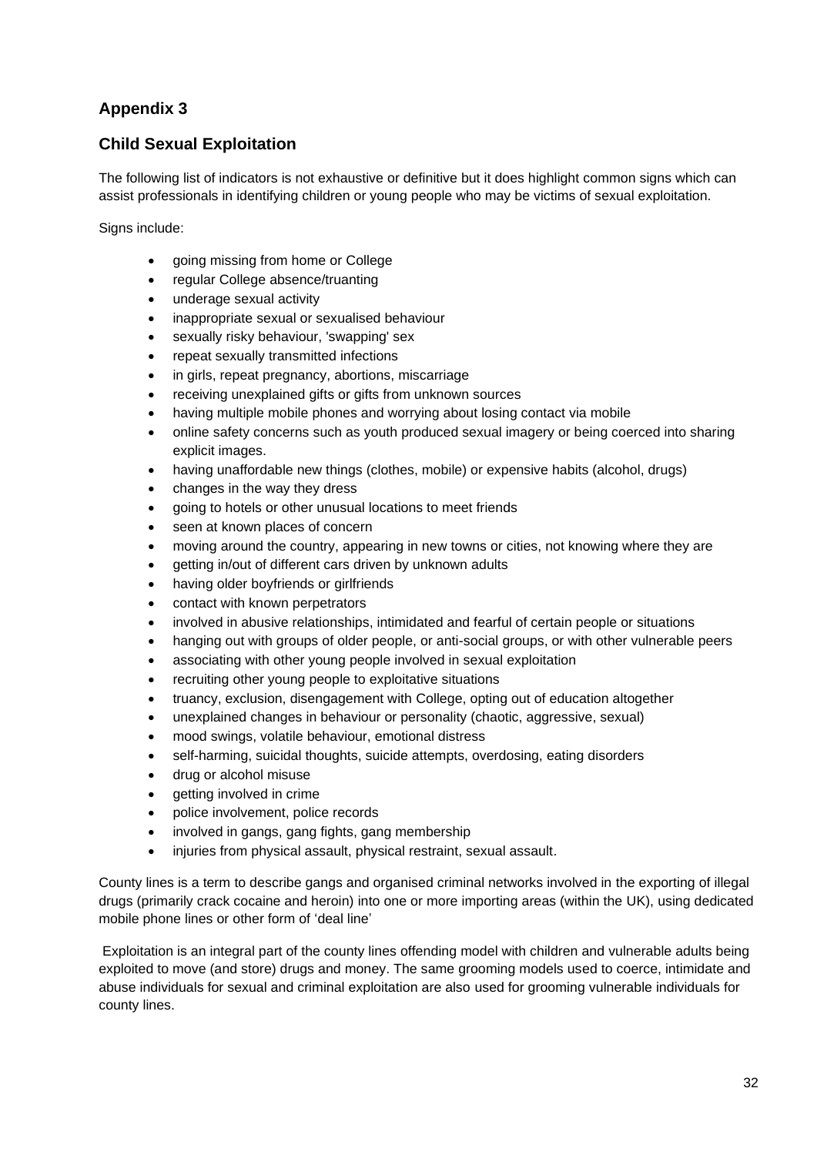# **Child Sexual Exploitation**

The following list of indicators is not exhaustive or definitive but it does highlight common signs which can assist professionals in identifying children or young people who may be victims of sexual exploitation.

Signs include:

- going missing from home or College
- regular College absence/truanting
- underage sexual activity
- inappropriate sexual or sexualised behaviour
- sexually risky behaviour, 'swapping' sex
- repeat sexually transmitted infections
- in girls, repeat pregnancy, abortions, miscarriage
- receiving unexplained gifts or gifts from unknown sources
- having multiple mobile phones and worrying about losing contact via mobile
- online safety concerns such as youth produced sexual imagery or being coerced into sharing explicit images.
- having unaffordable new things (clothes, mobile) or expensive habits (alcohol, drugs)
- changes in the way they dress
- going to hotels or other unusual locations to meet friends
- seen at known places of concern
- moving around the country, appearing in new towns or cities, not knowing where they are
- getting in/out of different cars driven by unknown adults
- having older boyfriends or girlfriends
- contact with known perpetrators
- involved in abusive relationships, intimidated and fearful of certain people or situations
- hanging out with groups of older people, or anti-social groups, or with other vulnerable peers
- associating with other young people involved in sexual exploitation
- recruiting other young people to exploitative situations
- truancy, exclusion, disengagement with College, opting out of education altogether
- unexplained changes in behaviour or personality (chaotic, aggressive, sexual)
- mood swings, volatile behaviour, emotional distress
- self-harming, suicidal thoughts, suicide attempts, overdosing, eating disorders
- drug or alcohol misuse
- getting involved in crime
- police involvement, police records
- involved in gangs, gang fights, gang membership
- injuries from physical assault, physical restraint, sexual assault.

County lines is a term to describe gangs and organised criminal networks involved in the exporting of illegal drugs (primarily crack cocaine and heroin) into one or more importing areas (within the UK), using dedicated mobile phone lines or other form of 'deal line'

Exploitation is an integral part of the county lines offending model with children and vulnerable adults being exploited to move (and store) drugs and money. The same grooming models used to coerce, intimidate and abuse individuals for sexual and criminal exploitation are also used for grooming vulnerable individuals for county lines.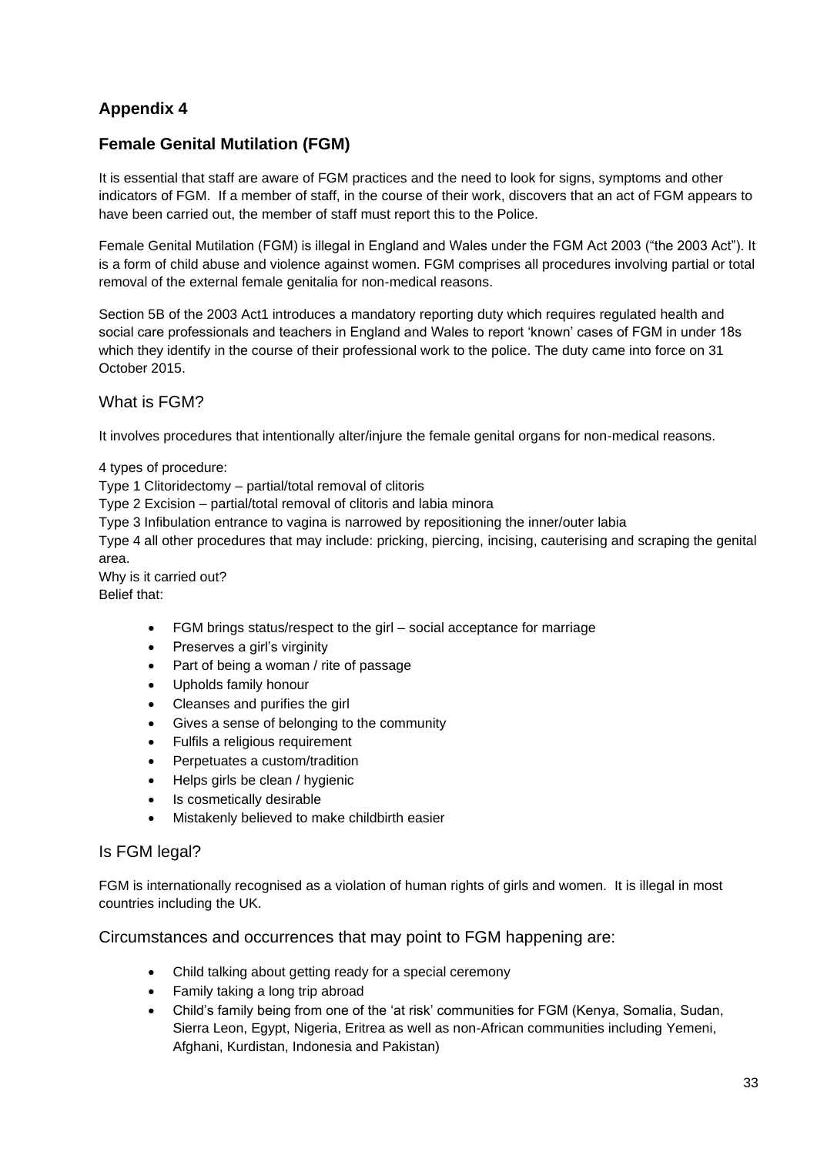# **Female Genital Mutilation (FGM)**

It is essential that staff are aware of FGM practices and the need to look for signs, symptoms and other indicators of FGM. If a member of staff, in the course of their work, discovers that an act of FGM appears to have been carried out, the member of staff must report this to the Police.

Female Genital Mutilation (FGM) is illegal in England and Wales under the FGM Act 2003 ("the 2003 Act"). It is a form of child abuse and violence against women. FGM comprises all procedures involving partial or total removal of the external female genitalia for non-medical reasons.

Section 5B of the 2003 Act1 introduces a mandatory reporting duty which requires regulated health and social care professionals and teachers in England and Wales to report 'known' cases of FGM in under 18s which they identify in the course of their professional work to the police. The duty came into force on 31 October 2015.

#### What is FGM?

It involves procedures that intentionally alter/injure the female genital organs for non-medical reasons.

4 types of procedure:

Type 1 Clitoridectomy – partial/total removal of clitoris

Type 2 Excision – partial/total removal of clitoris and labia minora

Type 3 Infibulation entrance to vagina is narrowed by repositioning the inner/outer labia

Type 4 all other procedures that may include: pricking, piercing, incising, cauterising and scraping the genital area.

Why is it carried out? Belief that:

- FGM brings status/respect to the girl social acceptance for marriage
- Preserves a girl's virginity
- Part of being a woman / rite of passage
- Upholds family honour
- Cleanses and purifies the girl
- Gives a sense of belonging to the community
- Fulfils a religious requirement
- Perpetuates a custom/tradition
- Helps girls be clean / hygienic
- Is cosmetically desirable
- Mistakenly believed to make childbirth easier

#### Is FGM legal?

FGM is internationally recognised as a violation of human rights of girls and women. It is illegal in most countries including the UK.

Circumstances and occurrences that may point to FGM happening are:

- Child talking about getting ready for a special ceremony
- Family taking a long trip abroad
- Child's family being from one of the 'at risk' communities for FGM (Kenya, Somalia, Sudan, Sierra Leon, Egypt, Nigeria, Eritrea as well as non-African communities including Yemeni, Afghani, Kurdistan, Indonesia and Pakistan)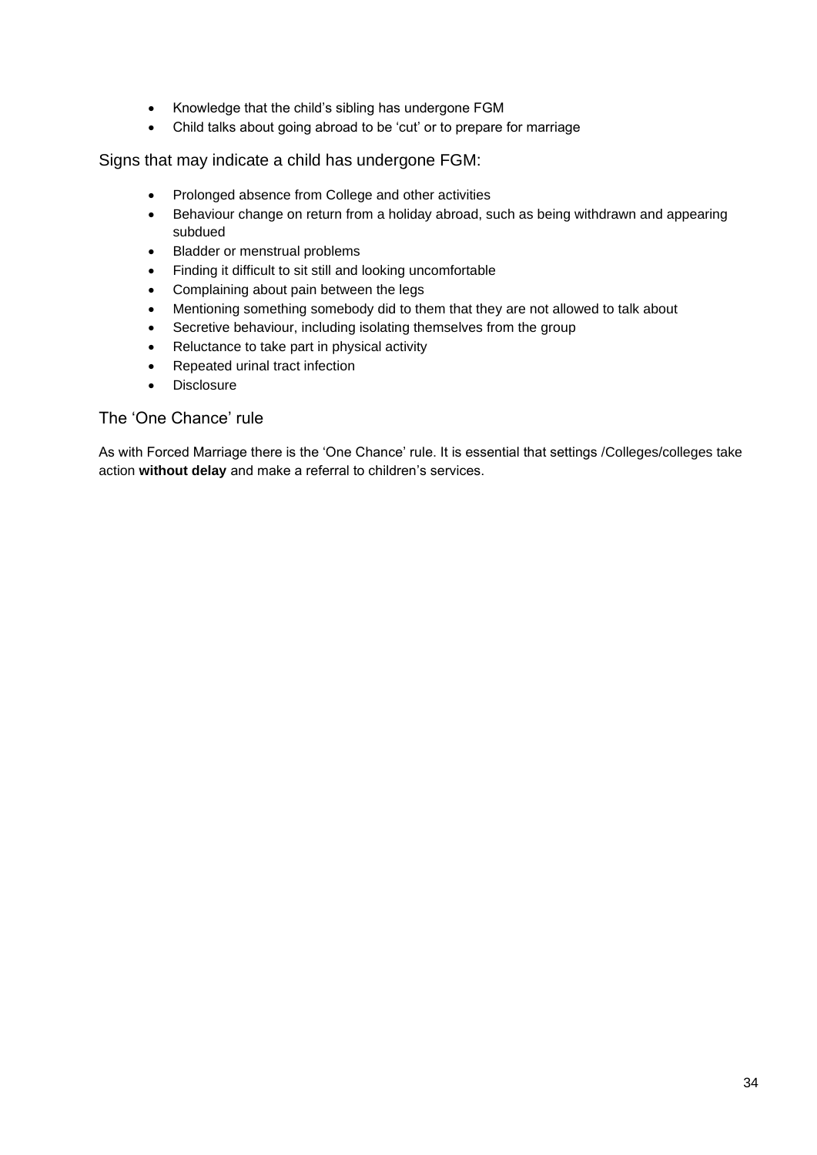- Knowledge that the child's sibling has undergone FGM
- Child talks about going abroad to be 'cut' or to prepare for marriage

Signs that may indicate a child has undergone FGM:

- Prolonged absence from College and other activities
- Behaviour change on return from a holiday abroad, such as being withdrawn and appearing subdued
- Bladder or menstrual problems
- Finding it difficult to sit still and looking uncomfortable
- Complaining about pain between the legs
- Mentioning something somebody did to them that they are not allowed to talk about
- Secretive behaviour, including isolating themselves from the group
- Reluctance to take part in physical activity
- Repeated urinal tract infection
- Disclosure

#### The 'One Chance' rule

As with Forced Marriage there is the 'One Chance' rule. It is essential that settings /Colleges/colleges take action **without delay** and make a referral to children's services.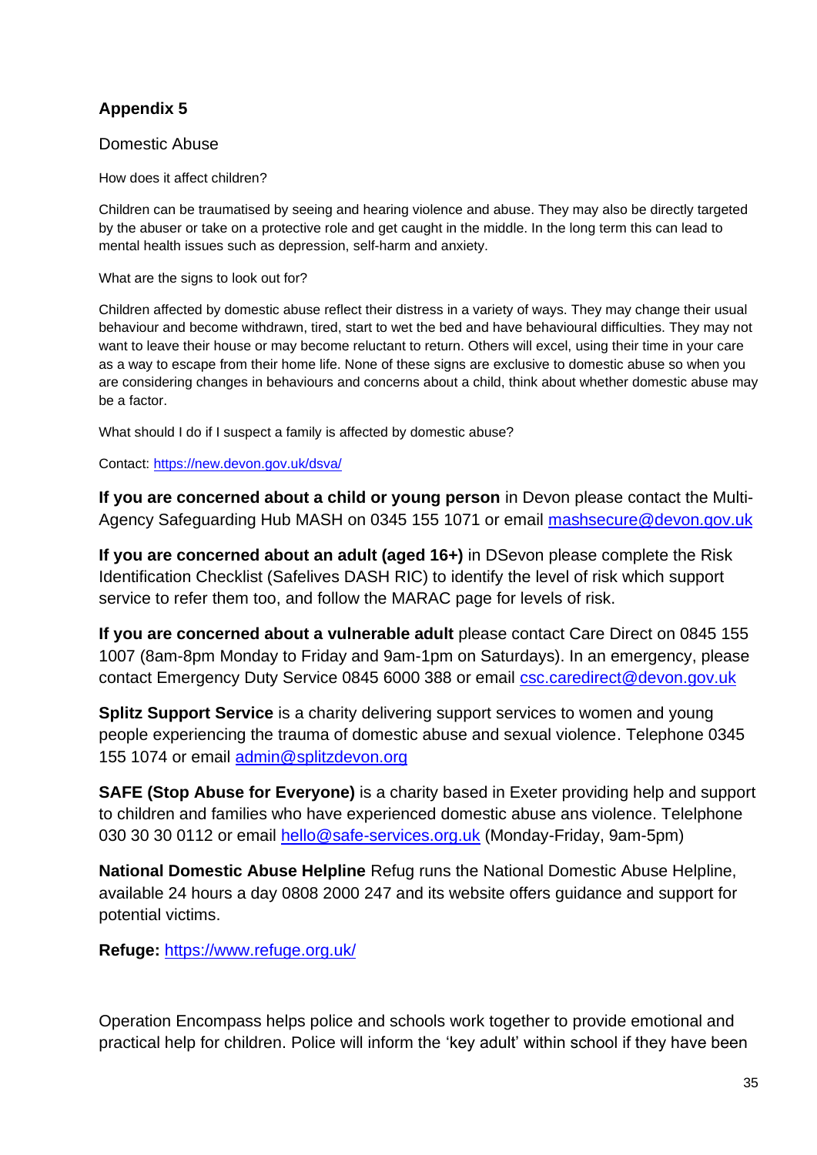Domestic Abuse

How does it affect children?

Children can be traumatised by seeing and hearing violence and abuse. They may also be directly targeted by the abuser or take on a protective role and get caught in the middle. In the long term this can lead to mental health issues such as depression, self-harm and anxiety.

What are the signs to look out for?

Children affected by domestic abuse reflect their distress in a variety of ways. They may change their usual behaviour and become withdrawn, tired, start to wet the bed and have behavioural difficulties. They may not want to leave their house or may become reluctant to return. Others will excel, using their time in your care as a way to escape from their home life. None of these signs are exclusive to domestic abuse so when you are considering changes in behaviours and concerns about a child, think about whether domestic abuse may be a factor.

What should I do if I suspect a family is affected by domestic abuse?

Contact:<https://new.devon.gov.uk/dsva/>

**If you are concerned about a child or young person** in Devon please contact the Multi-Agency Safeguarding Hub MASH on 0345 155 1071 or email [mashsecure@devon.gov.uk](mailto:mashsecure@devon.gov.uk)

**If you are concerned about an adult (aged 16+)** in DSevon please complete the Risk Identification Checklist (Safelives DASH RIC) to identify the level of risk which support service to refer them too, and follow the MARAC page for levels of risk.

**If you are concerned about a vulnerable adult** please contact Care Direct on 0845 155 1007 (8am-8pm Monday to Friday and 9am-1pm on Saturdays). In an emergency, please contact Emergency Duty Service 0845 6000 388 or email [csc.caredirect@devon.gov.uk](mailto:csc.caredirect@devon.gov.uk)

**Splitz Support Service** is a charity delivering support services to women and young people experiencing the trauma of domestic abuse and sexual violence. Telephone 0345 155 1074 or email [admin@splitzdevon.org](mailto:admin@splitzdevon.org)

**SAFE (Stop Abuse for Everyone)** is a charity based in Exeter providing help and support to children and families who have experienced domestic abuse ans violence. Telelphone 030 30 30 0112 or email [hello@safe-services.org.uk](mailto:hello@safe-services.org.uk) (Monday-Friday, 9am-5pm)

**National Domestic Abuse Helpline** Refug runs the National Domestic Abuse Helpline, available 24 hours a day 0808 2000 247 and its website offers guidance and support for potential victims.

**Refuge:** <https://www.refuge.org.uk/>

Operation Encompass helps police and schools work together to provide emotional and practical help for children. Police will inform the 'key adult' within school if they have been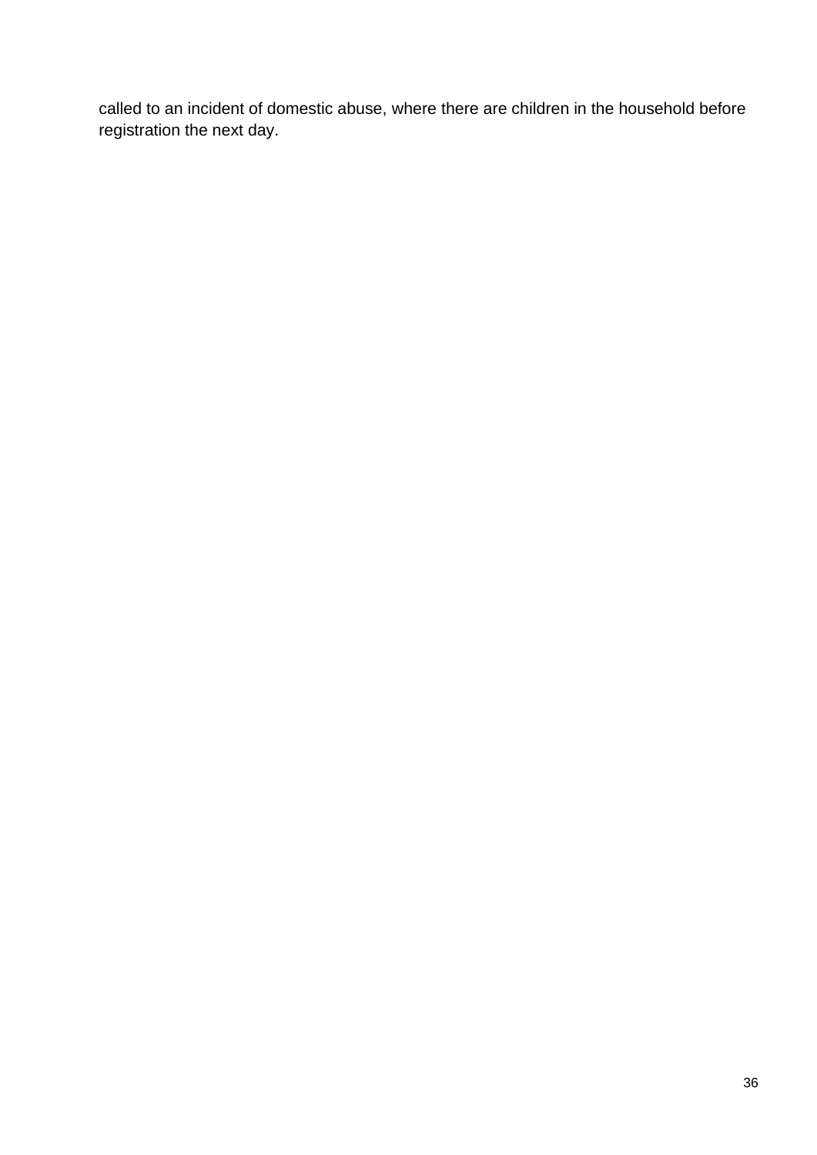called to an incident of domestic abuse, where there are children in the household before registration the next day.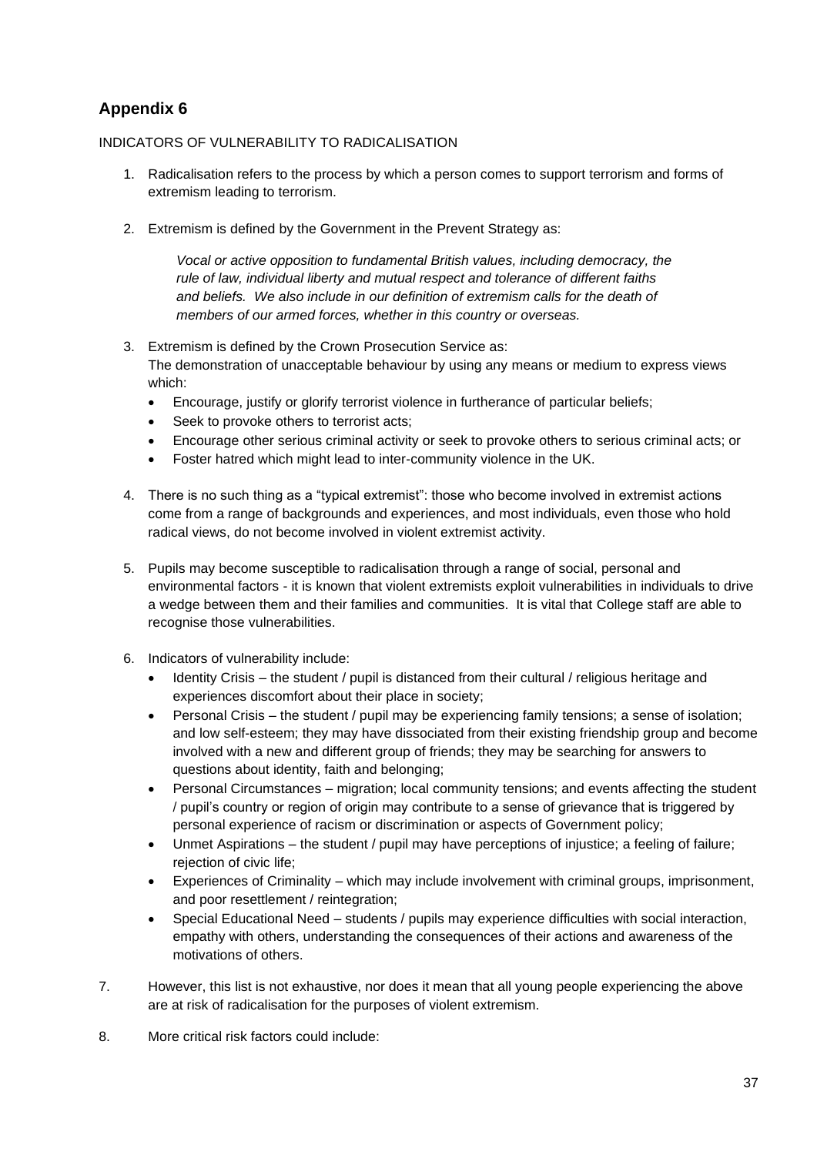#### INDICATORS OF VULNERABILITY TO RADICALISATION

- 1. Radicalisation refers to the process by which a person comes to support terrorism and forms of extremism leading to terrorism.
- 2. Extremism is defined by the Government in the Prevent Strategy as:

*Vocal or active opposition to fundamental British values, including democracy, the rule of law, individual liberty and mutual respect and tolerance of different faiths*  and beliefs. We also include in our definition of extremism calls for the death of *members of our armed forces, whether in this country or overseas.*

- 3. Extremism is defined by the Crown Prosecution Service as: The demonstration of unacceptable behaviour by using any means or medium to express views which:
	- Encourage, justify or glorify terrorist violence in furtherance of particular beliefs;
	- Seek to provoke others to terrorist acts;
	- Encourage other serious criminal activity or seek to provoke others to serious criminal acts; or
	- Foster hatred which might lead to inter-community violence in the UK.
- 4. There is no such thing as a "typical extremist": those who become involved in extremist actions come from a range of backgrounds and experiences, and most individuals, even those who hold radical views, do not become involved in violent extremist activity.
- 5. Pupils may become susceptible to radicalisation through a range of social, personal and environmental factors - it is known that violent extremists exploit vulnerabilities in individuals to drive a wedge between them and their families and communities. It is vital that College staff are able to recognise those vulnerabilities.
- 6. Indicators of vulnerability include:
	- Identity Crisis the student / pupil is distanced from their cultural / religious heritage and experiences discomfort about their place in society;
	- Personal Crisis the student / pupil may be experiencing family tensions; a sense of isolation; and low self-esteem; they may have dissociated from their existing friendship group and become involved with a new and different group of friends; they may be searching for answers to questions about identity, faith and belonging;
	- Personal Circumstances migration; local community tensions; and events affecting the student / pupil's country or region of origin may contribute to a sense of grievance that is triggered by personal experience of racism or discrimination or aspects of Government policy;
	- Unmet Aspirations the student / pupil may have perceptions of injustice; a feeling of failure; rejection of civic life;
	- Experiences of Criminality which may include involvement with criminal groups, imprisonment, and poor resettlement / reintegration;
	- Special Educational Need students / pupils may experience difficulties with social interaction, empathy with others, understanding the consequences of their actions and awareness of the motivations of others.
- 7. However, this list is not exhaustive, nor does it mean that all young people experiencing the above are at risk of radicalisation for the purposes of violent extremism.
- 8. More critical risk factors could include: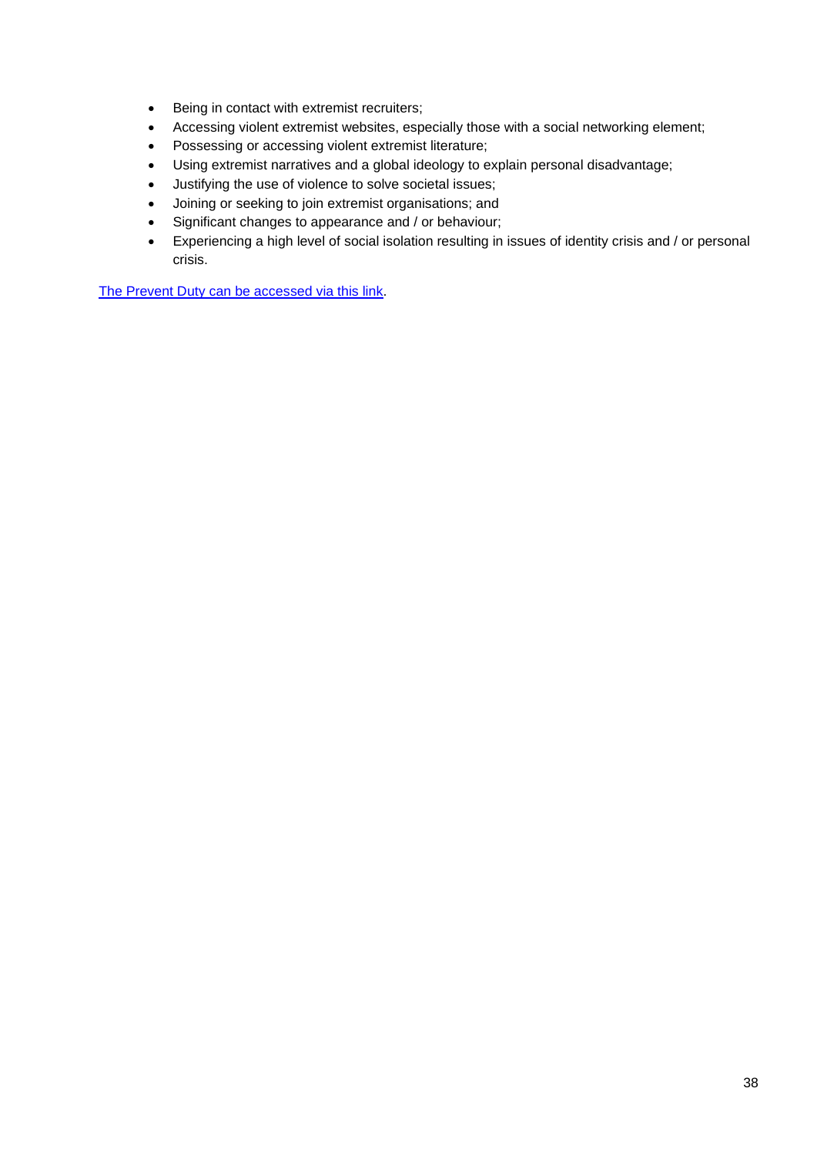- Being in contact with extremist recruiters;
- Accessing violent extremist websites, especially those with a social networking element;
- Possessing or accessing violent extremist literature;
- Using extremist narratives and a global ideology to explain personal disadvantage;
- Justifying the use of violence to solve societal issues;
- Joining or seeking to join extremist organisations; and
- Significant changes to appearance and / or behaviour;
- Experiencing a high level of social isolation resulting in issues of identity crisis and / or personal crisis.

[The Prevent Duty can be accessed via this link.](https://www.gov.uk/government/uploads/system/uploads/attachment_data/file/445977/3799_Revised_Prevent_Duty_Guidance__England_Wales_V2-Interactive.pdf)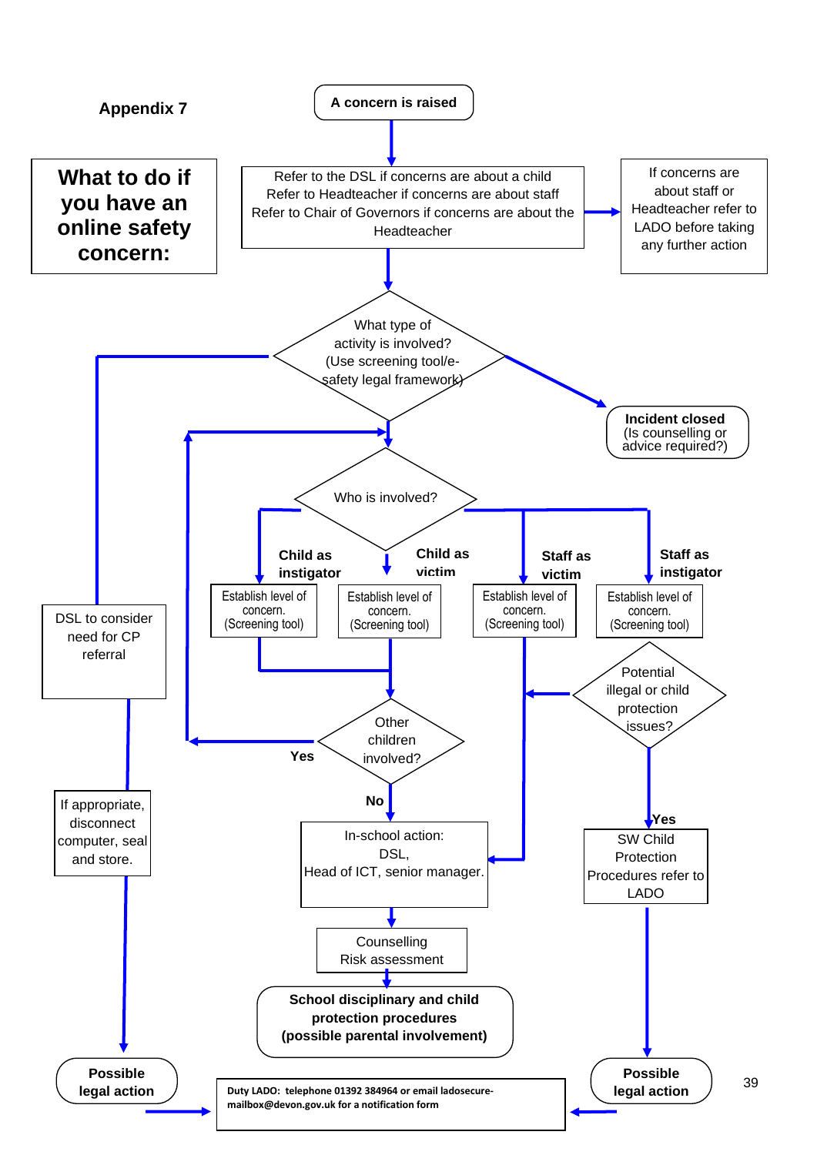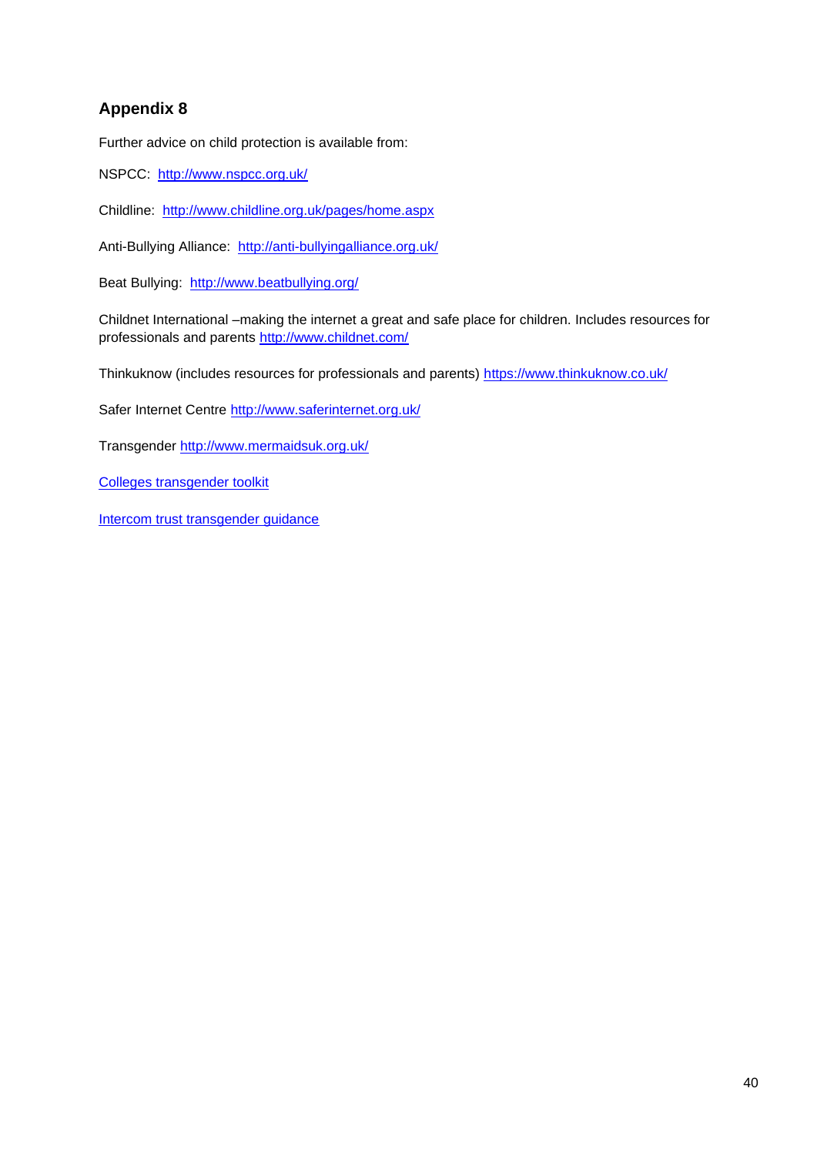Further advice on child protection is available from:

NSPCC: <http://www.nspcc.org.uk/>

Childline: <http://www.childline.org.uk/pages/home.aspx>

Anti-Bullying Alliance: <http://anti-bullyingalliance.org.uk/>

Beat Bullying: <http://www.beatbullying.org/>

Childnet International –making the internet a great and safe place for children. Includes resources for professionals and parents<http://www.childnet.com/>

Thinkuknow (includes resources for professionals and parents)<https://www.thinkuknow.co.uk/>

Safer Internet Centre<http://www.saferinternet.org.uk/>

Transgender<http://www.mermaidsuk.org.uk/>

[Colleges transgender toolkit](http://www.mermaidsuk.org.uk/assets/media/East%20Sussex%20schools%20transgender%20toolkit.pdf)

[Intercom trust transgender guidance](https://www.intercomtrust.org.uk/item/55-schools-transgender-guidance-july-2015)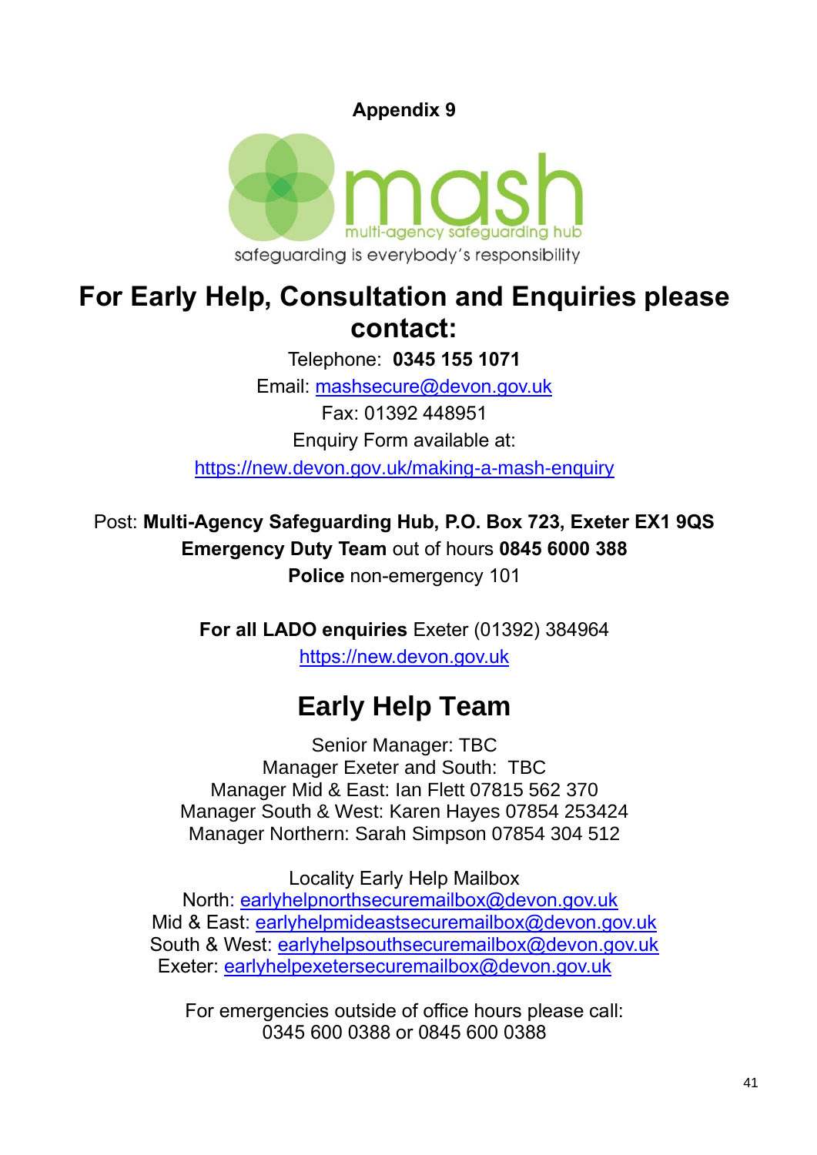

# **For Early Help, Consultation and Enquiries please contact:**

Telephone: **0345 155 1071** Email: [mashsecure@devon.gov.uk](mailto:mashsecure@devon.gov.uk) Fax: 01392 448951 Enquiry Form available at: [https://new.devon.gov.uk/making-a-mash-enquiry](https://new.devon.gov.uk/educationandfamilies/child-protection/making-a-mash-enquiry)

Post: **Multi-Agency Safeguarding Hub, P.O. Box 723, Exeter EX1 9QS Emergency Duty Team** out of hours **0845 6000 388 Police** non-emergency 101

> **For all LADO enquiries** Exeter (01392) 384964 [https://new.devon.gov.uk](https://new.devon.gov.uk/educationandfamilies/child-protection/managing-allegations-against-adults-working-with-children)

# **Early Help Team**

Senior Manager: TBC Manager Exeter and South: TBC Manager Mid & East: Ian Flett 07815 562 370 Manager South & West: Karen Hayes 07854 253424 Manager Northern: Sarah Simpson 07854 304 512

Locality Early Help Mailbox North: [earlyhelpnorthsecuremailbox@devon.gov.uk](mailto:earlyhelpnorthsecuremailbox@devon.gov.uk) Mid & East: [earlyhelpmideastsecuremailbox@devon.gov.uk](mailto:earlyhelpmideastsecuremailbox@devon.gov.uk) South & West: [earlyhelpsouthsecuremailbox@devon.gov.uk](mailto:earlyhelpsouthsecuremailbox@devon.gov.uk) Exeter: [earlyhelpexetersecuremailbox@devon.gov.uk](mailto:earlyhelpexetersecuremailbox@devon.gov.uk)

For emergencies outside of office hours please call: 0345 600 0388 or 0845 600 0388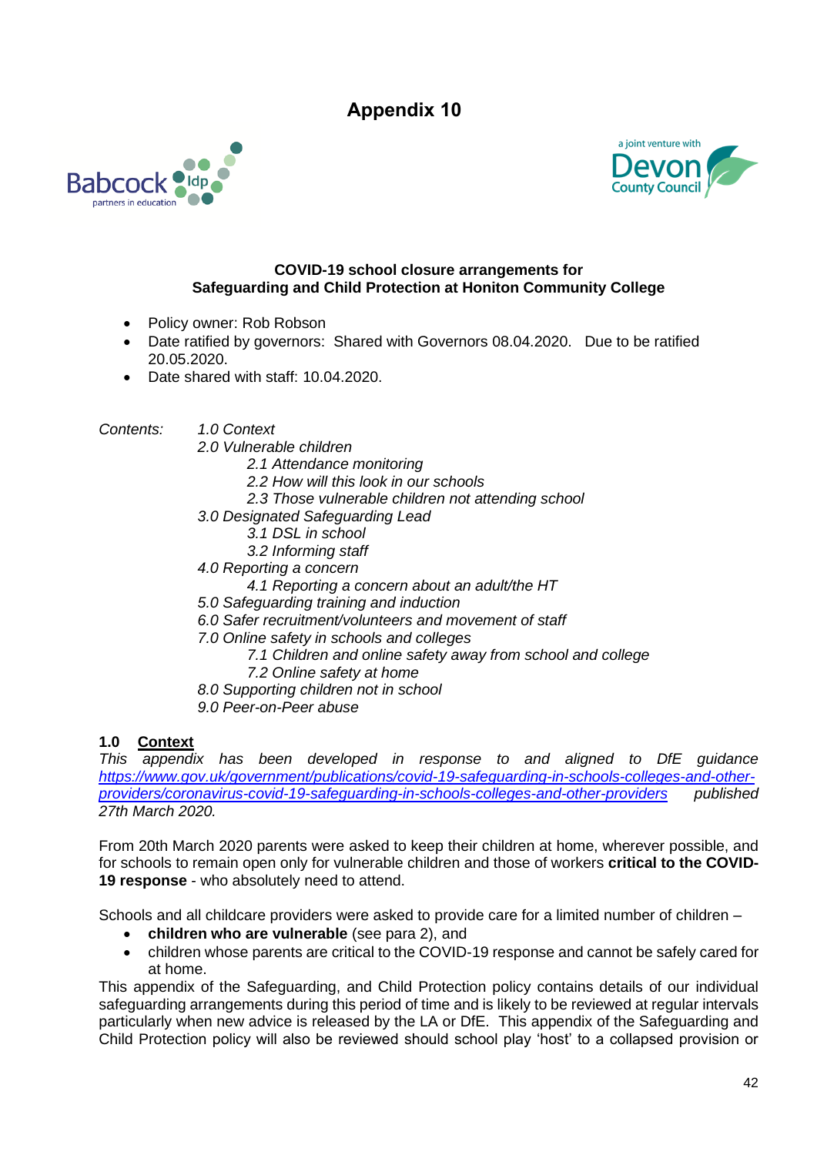



#### **COVID-19 school closure arrangements for Safeguarding and Child Protection at Honiton Community College**

- Policy owner: Rob Robson
- Date ratified by governors: Shared with Governors 08.04.2020. Due to be ratified 20.05.2020.
- Date shared with staff: 10.04.2020.

*Contents: 1.0 Context*

*2.0 Vulnerable children 2.1 Attendance monitoring 2.2 How will this look in our schools 2.3 Those vulnerable children not attending school 3.0 Designated Safeguarding Lead 3.1 DSL in school 3.2 Informing staff 4.0 Reporting a concern 4.1 Reporting a concern about an adult/the HT 5.0 Safeguarding training and induction 6.0 Safer recruitment/volunteers and movement of staff 7.0 Online safety in schools and colleges 7.1 Children and online safety away from school and college 7.2 Online safety at home 8.0 Supporting children not in school 9.0 Peer-on-Peer abuse*

#### **1.0 Context**

*This appendix has been developed in response to and aligned to DfE guidance [https://www.gov.uk/government/publications/covid-19-safeguarding-in-schools-colleges-and-other](https://www.gov.uk/government/publications/covid-19-safeguarding-in-schools-colleges-and-other-providers/coronavirus-covid-19-safeguarding-in-schools-colleges-and-other-providers)[providers/coronavirus-covid-19-safeguarding-in-schools-colleges-and-other-providers](https://www.gov.uk/government/publications/covid-19-safeguarding-in-schools-colleges-and-other-providers/coronavirus-covid-19-safeguarding-in-schools-colleges-and-other-providers) published 27th March 2020.*

From 20th March 2020 parents were asked to keep their children at home, wherever possible, and for schools to remain open only for vulnerable children and those of workers **critical to the COVID-19 response** - who absolutely need to attend.

Schools and all childcare providers were asked to provide care for a limited number of children –

- **children who are vulnerable** (see para 2), and
- children whose parents are critical to the COVID-19 response and cannot be safely cared for at home.

This appendix of the Safeguarding, and Child Protection policy contains details of our individual safeguarding arrangements during this period of time and is likely to be reviewed at regular intervals particularly when new advice is released by the LA or DfE. This appendix of the Safeguarding and Child Protection policy will also be reviewed should school play 'host' to a collapsed provision or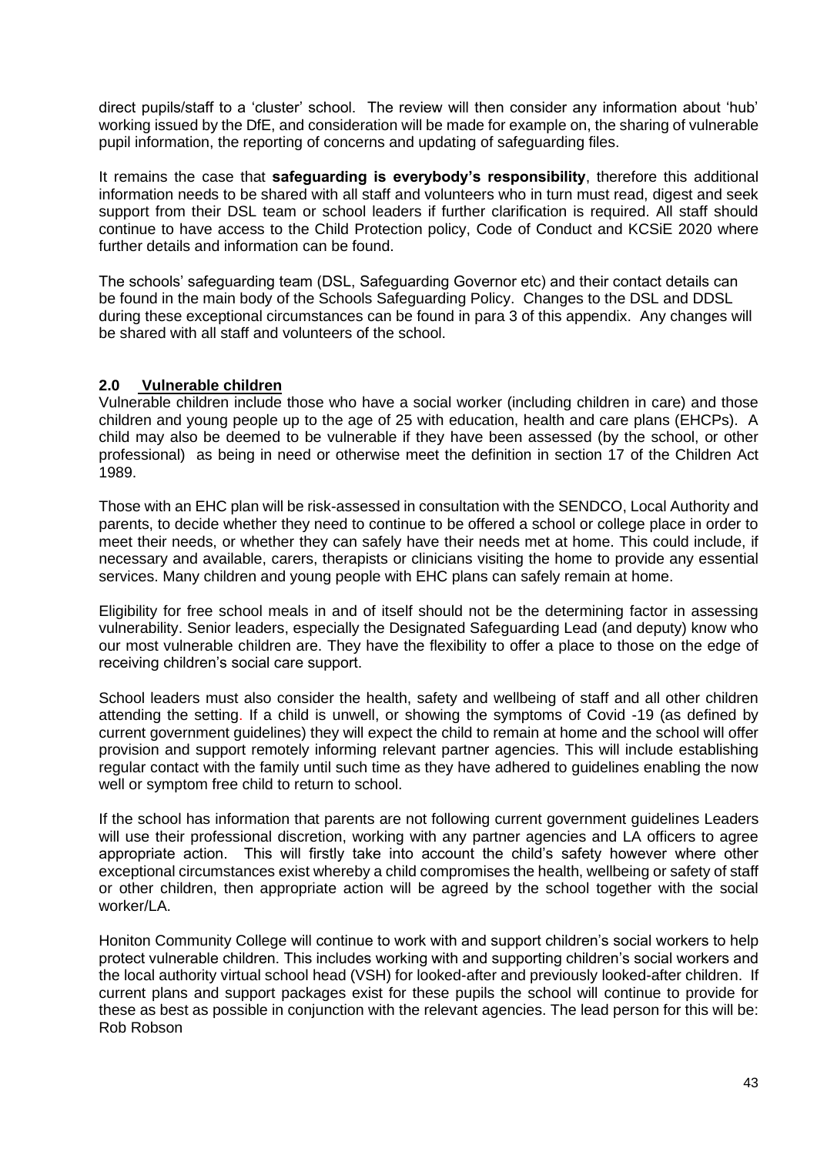direct pupils/staff to a 'cluster' school. The review will then consider any information about 'hub' working issued by the DfE, and consideration will be made for example on, the sharing of vulnerable pupil information, the reporting of concerns and updating of safeguarding files.

It remains the case that **safeguarding is everybody's responsibility**, therefore this additional information needs to be shared with all staff and volunteers who in turn must read, digest and seek support from their DSL team or school leaders if further clarification is required. All staff should continue to have access to the Child Protection policy, Code of Conduct and KCSiE 2020 where further details and information can be found.

The schools' safeguarding team (DSL, Safeguarding Governor etc) and their contact details can be found in the main body of the Schools Safeguarding Policy. Changes to the DSL and DDSL during these exceptional circumstances can be found in para 3 of this appendix. Any changes will be shared with all staff and volunteers of the school.

#### **2.0 Vulnerable children**

Vulnerable children include those who have a social worker (including children in care) and those children and young people up to the age of 25 with education, health and care plans (EHCPs). A child may also be deemed to be vulnerable if they have been assessed (by the school, or other professional) as being in need or otherwise meet the definition in section 17 of the Children Act 1989.

Those with an EHC plan will be risk-assessed in consultation with the SENDCO, Local Authority and parents, to decide whether they need to continue to be offered a school or college place in order to meet their needs, or whether they can safely have their needs met at home. This could include, if necessary and available, carers, therapists or clinicians visiting the home to provide any essential services. Many children and young people with EHC plans can safely remain at home.

Eligibility for free school meals in and of itself should not be the determining factor in assessing vulnerability. Senior leaders, especially the Designated Safeguarding Lead (and deputy) know who our most vulnerable children are. They have the flexibility to offer a place to those on the edge of receiving children's social care support.

School leaders must also consider the health, safety and wellbeing of staff and all other children attending the setting. If a child is unwell, or showing the symptoms of Covid -19 (as defined by current government guidelines) they will expect the child to remain at home and the school will offer provision and support remotely informing relevant partner agencies. This will include establishing regular contact with the family until such time as they have adhered to guidelines enabling the now well or symptom free child to return to school.

If the school has information that parents are not following current government guidelines Leaders will use their professional discretion, working with any partner agencies and LA officers to agree appropriate action. This will firstly take into account the child's safety however where other exceptional circumstances exist whereby a child compromises the health, wellbeing or safety of staff or other children, then appropriate action will be agreed by the school together with the social worker/LA.

Honiton Community College will continue to work with and support children's social workers to help protect vulnerable children. This includes working with and supporting children's social workers and the local authority virtual school head (VSH) for looked-after and previously looked-after children. If current plans and support packages exist for these pupils the school will continue to provide for these as best as possible in conjunction with the relevant agencies. The lead person for this will be: Rob Robson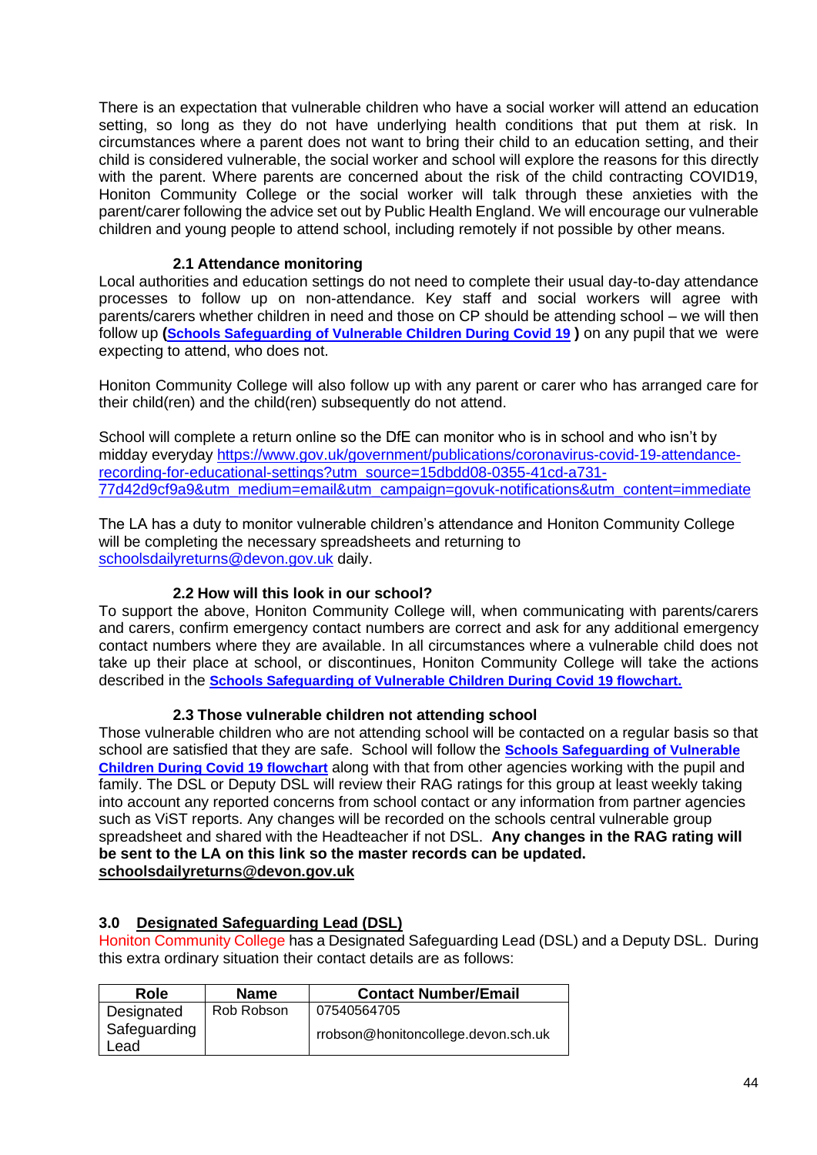There is an expectation that vulnerable children who have a social worker will attend an education setting, so long as they do not have underlying health conditions that put them at risk. In circumstances where a parent does not want to bring their child to an education setting, and their child is considered vulnerable, the social worker and school will explore the reasons for this directly with the parent. Where parents are concerned about the risk of the child contracting COVID19. Honiton Community College or the social worker will talk through these anxieties with the parent/carer following the advice set out by Public Health England. We will encourage our vulnerable children and young people to attend school, including remotely if not possible by other means.

#### **2.1 Attendance monitoring**

Local authorities and education settings do not need to complete their usual day-to-day attendance processes to follow up on non-attendance. Key staff and social workers will agree with parents/carers whether children in need and those on CP should be attending school – we will then follow up **([Schools Safeguarding of Vulnerable Children During Covid 19](file:///C:/Users/RRobson/AppData/Local/Microsoft/Windows/INetCache/Content.Outlook/FXR2U2NA/(https:/www.devon.gov.uk/schools/my-account/information-for-schools/)) )** on any pupil that we were expecting to attend, who does not.

Honiton Community College will also follow up with any parent or carer who has arranged care for their child(ren) and the child(ren) subsequently do not attend.

School will complete a return online so the DfE can monitor who is in school and who isn't by midday everyday [https://www.gov.uk/government/publications/coronavirus-covid-19-attendance](https://www.gov.uk/government/publications/coronavirus-covid-19-attendance-recording-for-educational-settings?utm_source=15dbdd08-0355-41cd-a731-77d42d9cf9a9&utm_medium=email&utm_campaign=govuk-notifications&utm_content=immediate)[recording-for-educational-settings?utm\\_source=15dbdd08-0355-41cd-a731-](https://www.gov.uk/government/publications/coronavirus-covid-19-attendance-recording-for-educational-settings?utm_source=15dbdd08-0355-41cd-a731-77d42d9cf9a9&utm_medium=email&utm_campaign=govuk-notifications&utm_content=immediate) [77d42d9cf9a9&utm\\_medium=email&utm\\_campaign=govuk-notifications&utm\\_content=immediate](https://www.gov.uk/government/publications/coronavirus-covid-19-attendance-recording-for-educational-settings?utm_source=15dbdd08-0355-41cd-a731-77d42d9cf9a9&utm_medium=email&utm_campaign=govuk-notifications&utm_content=immediate)

The LA has a duty to monitor vulnerable children's attendance and Honiton Community College will be completing the necessary spreadsheets and returning to [schoolsdailyreturns@devon.gov.uk](mailto:schoolsdailyreturns@devon.gov.uk) daily.

#### **2.2 How will this look in our school?**

To support the above, Honiton Community College will, when communicating with parents/carers and carers, confirm emergency contact numbers are correct and ask for any additional emergency contact numbers where they are available. In all circumstances where a vulnerable child does not take up their place at school, or discontinues, Honiton Community College will take the actions described in the **[Schools Safeguarding of Vulnerable Children During Covid 19 flowchart.](file:///C:/Users/RRobson/AppData/Local/Microsoft/Windows/INetCache/Content.Outlook/FXR2U2NA/(https:/www.devon.gov.uk/schools/my-account/information-for-schools/))**

#### **2.3 Those vulnerable children not attending school**

Those vulnerable children who are not attending school will be contacted on a regular basis so that school are satisfied that they are safe. School will follow the **[Schools Safeguarding of Vulnerable](file://///ds2chx003.ds2.devon.gov.uk/user$/Dawn.Stabb/Desktop/temp/(https:/www.devon.gov.uk/schools/my-account/information-for-schools/))  [Children During Covid 19 flowchart](file://///ds2chx003.ds2.devon.gov.uk/user$/Dawn.Stabb/Desktop/temp/(https:/www.devon.gov.uk/schools/my-account/information-for-schools/))** along with that from other agencies working with the pupil and family. The DSL or Deputy DSL will review their RAG ratings for this group at least weekly taking into account any reported concerns from school contact or any information from partner agencies such as ViST reports. Any changes will be recorded on the schools central vulnerable group spreadsheet and shared with the Headteacher if not DSL. **Any changes in the RAG rating will be sent to the LA on this link so the master records can be updated. [schoolsdailyreturns@devon.gov.uk](mailto:schoolsdailyreturns@devon.gov.uk)**

#### **3.0 Designated Safeguarding Lead (DSL)**

Honiton Community College has a Designated Safeguarding Lead (DSL) and a Deputy DSL. During this extra ordinary situation their contact details are as follows:

| Role                 | <b>Name</b> | <b>Contact Number/Email</b>         |
|----------------------|-------------|-------------------------------------|
| Designated           | Rob Robson  | 07540564705                         |
| Safeguarding<br>Lead |             | rrobson@honitoncollege.devon.sch.uk |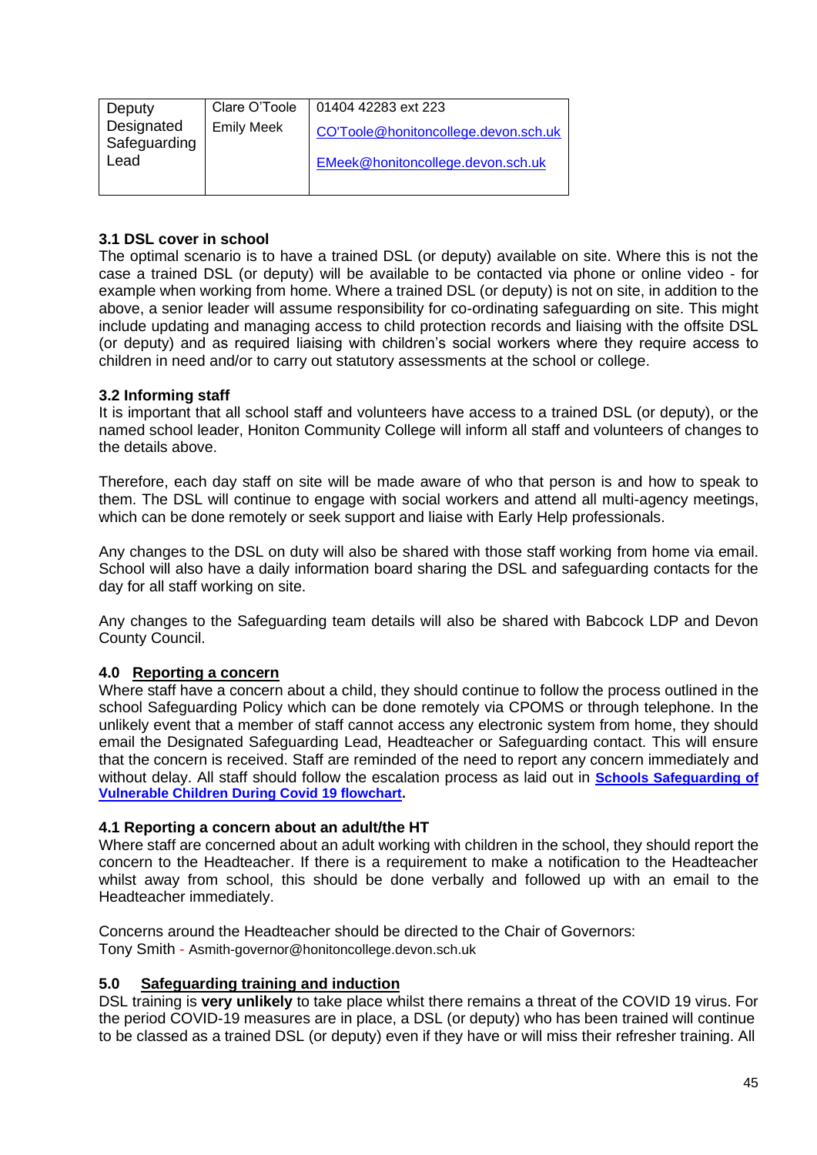| Deputy                     | Clare O'Toole     | 01404 42283 ext 223                  |
|----------------------------|-------------------|--------------------------------------|
| Designated<br>Safeguarding | <b>Emily Meek</b> | CO'Toole@honitoncollege.devon.sch.uk |
| Lead                       |                   | EMeek@honitoncollege.devon.sch.uk    |
|                            |                   |                                      |

#### **3.1 DSL cover in school**

The optimal scenario is to have a trained DSL (or deputy) available on site. Where this is not the case a trained DSL (or deputy) will be available to be contacted via phone or online video - for example when working from home. Where a trained DSL (or deputy) is not on site, in addition to the above, a senior leader will assume responsibility for co-ordinating safeguarding on site. This might include updating and managing access to child protection records and liaising with the offsite DSL (or deputy) and as required liaising with children's social workers where they require access to children in need and/or to carry out statutory assessments at the school or college.

#### **3.2 Informing staff**

It is important that all school staff and volunteers have access to a trained DSL (or deputy), or the named school leader, Honiton Community College will inform all staff and volunteers of changes to the details above.

Therefore, each day staff on site will be made aware of who that person is and how to speak to them. The DSL will continue to engage with social workers and attend all multi-agency meetings, which can be done remotely or seek support and liaise with Early Help professionals.

Any changes to the DSL on duty will also be shared with those staff working from home via email. School will also have a daily information board sharing the DSL and safeguarding contacts for the day for all staff working on site.

Any changes to the Safeguarding team details will also be shared with Babcock LDP and Devon County Council.

#### **4.0 Reporting a concern**

Where staff have a concern about a child, they should continue to follow the process outlined in the school Safeguarding Policy which can be done remotely via CPOMS or through telephone. In the unlikely event that a member of staff cannot access any electronic system from home, they should email the Designated Safeguarding Lead, Headteacher or Safeguarding contact. This will ensure that the concern is received. Staff are reminded of the need to report any concern immediately and without delay. All staff should follow the escalation process as laid out in **[Schools Safeguarding of](file://///ds2chx003.ds2.devon.gov.uk/user$/Dawn.Stabb/Desktop/temp/(https:/www.devon.gov.uk/schools/my-account/information-for-schools/))  [Vulnerable Children During Covid 19 flowchart.](file://///ds2chx003.ds2.devon.gov.uk/user$/Dawn.Stabb/Desktop/temp/(https:/www.devon.gov.uk/schools/my-account/information-for-schools/))**

#### **4.1 Reporting a concern about an adult/the HT**

Where staff are concerned about an adult working with children in the school, they should report the concern to the Headteacher. If there is a requirement to make a notification to the Headteacher whilst away from school, this should be done verbally and followed up with an email to the Headteacher immediately.

Concerns around the Headteacher should be directed to the Chair of Governors: Tony Smith - Asmith-governor@honitoncollege.devon.sch.uk

#### **5.0 Safeguarding training and induction**

DSL training is **very unlikely** to take place whilst there remains a threat of the COVID 19 virus. For the period COVID-19 measures are in place, a DSL (or deputy) who has been trained will continue to be classed as a trained DSL (or deputy) even if they have or will miss their refresher training. All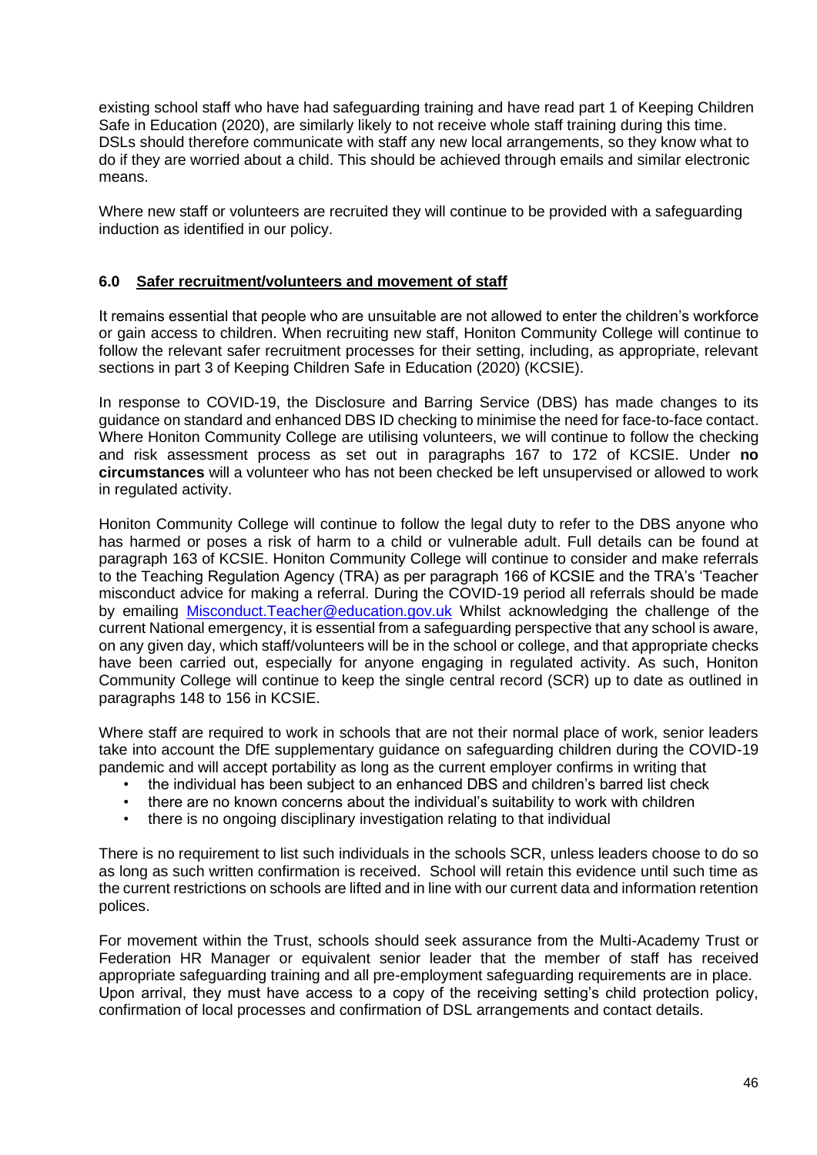existing school staff who have had safeguarding training and have read part 1 of Keeping Children Safe in Education (2020), are similarly likely to not receive whole staff training during this time. DSLs should therefore communicate with staff any new local arrangements, so they know what to do if they are worried about a child. This should be achieved through emails and similar electronic means.

Where new staff or volunteers are recruited they will continue to be provided with a safeguarding induction as identified in our policy.

#### **6.0 Safer recruitment/volunteers and movement of staff**

It remains essential that people who are unsuitable are not allowed to enter the children's workforce or gain access to children. When recruiting new staff, Honiton Community College will continue to follow the relevant safer recruitment processes for their setting, including, as appropriate, relevant sections in part 3 of Keeping Children Safe in Education (2020) (KCSIE).

In response to COVID-19, the Disclosure and Barring Service (DBS) has made changes to its guidance on standard and enhanced DBS ID checking to minimise the need for face-to-face contact. Where Honiton Community College are utilising volunteers, we will continue to follow the checking and risk assessment process as set out in paragraphs 167 to 172 of KCSIE. Under **no circumstances** will a volunteer who has not been checked be left unsupervised or allowed to work in regulated activity.

Honiton Community College will continue to follow the legal duty to refer to the DBS anyone who has harmed or poses a risk of harm to a child or vulnerable adult. Full details can be found at paragraph 163 of KCSIE. Honiton Community College will continue to consider and make referrals to the Teaching Regulation Agency (TRA) as per paragraph 166 of KCSIE and the TRA's 'Teacher misconduct advice for making a referral. During the COVID-19 period all referrals should be made by emailing [Misconduct.Teacher@education.gov.uk](mailto:Misconduct.Teacher@education.gov.uk) Whilst acknowledging the challenge of the current National emergency, it is essential from a safeguarding perspective that any school is aware, on any given day, which staff/volunteers will be in the school or college, and that appropriate checks have been carried out, especially for anyone engaging in regulated activity. As such, Honiton Community College will continue to keep the single central record (SCR) up to date as outlined in paragraphs 148 to 156 in KCSIE.

Where staff are required to work in schools that are not their normal place of work, senior leaders take into account the DfE supplementary guidance on safeguarding children during the COVID-19 pandemic and will accept portability as long as the current employer confirms in writing that

- the individual has been subject to an enhanced DBS and children's barred list check
- there are no known concerns about the individual's suitability to work with children
- there is no ongoing disciplinary investigation relating to that individual

There is no requirement to list such individuals in the schools SCR, unless leaders choose to do so as long as such written confirmation is received. School will retain this evidence until such time as the current restrictions on schools are lifted and in line with our current data and information retention polices.

For movement within the Trust, schools should seek assurance from the Multi-Academy Trust or Federation HR Manager or equivalent senior leader that the member of staff has received appropriate safeguarding training and all pre-employment safeguarding requirements are in place. Upon arrival, they must have access to a copy of the receiving setting's child protection policy, confirmation of local processes and confirmation of DSL arrangements and contact details.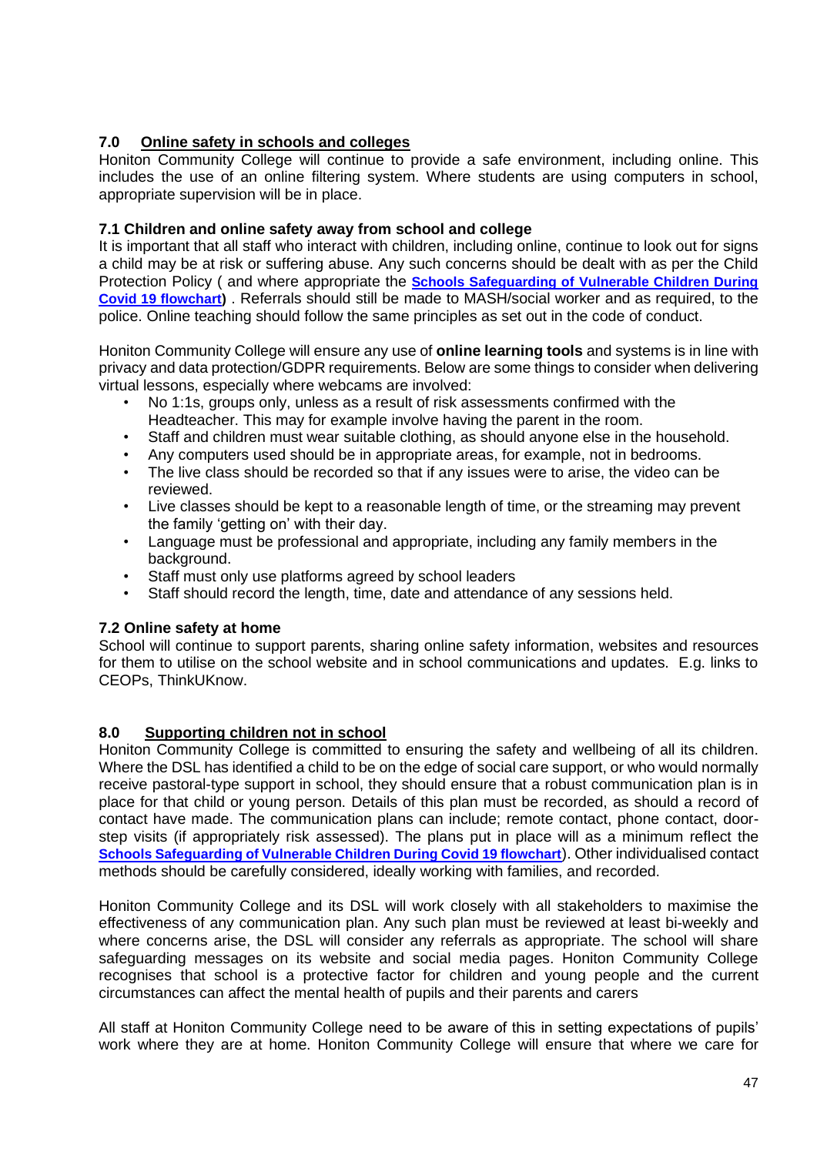## **7.0 Online safety in schools and colleges**

Honiton Community College will continue to provide a safe environment, including online. This includes the use of an online filtering system. Where students are using computers in school, appropriate supervision will be in place.

## **7.1 Children and online safety away from school and college**

It is important that all staff who interact with children, including online, continue to look out for signs a child may be at risk or suffering abuse. Any such concerns should be dealt with as per the Child Protection Policy ( and where appropriate the **[Schools Safeguarding of Vulnerable Children During](file://///ds2chx003.ds2.devon.gov.uk/user$/Dawn.Stabb/Desktop/temp/(https:/www.devon.gov.uk/schools/my-account/information-for-schools/))  [Covid 19 flowchart\)](file://///ds2chx003.ds2.devon.gov.uk/user$/Dawn.Stabb/Desktop/temp/(https:/www.devon.gov.uk/schools/my-account/information-for-schools/))** . Referrals should still be made to MASH/social worker and as required, to the police. Online teaching should follow the same principles as set out in the code of conduct.

Honiton Community College will ensure any use of **online learning tools** and systems is in line with privacy and data protection/GDPR requirements. Below are some things to consider when delivering virtual lessons, especially where webcams are involved:

- No 1:1s, groups only, unless as a result of risk assessments confirmed with the Headteacher. This may for example involve having the parent in the room.
- Staff and children must wear suitable clothing, as should anyone else in the household.
- Any computers used should be in appropriate areas, for example, not in bedrooms.
- The live class should be recorded so that if any issues were to arise, the video can be reviewed.
- Live classes should be kept to a reasonable length of time, or the streaming may prevent the family 'getting on' with their day.
- Language must be professional and appropriate, including any family members in the background.
- Staff must only use platforms agreed by school leaders
- Staff should record the length, time, date and attendance of any sessions held.

#### **7.2 Online safety at home**

School will continue to support parents, sharing online safety information, websites and resources for them to utilise on the school website and in school communications and updates. E.g. links to CEOPs, ThinkUKnow.

#### **8.0 Supporting children not in school**

Honiton Community College is committed to ensuring the safety and wellbeing of all its children. Where the DSL has identified a child to be on the edge of social care support, or who would normally receive pastoral-type support in school, they should ensure that a robust communication plan is in place for that child or young person. Details of this plan must be recorded, as should a record of contact have made. The communication plans can include; remote contact, phone contact, doorstep visits (if appropriately risk assessed). The plans put in place will as a minimum reflect the **[Schools Safeguarding of Vulnerable Children During Covid 19 flowchart](file://///ds2chx003.ds2.devon.gov.uk/user$/Dawn.Stabb/Desktop/temp/(https:/www.devon.gov.uk/schools/my-account/information-for-schools/))**). Other individualised contact methods should be carefully considered, ideally working with families, and recorded.

Honiton Community College and its DSL will work closely with all stakeholders to maximise the effectiveness of any communication plan. Any such plan must be reviewed at least bi-weekly and where concerns arise, the DSL will consider any referrals as appropriate. The school will share safeguarding messages on its website and social media pages. Honiton Community College recognises that school is a protective factor for children and young people and the current circumstances can affect the mental health of pupils and their parents and carers

All staff at Honiton Community College need to be aware of this in setting expectations of pupils' work where they are at home. Honiton Community College will ensure that where we care for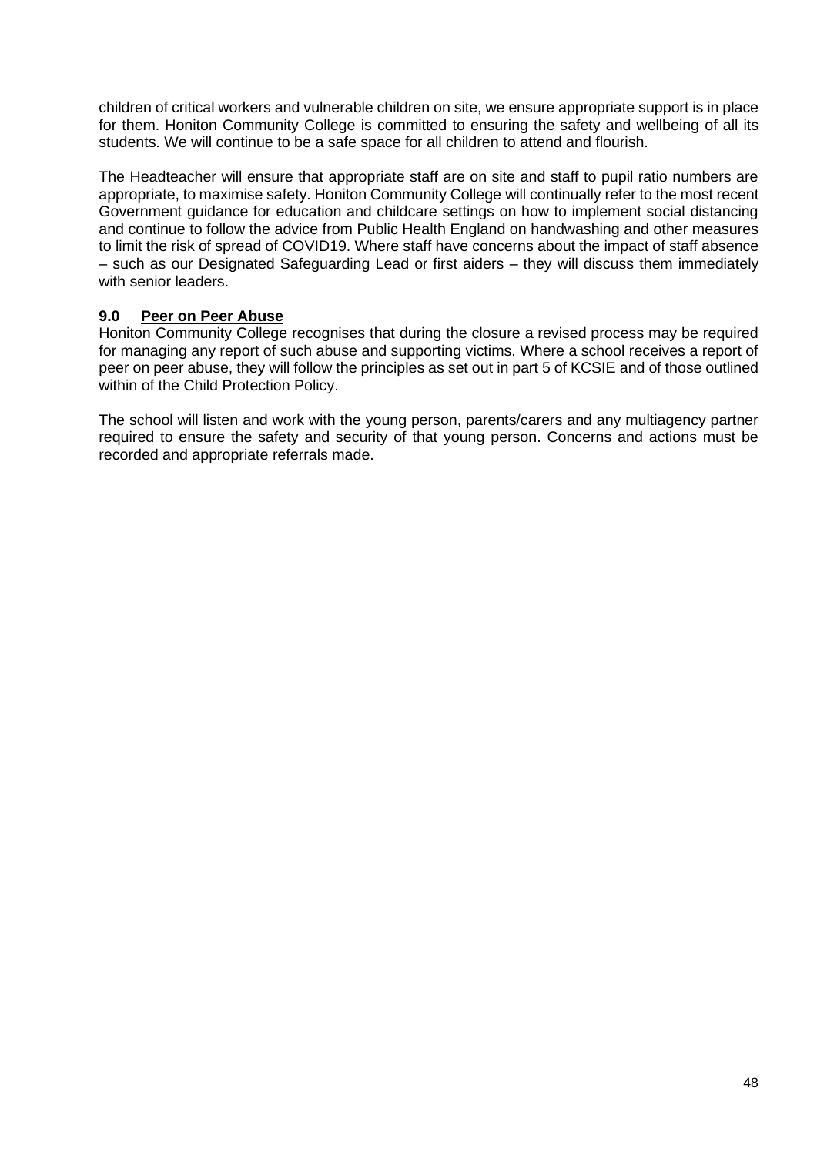children of critical workers and vulnerable children on site, we ensure appropriate support is in place for them. Honiton Community College is committed to ensuring the safety and wellbeing of all its students. We will continue to be a safe space for all children to attend and flourish.

The Headteacher will ensure that appropriate staff are on site and staff to pupil ratio numbers are appropriate, to maximise safety. Honiton Community College will continually refer to the most recent Government guidance for education and childcare settings on how to implement social distancing and continue to follow the advice from Public Health England on handwashing and other measures to limit the risk of spread of COVID19. Where staff have concerns about the impact of staff absence – such as our Designated Safeguarding Lead or first aiders – they will discuss them immediately with senior leaders.

#### **9.0 Peer on Peer Abuse**

Honiton Community College recognises that during the closure a revised process may be required for managing any report of such abuse and supporting victims. Where a school receives a report of peer on peer abuse, they will follow the principles as set out in part 5 of KCSIE and of those outlined within of the Child Protection Policy.

The school will listen and work with the young person, parents/carers and any multiagency partner required to ensure the safety and security of that young person. Concerns and actions must be recorded and appropriate referrals made.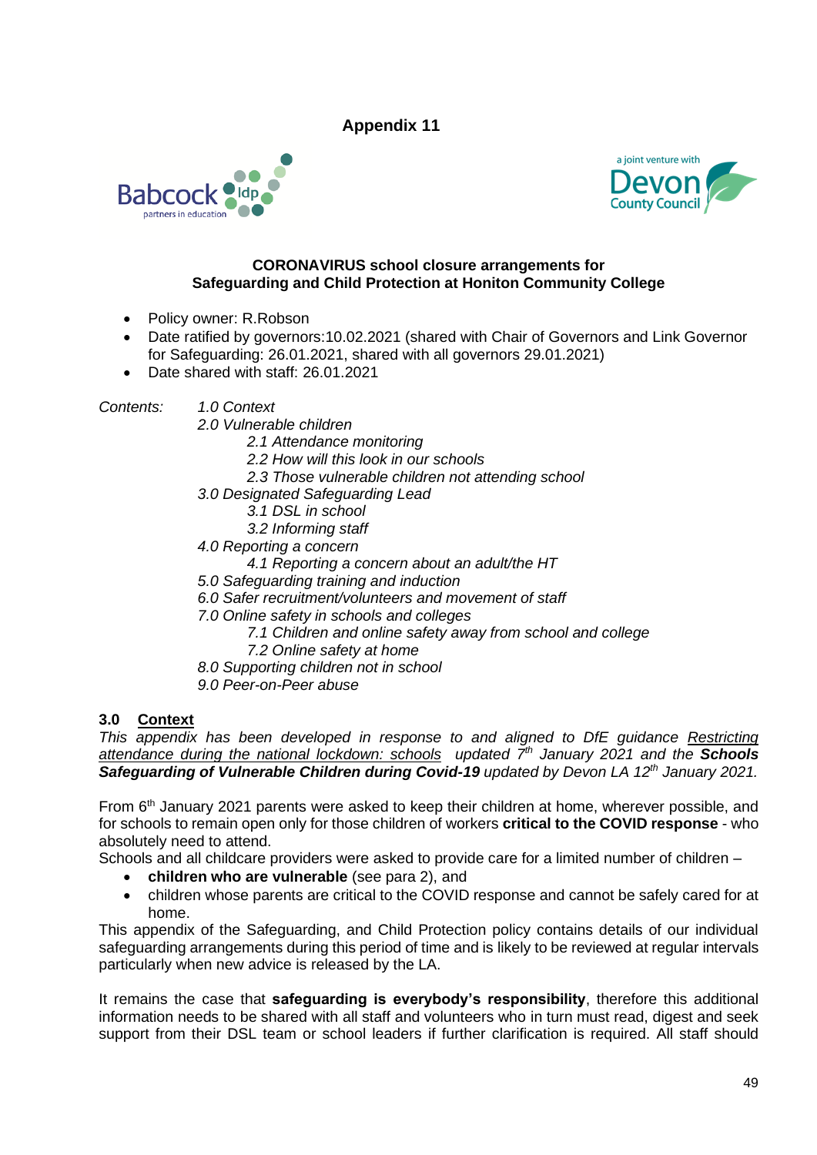



#### **CORONAVIRUS school closure arrangements for Safeguarding and Child Protection at Honiton Community College**

- Policy owner: R.Robson
- Date ratified by governors:10.02.2021 (shared with Chair of Governors and Link Governor for Safeguarding: 26.01.2021, shared with all governors 29.01.2021)
- Date shared with staff: 26.01.2021

*Contents: 1.0 Context*

- *2.0 Vulnerable children*
	- *2.1 Attendance monitoring*
	- *2.2 How will this look in our schools*
	- *2.3 Those vulnerable children not attending school*
- *3.0 Designated Safeguarding Lead*
	- *3.1 DSL in school*
	- *3.2 Informing staff*
- *4.0 Reporting a concern*
	- *4.1 Reporting a concern about an adult/the HT*
- *5.0 Safeguarding training and induction*
- *6.0 Safer recruitment/volunteers and movement of staff*
- *7.0 Online safety in schools and colleges*
	- *7.1 Children and online safety away from school and college*
	- *7.2 Online safety at home*
- *8.0 Supporting children not in school*
- *9.0 Peer-on-Peer abuse*

#### **3.0 Context**

*This appendix has been developed in response to and aligned to DfE guidance Restricting [attendance during the national lockdown: schools](https://www.gov.uk/government/publications/actions-for-schools-during-the-coronavirus-outbreak) updated 7th January 2021 and the Schools Safeguarding of Vulnerable Children during Covid-19 updated by Devon LA 12th January 2021.*

From 6th January 2021 parents were asked to keep their children at home, wherever possible, and for schools to remain open only for those children of workers **critical to the COVID response** - who absolutely need to attend.

Schools and all childcare providers were asked to provide care for a limited number of children –

- **children who are vulnerable** (see para 2), and
- children whose parents are critical to the COVID response and cannot be safely cared for at home.

This appendix of the Safeguarding, and Child Protection policy contains details of our individual safeguarding arrangements during this period of time and is likely to be reviewed at regular intervals particularly when new advice is released by the LA.

It remains the case that **safeguarding is everybody's responsibility**, therefore this additional information needs to be shared with all staff and volunteers who in turn must read, digest and seek support from their DSL team or school leaders if further clarification is required. All staff should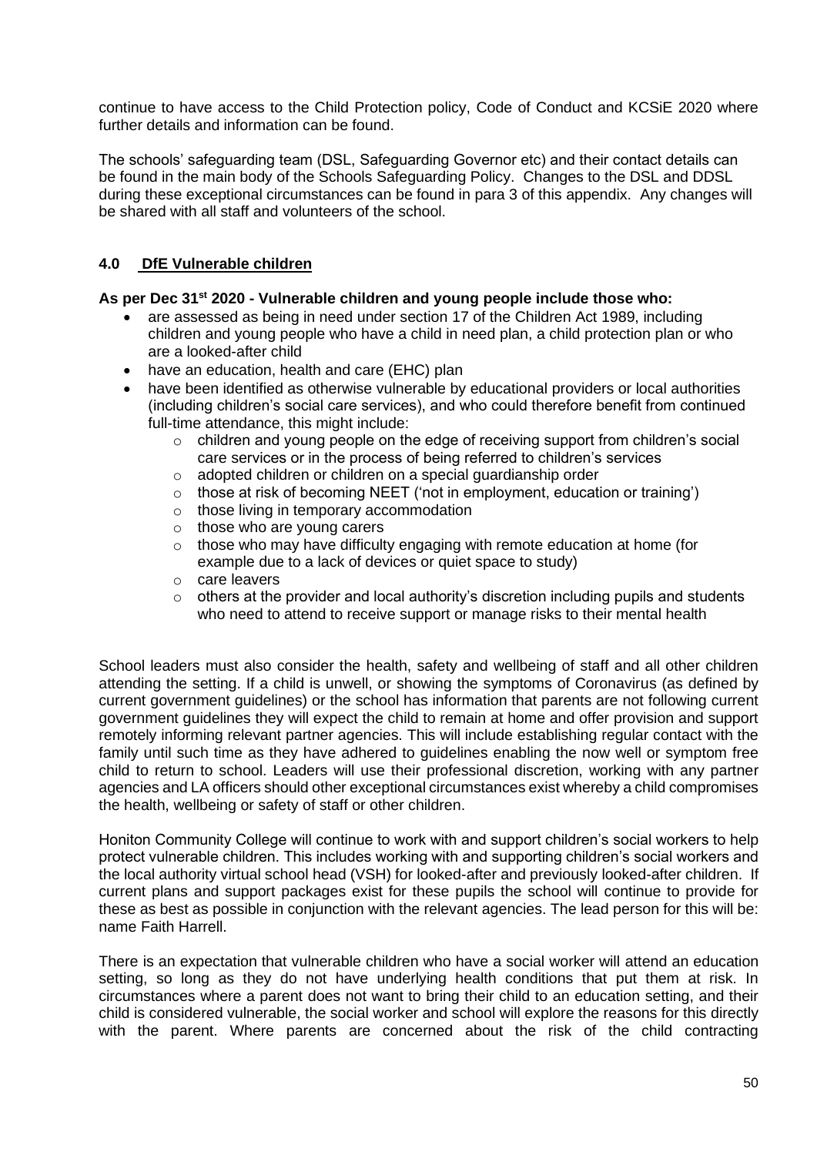continue to have access to the Child Protection policy, Code of Conduct and KCSiE 2020 where further details and information can be found.

The schools' safeguarding team (DSL, Safeguarding Governor etc) and their contact details can be found in the main body of the Schools Safeguarding Policy. Changes to the DSL and DDSL during these exceptional circumstances can be found in para 3 of this appendix. Any changes will be shared with all staff and volunteers of the school.

#### **4.0 DfE Vulnerable children**

#### **As per Dec 31st 2020 - Vulnerable children and young people include those who:**

- are assessed as being in need under section 17 of the Children Act 1989, including children and young people who have a child in need plan, a child protection plan or who are a looked-after child
- have an education, health and care (EHC) plan
- have been identified as otherwise vulnerable by educational providers or local authorities (including children's social care services), and who could therefore benefit from continued full-time attendance, this might include:
	- o children and young people on the edge of receiving support from children's social care services or in the process of being referred to children's services
	- o adopted children or children on a special guardianship order
	- $\circ$  those at risk of becoming NEET ('not in employment, education or training')
	- o those living in temporary accommodation
	- o those who are young carers
	- o those who may have difficulty engaging with remote education at home (for example due to a lack of devices or quiet space to study)
	- o care leavers
	- $\circ$  others at the provider and local authority's discretion including pupils and students who need to attend to receive support or manage risks to their mental health

School leaders must also consider the health, safety and wellbeing of staff and all other children attending the setting. If a child is unwell, or showing the symptoms of Coronavirus (as defined by current government guidelines) or the school has information that parents are not following current government guidelines they will expect the child to remain at home and offer provision and support remotely informing relevant partner agencies. This will include establishing regular contact with the family until such time as they have adhered to guidelines enabling the now well or symptom free child to return to school. Leaders will use their professional discretion, working with any partner agencies and LA officers should other exceptional circumstances exist whereby a child compromises the health, wellbeing or safety of staff or other children.

Honiton Community College will continue to work with and support children's social workers to help protect vulnerable children. This includes working with and supporting children's social workers and the local authority virtual school head (VSH) for looked-after and previously looked-after children. If current plans and support packages exist for these pupils the school will continue to provide for these as best as possible in conjunction with the relevant agencies. The lead person for this will be: name Faith Harrell.

There is an expectation that vulnerable children who have a social worker will attend an education setting, so long as they do not have underlying health conditions that put them at risk. In circumstances where a parent does not want to bring their child to an education setting, and their child is considered vulnerable, the social worker and school will explore the reasons for this directly with the parent. Where parents are concerned about the risk of the child contracting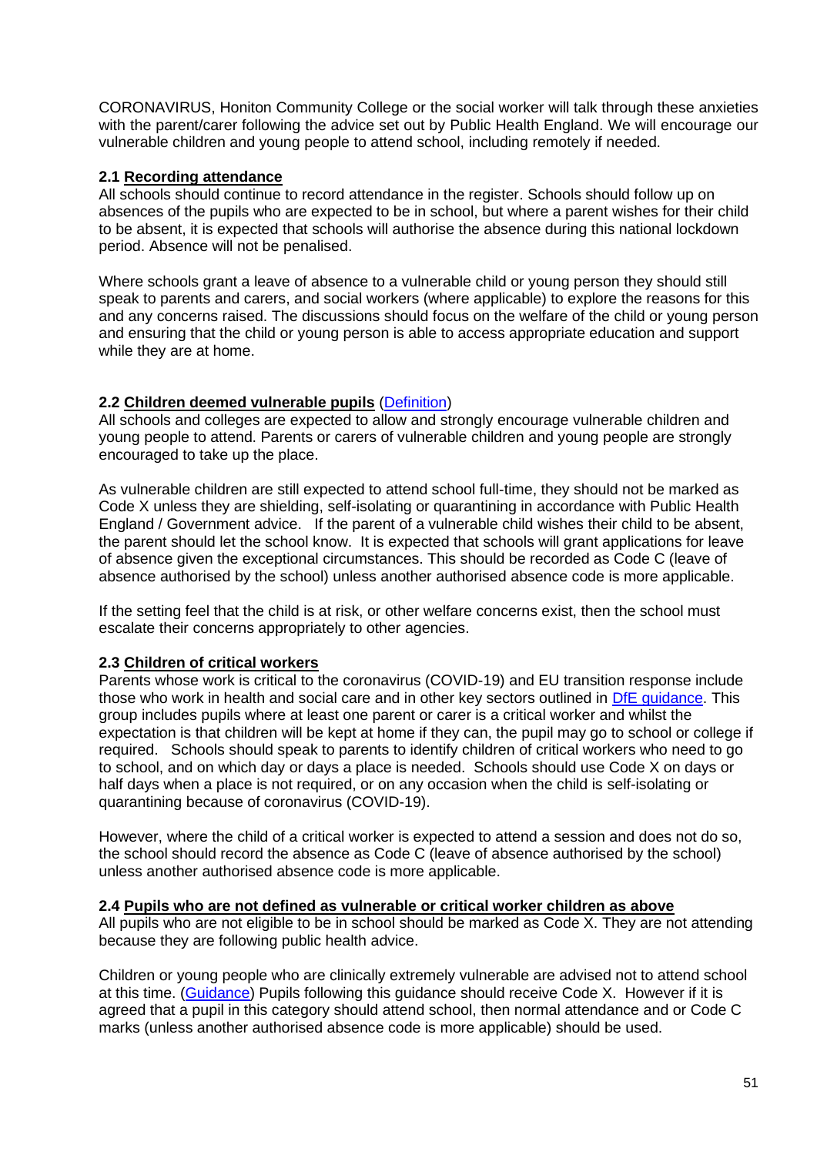CORONAVIRUS, Honiton Community College or the social worker will talk through these anxieties with the parent/carer following the advice set out by Public Health England. We will encourage our vulnerable children and young people to attend school, including remotely if needed.

#### **2.1 Recording attendance**

All schools should continue to record attendance in the register. Schools should follow up on absences of the pupils who are expected to be in school, but where a parent wishes for their child to be absent, it is expected that schools will authorise the absence during this national lockdown period. Absence will not be penalised.

Where schools grant a leave of absence to a vulnerable child or young person they should still speak to parents and carers, and social workers (where applicable) to explore the reasons for this and any concerns raised. The discussions should focus on the welfare of the child or young person and ensuring that the child or young person is able to access appropriate education and support while they are at home.

#### **2.2 Children deemed vulnerable pupils** [\(Definition\)](https://www.gov.uk/government/publications/coronavirus-covid-19-maintaining-educational-provision/guidance-for-schools-colleges-and-local-authorities-on-maintaining-educational-provision)

All schools and colleges are expected to allow and strongly encourage vulnerable children and young people to attend. Parents or carers of vulnerable children and young people are strongly encouraged to take up the place.

As vulnerable children are still expected to attend school full-time, they should not be marked as Code X unless they are shielding, self-isolating or quarantining in accordance with Public Health England / Government advice. If the parent of a vulnerable child wishes their child to be absent, the parent should let the school know. It is expected that schools will grant applications for leave of absence given the exceptional circumstances. This should be recorded as Code C (leave of absence authorised by the school) unless another authorised absence code is more applicable.

If the setting feel that the child is at risk, or other welfare concerns exist, then the school must escalate their concerns appropriately to other agencies.

#### **2.3 Children of critical workers**

Parents whose work is critical to the coronavirus (COVID-19) and EU transition response include those who work in health and social care and in other key sectors outlined in [DfE guidance.](https://www.gov.uk/government/publications/coronavirus-covid-19-maintaining-educational-provision/guidance-for-schools-colleges-and-local-authorities-on-maintaining-educational-provision) This group includes pupils where at least one parent or carer is a critical worker and whilst the expectation is that children will be kept at home if they can, the pupil may go to school or college if required. Schools should speak to parents to identify children of critical workers who need to go to school, and on which day or days a place is needed. Schools should use Code X on days or half days when a place is not required, or on any occasion when the child is self-isolating or quarantining because of coronavirus (COVID-19).

However, where the child of a critical worker is expected to attend a session and does not do so, the school should record the absence as Code C (leave of absence authorised by the school) unless another authorised absence code is more applicable.

#### **2.4 Pupils who are not defined as vulnerable or critical worker children as above**

All pupils who are not eligible to be in school should be marked as Code X. They are not attending because they are following public health advice.

Children or young people who are clinically extremely vulnerable are advised not to attend school at this time. [\(Guidance\)](https://www.gov.uk/government/publications/guidance-on-shielding-and-protecting-extremely-vulnerable-persons-from-covid-19/guidance-on-shielding-and-protecting-extremely-vulnerable-persons-from-covid-19#education-settings) Pupils following this guidance should receive Code X. However if it is agreed that a pupil in this category should attend school, then normal attendance and or Code C marks (unless another authorised absence code is more applicable) should be used.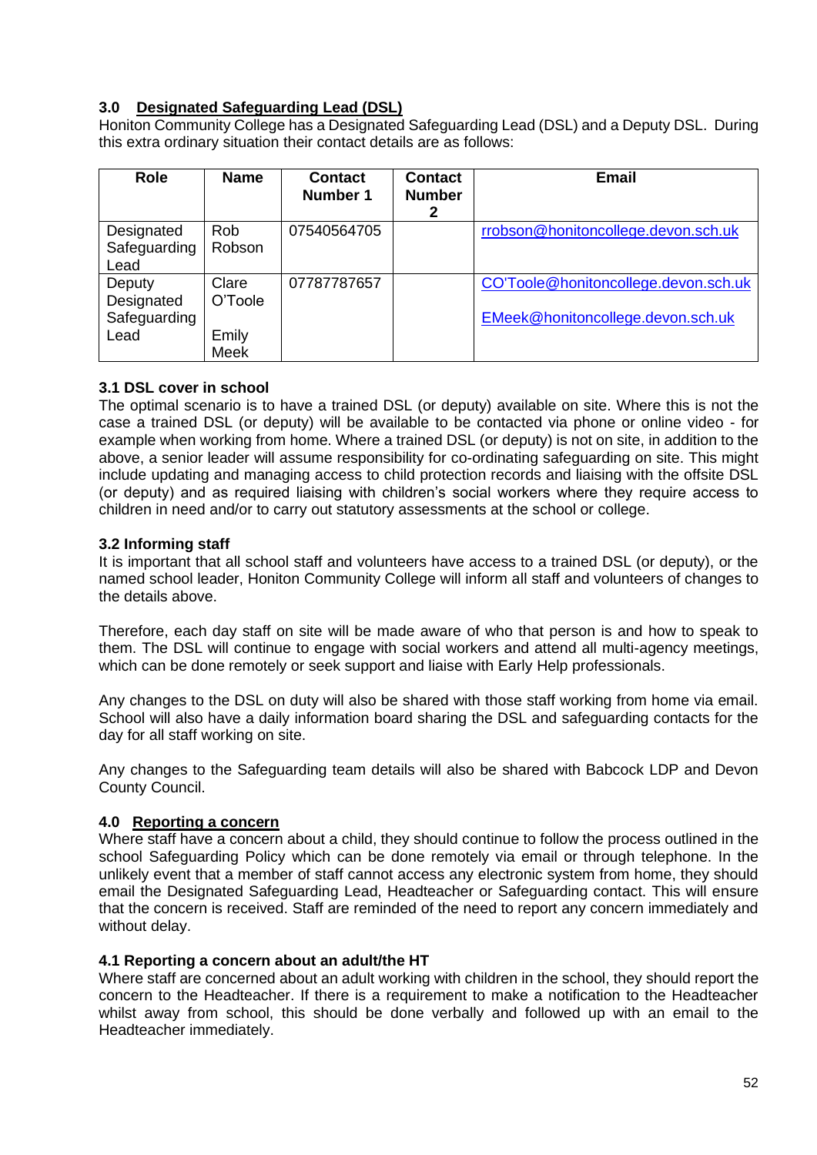## **3.0 Designated Safeguarding Lead (DSL)**

Honiton Community College has a Designated Safeguarding Lead (DSL) and a Deputy DSL. During this extra ordinary situation their contact details are as follows:

| <b>Role</b>                                  | <b>Name</b>                       | <b>Contact</b><br>Number 1 | <b>Contact</b><br><b>Number</b><br>2 | <b>Email</b>                                                              |
|----------------------------------------------|-----------------------------------|----------------------------|--------------------------------------|---------------------------------------------------------------------------|
| Designated<br>Safeguarding<br>Lead           | <b>Rob</b><br>Robson              | 07540564705                |                                      | rrobson@honitoncollege.devon.sch.uk                                       |
| Deputy<br>Designated<br>Safeguarding<br>Lead | Clare<br>O'Toole<br>Emily<br>Meek | 07787787657                |                                      | CO'Toole@honitoncollege.devon.sch.uk<br>EMeek@honitoncollege.devon.sch.uk |

#### **3.1 DSL cover in school**

The optimal scenario is to have a trained DSL (or deputy) available on site. Where this is not the case a trained DSL (or deputy) will be available to be contacted via phone or online video - for example when working from home. Where a trained DSL (or deputy) is not on site, in addition to the above, a senior leader will assume responsibility for co-ordinating safeguarding on site. This might include updating and managing access to child protection records and liaising with the offsite DSL (or deputy) and as required liaising with children's social workers where they require access to children in need and/or to carry out statutory assessments at the school or college.

#### **3.2 Informing staff**

It is important that all school staff and volunteers have access to a trained DSL (or deputy), or the named school leader, Honiton Community College will inform all staff and volunteers of changes to the details above.

Therefore, each day staff on site will be made aware of who that person is and how to speak to them. The DSL will continue to engage with social workers and attend all multi-agency meetings, which can be done remotely or seek support and liaise with Early Help professionals.

Any changes to the DSL on duty will also be shared with those staff working from home via email. School will also have a daily information board sharing the DSL and safeguarding contacts for the day for all staff working on site.

Any changes to the Safeguarding team details will also be shared with Babcock LDP and Devon County Council.

#### **4.0 Reporting a concern**

Where staff have a concern about a child, they should continue to follow the process outlined in the school Safeguarding Policy which can be done remotely via email or through telephone. In the unlikely event that a member of staff cannot access any electronic system from home, they should email the Designated Safeguarding Lead, Headteacher or Safeguarding contact. This will ensure that the concern is received. Staff are reminded of the need to report any concern immediately and without delay.

#### **4.1 Reporting a concern about an adult/the HT**

Where staff are concerned about an adult working with children in the school, they should report the concern to the Headteacher. If there is a requirement to make a notification to the Headteacher whilst away from school, this should be done verbally and followed up with an email to the Headteacher immediately.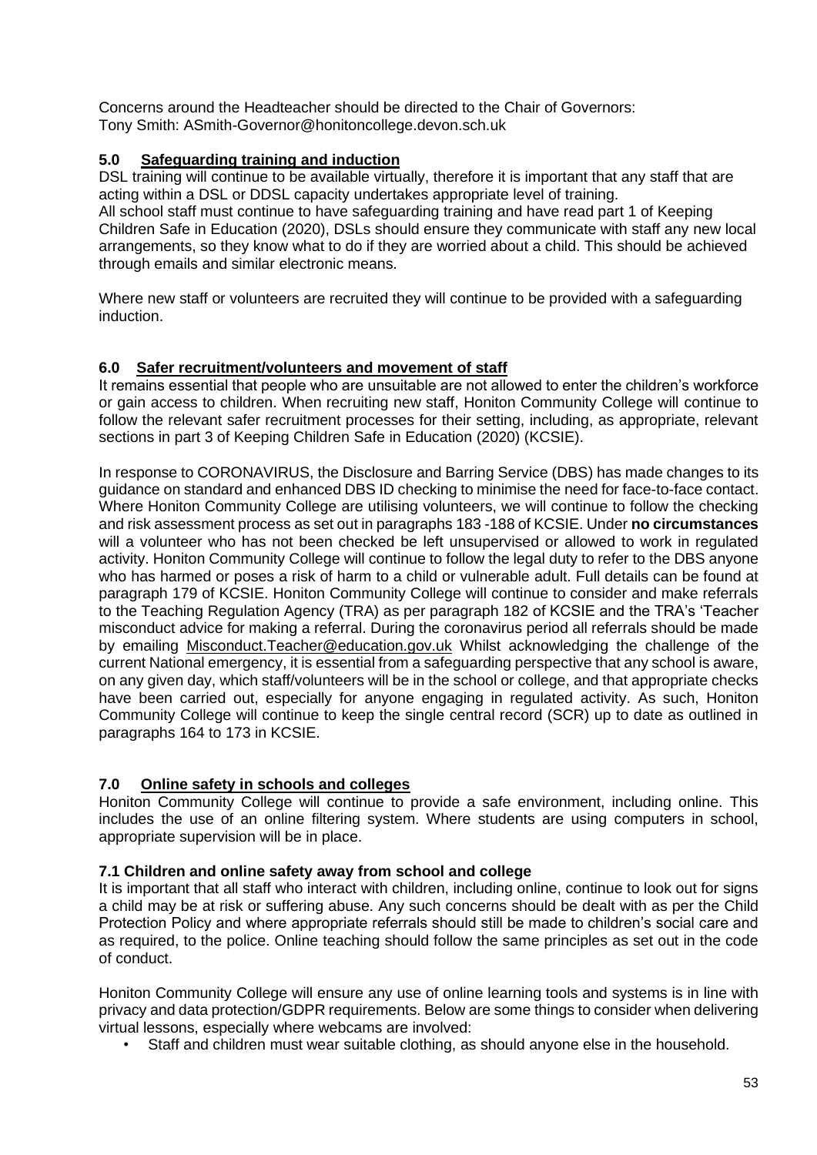Concerns around the Headteacher should be directed to the Chair of Governors: Tony Smith: ASmith-Governor@honitoncollege.devon.sch.uk

#### **5.0 Safeguarding training and induction**

DSL training will continue to be available virtually, therefore it is important that any staff that are acting within a DSL or DDSL capacity undertakes appropriate level of training. All school staff must continue to have safeguarding training and have read part 1 of Keeping

Children Safe in Education (2020), DSLs should ensure they communicate with staff any new local arrangements, so they know what to do if they are worried about a child. This should be achieved through emails and similar electronic means.

Where new staff or volunteers are recruited they will continue to be provided with a safeguarding induction.

#### **6.0 Safer recruitment/volunteers and movement of staff**

It remains essential that people who are unsuitable are not allowed to enter the children's workforce or gain access to children. When recruiting new staff, Honiton Community College will continue to follow the relevant safer recruitment processes for their setting, including, as appropriate, relevant sections in part 3 of Keeping Children Safe in Education (2020) (KCSIE).

In response to CORONAVIRUS, the Disclosure and Barring Service (DBS) has made changes to its guidance on standard and enhanced DBS ID checking to minimise the need for face-to-face contact. Where Honiton Community College are utilising volunteers, we will continue to follow the checking and risk assessment process as set out in paragraphs 183 -188 of KCSIE. Under **no circumstances** will a volunteer who has not been checked be left unsupervised or allowed to work in regulated activity. Honiton Community College will continue to follow the legal duty to refer to the DBS anyone who has harmed or poses a risk of harm to a child or vulnerable adult. Full details can be found at paragraph 179 of KCSIE. Honiton Community College will continue to consider and make referrals to the Teaching Regulation Agency (TRA) as per paragraph 182 of KCSIE and the TRA's 'Teacher misconduct advice for making a referral. During the coronavirus period all referrals should be made by emailing [Misconduct.Teacher@education.gov.uk](mailto:Misconduct.Teacher@education.gov.uk) Whilst acknowledging the challenge of the current National emergency, it is essential from a safeguarding perspective that any school is aware, on any given day, which staff/volunteers will be in the school or college, and that appropriate checks have been carried out, especially for anyone engaging in regulated activity. As such, Honiton Community College will continue to keep the single central record (SCR) up to date as outlined in paragraphs 164 to 173 in KCSIE.

#### **7.0 Online safety in schools and colleges**

Honiton Community College will continue to provide a safe environment, including online. This includes the use of an online filtering system. Where students are using computers in school, appropriate supervision will be in place.

#### **7.1 Children and online safety away from school and college**

It is important that all staff who interact with children, including online, continue to look out for signs a child may be at risk or suffering abuse. Any such concerns should be dealt with as per the Child Protection Policy and where appropriate referrals should still be made to children's social care and as required, to the police. Online teaching should follow the same principles as set out in the code of conduct.

Honiton Community College will ensure any use of online learning tools and systems is in line with privacy and data protection/GDPR requirements. Below are some things to consider when delivering virtual lessons, especially where webcams are involved:

• Staff and children must wear suitable clothing, as should anyone else in the household.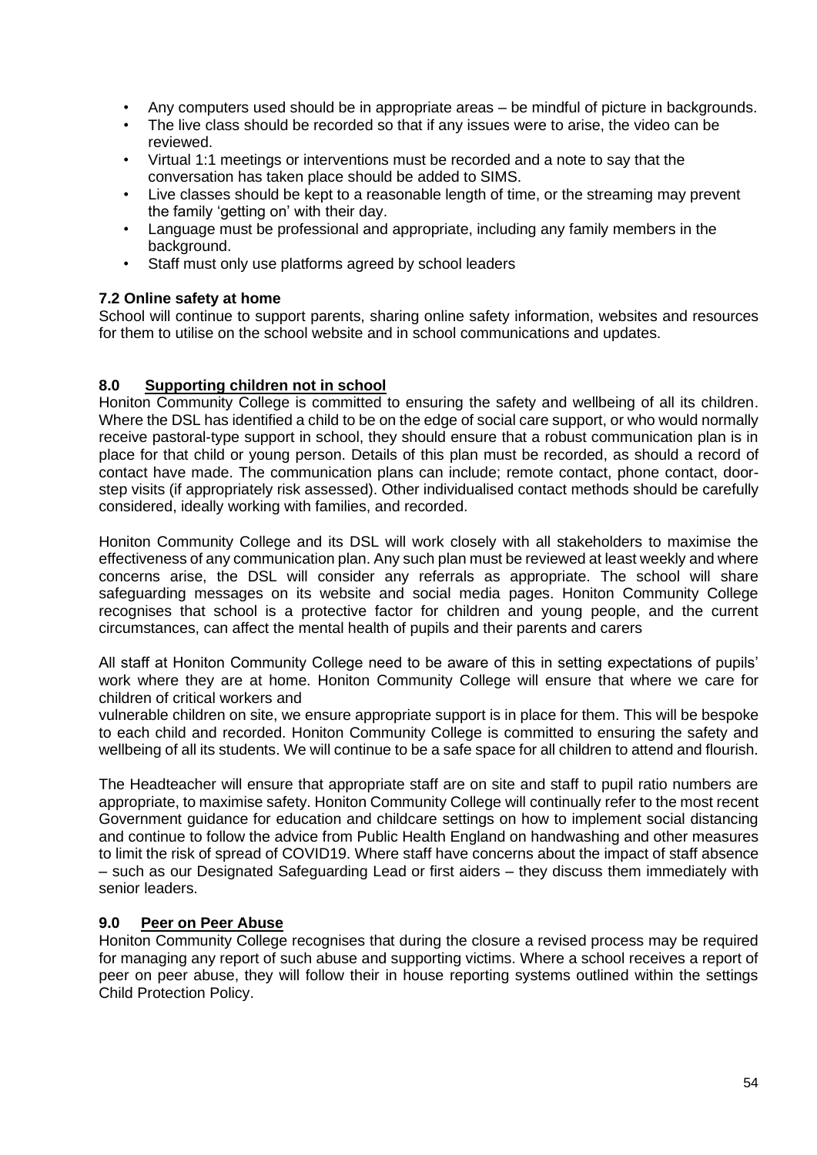- Any computers used should be in appropriate areas be mindful of picture in backgrounds.
- The live class should be recorded so that if any issues were to arise, the video can be reviewed.
- Virtual 1:1 meetings or interventions must be recorded and a note to say that the conversation has taken place should be added to SIMS.
- Live classes should be kept to a reasonable length of time, or the streaming may prevent the family 'getting on' with their day.
- Language must be professional and appropriate, including any family members in the background.
- Staff must only use platforms agreed by school leaders

#### **7.2 Online safety at home**

School will continue to support parents, sharing online safety information, websites and resources for them to utilise on the school website and in school communications and updates.

#### **8.0 Supporting children not in school**

Honiton Community College is committed to ensuring the safety and wellbeing of all its children. Where the DSL has identified a child to be on the edge of social care support, or who would normally receive pastoral-type support in school, they should ensure that a robust communication plan is in place for that child or young person. Details of this plan must be recorded, as should a record of contact have made. The communication plans can include; remote contact, phone contact, doorstep visits (if appropriately risk assessed). Other individualised contact methods should be carefully considered, ideally working with families, and recorded.

Honiton Community College and its DSL will work closely with all stakeholders to maximise the effectiveness of any communication plan. Any such plan must be reviewed at least weekly and where concerns arise, the DSL will consider any referrals as appropriate. The school will share safeguarding messages on its website and social media pages. Honiton Community College recognises that school is a protective factor for children and young people, and the current circumstances, can affect the mental health of pupils and their parents and carers

All staff at Honiton Community College need to be aware of this in setting expectations of pupils' work where they are at home. Honiton Community College will ensure that where we care for children of critical workers and

vulnerable children on site, we ensure appropriate support is in place for them. This will be bespoke to each child and recorded. Honiton Community College is committed to ensuring the safety and wellbeing of all its students. We will continue to be a safe space for all children to attend and flourish.

The Headteacher will ensure that appropriate staff are on site and staff to pupil ratio numbers are appropriate, to maximise safety. Honiton Community College will continually refer to the most recent Government guidance for education and childcare settings on how to implement social distancing and continue to follow the advice from Public Health England on handwashing and other measures to limit the risk of spread of COVID19. Where staff have concerns about the impact of staff absence – such as our Designated Safeguarding Lead or first aiders – they discuss them immediately with senior leaders.

#### **9.0 Peer on Peer Abuse**

Honiton Community College recognises that during the closure a revised process may be required for managing any report of such abuse and supporting victims. Where a school receives a report of peer on peer abuse, they will follow their in house reporting systems outlined within the settings Child Protection Policy.